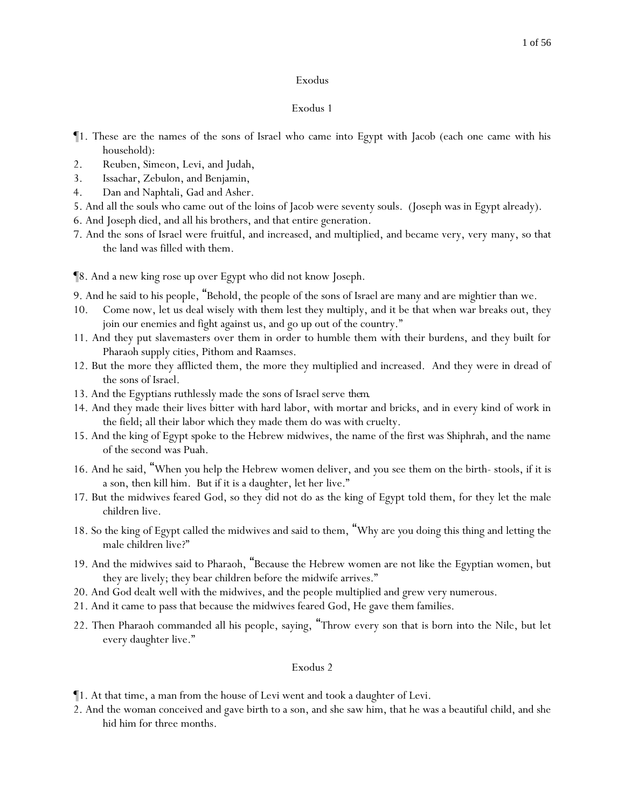#### 1 of 56

#### Exodus

#### Exodus 1

- ¶1. These are the names of the sons of Israel who came into Egypt with Jacob (each one came with his household):
- 2. Reuben, Simeon, Levi, and Judah,
- 3. Issachar, Zebulon, and Benjamin,
- 4. Dan and Naphtali, Gad and Asher.
- 5. And all the souls who came out of the loins of Jacob were seventy souls. (Joseph was in Egypt already).
- 6. And Joseph died, and all his brothers, and that entire generation.
- 7. And the sons of Israel were fruitful, and increased, and multiplied, and became very, very many, so that the land was filled with them.
- ¶8. And a new king rose up over Egypt who did not know Joseph.
- 9. And he said to his people, "Behold, the people of the sons of Israel are many and are mightier than we.
- 10. Come now, let us deal wisely with them lest they multiply, and it be that when war breaks out, they join our enemies and fight against us, and go up out of the country."
- 11. And they put slavemasters over them in order to humble them with their burdens, and they built for Pharaoh supply cities, Pithom and Raamses.
- 12. But the more they afflicted them, the more they multiplied and increased. And they were in dread of the sons of Israel.
- 13. And the Egyptians ruthlessly made the sons of Israel serve *them*.
- 14. And they made their lives bitter with hard labor, with mortar and bricks, and in every kind of work in the field; all their labor which they made them do was with cruelty.
- 15. And the king of Egypt spoke to the Hebrew midwives, the name of the first was Shiphrah, and the name of the second was Puah.
- 16. And he said, "When *y*ou help the Hebrew women deliver, and *y*ou see them on the birth- stools, if it is a son, then kill him. But if it is a daughter, let her live."
- 17. But the midwives feared God, so they did not do as the king of Egypt told them, for they let the male children live.
- 18. So the king of Egypt called the midwives and said to them, "Why are *y*ou doing this thing and letting the male children live?"
- 19. And the midwives said to Pharaoh, "Because the Hebrew women are not like the Egyptian women, but they are lively; they bear children before the midwife arrives."
- 20. And God dealt well with the midwives, and the people multiplied and grew very numerous.
- 21. And it came to pass that because the midwives feared God, He gave them families.
- 22. Then Pharaoh commanded all his people, saying, "Throw every son that is born into the Nile, but let every daughter live."

- ¶1. At that time, a man from the house of Levi went and took a daughter of Levi.
- 2. And the woman conceived and gave birth to a son, and she saw him, that he was a beautiful child, and she hid him for three months.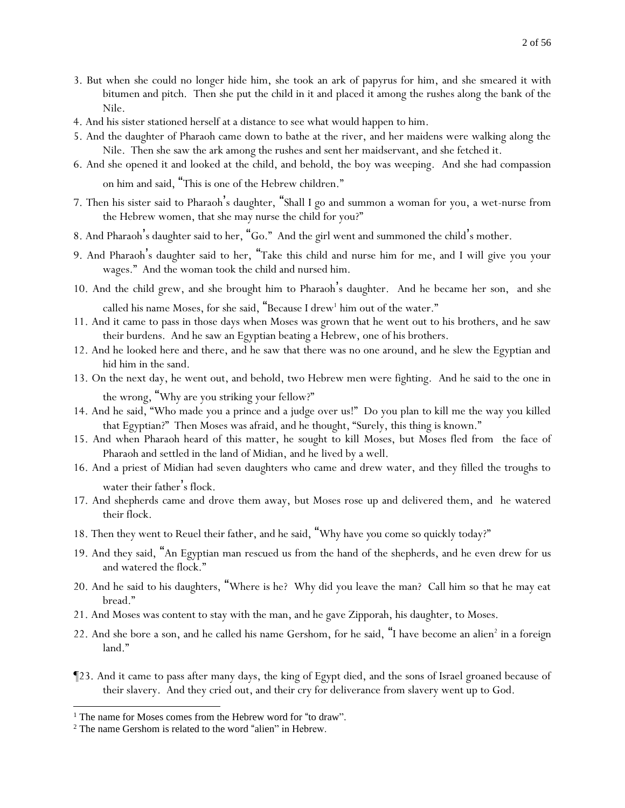- 3. But when she could no longer hide him, she took an ark of papyrus for him, and she smeared it with bitumen and pitch. Then she put the child in it and placed it among the rushes along the bank of the Nile.
- 4. And his sister stationed herself at a distance to see what would happen to him.
- 5. And the daughter of Pharaoh came down to bathe at the river, and her maidens were walking along the Nile. Then she saw the ark among the rushes and sent her maidservant, and she fetched it.
- 6. And she opened it and looked at the child, and behold, the boy was weeping. And she had compassion on him and said, "This is one of the Hebrew children."
- 7. Then his sister said to Pharaoh's daughter, "Shall I go and summon a woman for you, a wet-nurse from the Hebrew women, that she may nurse the child for you?"
- 8. And Pharaoh's daughter said to her, "Go." And the girl went and summoned the child's mother.
- 9. And Pharaoh's daughter said to her, "Take this child and nurse him for me, and I will give you your wages." And the woman took the child and nursed him.
- 10. And the child grew, and she brought him to Pharaoh's daughter. And he became her son, and she called his name Moses, for she said, "Because I drew<sup>1</sup> him out of the water."
- 11. And it came to pass in those days when Moses was grown that he went out to his brothers, and he saw their burdens. And he saw an Egyptian beating a Hebrew, one of his brothers.
- 12. And he looked here and there, and he saw that there was no one around, and he slew the Egyptian and hid him in the sand.
- 13. On the next day, he went out, and behold, two Hebrew men were fighting. And he said to the one in the wrong, "Why are you striking your fellow?"
- 14. And he said, "Who made you a prince and a judge over us!" Do you plan to kill me the way you killed that Egyptian?" Then Moses was afraid, and he thought, "Surely, this thing is known."
- 15. And when Pharaoh heard of this matter, he sought to kill Moses, but Moses fled from the face of Pharaoh and settled in the land of Midian, and he lived by a well.
- 16. And a priest of Midian had seven daughters who came and drew water, and they filled the troughs to water their father's flock.
- 17. And shepherds came and drove them away, but Moses rose up and delivered them, and he watered their flock.
- 18. Then they went to Reuel their father, and he said, "Why have *y*ou come so quickly today?"
- 19. And they said, "An Egyptian man rescued us from the hand of the shepherds, and he even drew for us and watered the flock."
- 20. And he said to his daughters, "Where is he? Why did you leave the man? Call him so that he may eat bread."
- 21. And Moses was content to stay with the man, and he gave Zipporah, his daughter, to Moses.
- 22. And she bore a son, and he called his name Gershom, for he said, "I have become an alien<sup>2</sup> in a foreign land."
- ¶23. And it came to pass after many days, the king of Egypt died, and the sons of Israel groaned because of their slavery. And they cried out, and their cry for deliverance from slavery went up to God.

<sup>&</sup>lt;sup>1</sup> The name for Moses comes from the Hebrew word for "to draw".

<sup>2</sup> The name Gershom is related to the word "alien" in Hebrew.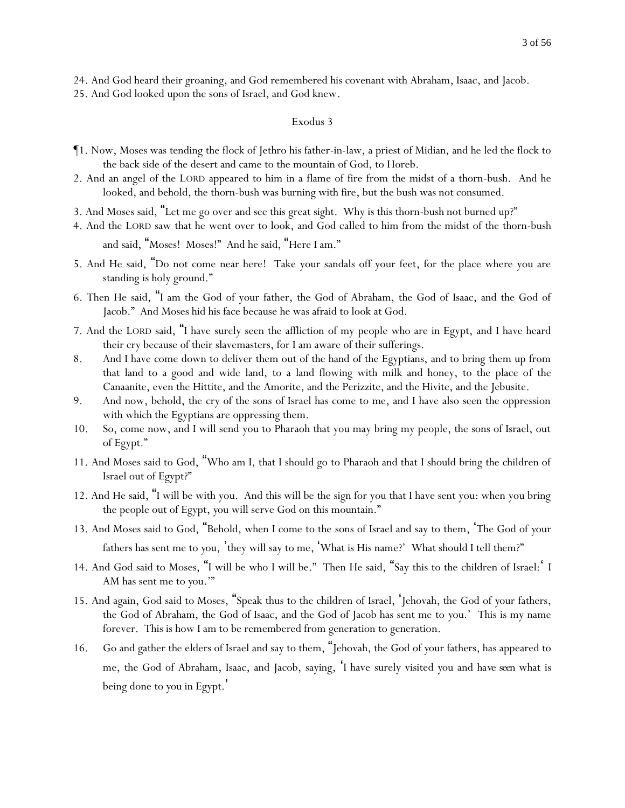24. And God heard their groaning, and God remembered his covenant with Abraham, Isaac, and Jacob.

25. And God looked upon the sons of Israel, and God knew.

#### Exodus 3

- ¶1. Now, Moses was tending the flock of Jethro his father-in-law, a priest of Midian, and he led the flock to the back side of the desert and came to the mountain of God, to Horeb.
- 2. And an angel of the LORD appeared to him in a flame of fire from the midst of a thorn-bush. And he looked, and behold, the thorn-bush was burning with fire, but the bush was not consumed.
- 3. And Moses said, "Let me go over and see this great sight. Why is this thorn-bush not burned up?"
- 4. And the LORD saw that he went over to look, and God called to him from the midst of the thorn-bush

and said, "Moses! Moses!" And he said, "Here I am."

- 5. And He said, "Do not come near here! Take your sandals off your feet, for the place where you are standing is holy ground."
- 6. Then He said, "I am the God of your father, the God of Abraham, the God of Isaac, and the God of Jacob." And Moses hid his face because he was afraid to look at God.
- 7. And the LORD said, "I have surely seen the affliction of my people who are in Egypt, and I have heard their cry because of their slavemasters, for I am aware of their sufferings.
- 8. And I have come down to deliver them out of the hand of the Egyptians, and to bring them up from that land to a good and wide land, to a land flowing with milk and honey, to the place of the Canaanite, even the Hittite, and the Amorite, and the Perizzite, and the Hivite, and the Jebusite.
- 9. And now, behold, the cry of the sons of Israel has come to me, and I have also seen the oppression with which the Egyptians are oppressing them.
- 10. So, come now, and I will send you to Pharaoh that you may bring my people, the sons of Israel, out of Egypt."
- 11. And Moses said to God, "Who am I, that I should go to Pharaoh and that I should bring the children of Israel out of Egypt?"
- 12. And He said, "I will be with you. And this will be the sign for you that I have sent you: when you bring the people out of Egypt, *y*ou will serve God on this mountain."
- 13. And Moses said to God, "Behold, when I come to the sons of Israel and say to them, 'The God of *y*our fathers has sent me to *y*ou, 'they will say to me, 'What is His name?' What should I tell them?"
- 14. And God said to Moses, "I will be who I will be." Then He said, "Say this to the children of Israel:' I AM has sent me to *y*ou.'"
- 15. And again, God said to Moses, "Speak thus to the children of Israel, 'Jehovah, the God of *y*our fathers, the God of Abraham, the God of Isaac, and the God of Jacob has sent me to *y*ou.' This is my name forever. This is how I am to be remembered from generation to generation.
- 16. Go and gather the elders of Israel and say to them, "Jehovah, the God of *y*our fathers, has appeared to me, the God of Abraham, Isaac, and Jacob, saying, 'I have surely visited *y*ou and *have seen* what is being done to *y*ou in Egypt.'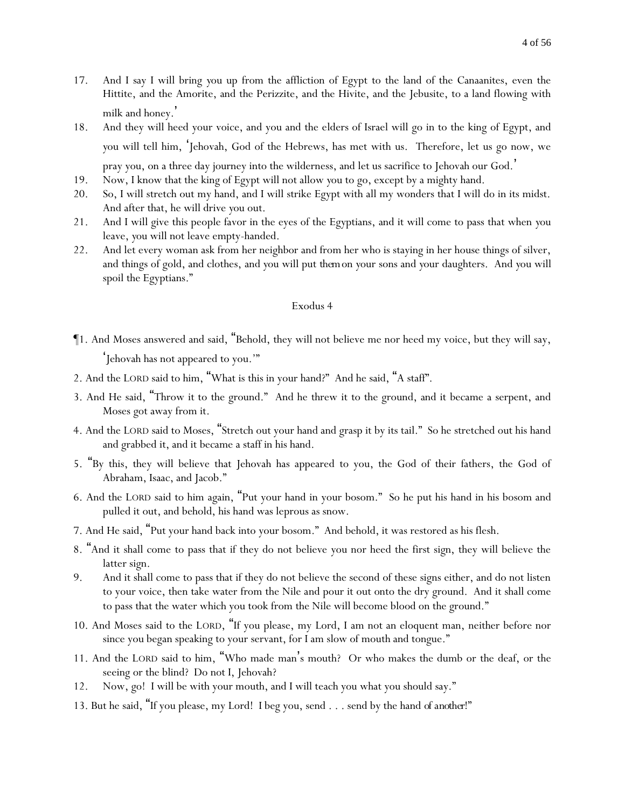- 17. And I say I will bring *y*ou up from the affliction of Egypt to the land of the Canaanites, even the Hittite, and the Amorite, and the Perizzite, and the Hivite, and the Jebusite, to a land flowing with milk and honey.'
- 18. And they will heed your voice, and you and the elders of Israel will go in to the king of Egypt, and *y*ou will tell him, 'Jehovah, God of the Hebrews, has met with us. Therefore, let us go now, we pray you, on a three day journey into the wilderness, and let us sacrifice to Jehovah our God. '
- 19. Now, I know that the king of Egypt will not allow *y*ou to go, except by a mighty hand.
- 20. So, I will stretch out my hand, and I will strike Egypt with all my wonders that I will do in its midst. And after that, he will drive *y*ou out.
- 21. And I will give this people favor in the eyes of the Egyptians, and it will come to pass that when *y*ou leave, *y*ou will not leave empty-handed.
- 22. And let every woman ask from her neighbor and from her who is staying in her house things of silver, and things of gold, and clothes, and *y*ou will put *them*on *y*our sons and *y*our daughters. And *y*ou will spoil the Egyptians."

- ¶1. And Moses answered and said, "Behold, they will not believe me nor heed my voice, but they will say, 'Jehovah has not appeared to you.'"
- 2. And the LORD said to him, "What is this in your hand?" And he said, "A staff".
- 3. And He said, "Throw it to the ground." And he threw it to the ground, and it became a serpent, and Moses got away from it.
- 4. And the LORD said to Moses, "Stretch out your hand and grasp it by its tail." So he stretched out his hand and grabbed it, and it became a staff in his hand.
- 5. "By this, they will believe that Jehovah has appeared to you, the God of their fathers, the God of Abraham, Isaac, and Jacob."
- 6. And the LORD said to him again, "Put your hand in your bosom." So he put his hand in his bosom and pulled it out, and behold, his hand was leprous as snow.
- 7. And He said, "Put your hand back into your bosom." And behold, it was restored as his flesh.
- 8. "And it shall come to pass that if they do not believe you nor heed the first sign, they will believe the latter sign.
- 9. And it shall come to pass that if they do not believe the second of these signs either, and do not listen to your voice, then take water from the Nile and pour it out onto the dry ground. And it shall come to pass that the water which you took from the Nile will become blood on the ground."
- 10. And Moses said to the LORD, "If you please, my Lord, I am not an eloquent man, neither before nor since you began speaking to your servant, for I am slow of mouth and tongue."
- 11. And the LORD said to him, "Who made man's mouth? Or who makes the dumb or the deaf, or the seeing or the blind? Do not I, Jehovah?
- 12. Now, go! I will be with your mouth, and I will teach you what you should say."
- 13. But he said, "If you please, my Lord! I beg you, send . . . send by the hand *of another*!"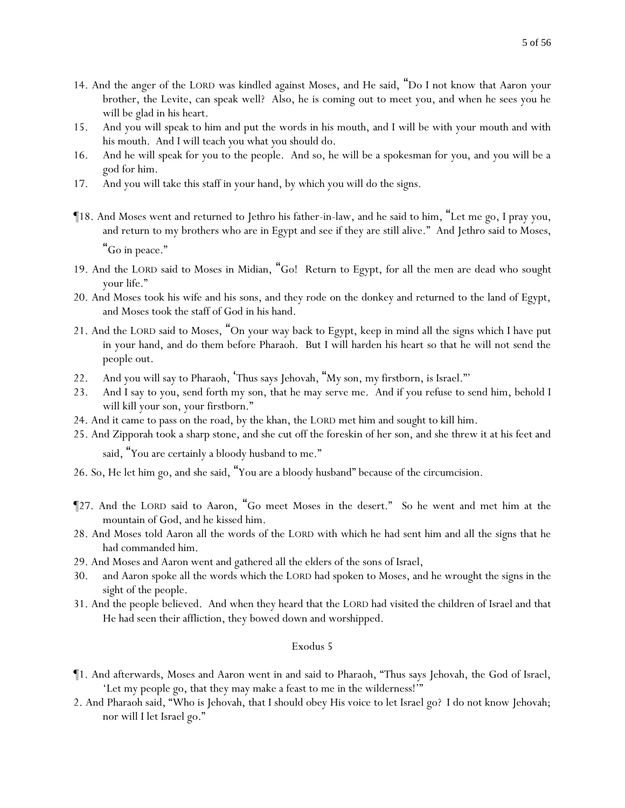- 14. And the anger of the LORD was kindled against Moses, and He said, "Do I not know that Aaron your brother, the Levite, can speak well? Also, he is coming out to meet you, and when he sees you he will be glad in his heart.
- 15. And you will speak to him and put the words in his mouth, and I will be with your mouth and with his mouth. And I will teach *y*ou what *y*ou should do.
- 16. And he will speak for you to the people. And so, he will be a spokesman for you, and you will be a god for him.
- 17. And you will take this staff in your hand, by which you will do the signs.
- ¶18. And Moses went and returned to Jethro his father-in-law, and he said to him, "Let me go, I pray you, and return to my brothers who are in Egypt and see if they are still alive." And Jethro said to Moses,

"Go in peace."

- 19. And the LORD said to Moses in Midian, "Go! Return to Egypt, for all the men are dead who sought your life."
- 20. And Moses took his wife and his sons, and they rode on the donkey and returned to the land of Egypt, and Moses took the staff of God in his hand.
- 21. And the LORD said to Moses, "On your way back to Egypt, keep in mind all the signs which I have put in your hand, and do them before Pharaoh. But I will harden his heart so that he will not send the people out.
- 22. And you will say to Pharaoh, 'Thus says Jehovah, "My son, my firstborn, is Israel."'
- 23. And I say to you, send forth my son, that he may serve me. And if you refuse to send him, behold I will kill your son, your firstborn."
- 24. And it came to pass on the road, by the khan, the LORD met him and sought to kill him.
- 25. And Zipporah took a sharp stone, and she cut off the foreskin of her son, and she threw it at his feet and
	- said, "You are certainly a bloody husband to me."
- 26. So, He let him go, and she said, "You are a bloody husband" because of the circumcision.
- ¶27. And the LORD said to Aaron, "Go meet Moses in the desert." So he went and met him at the mountain of God, and he kissed him.
- 28. And Moses told Aaron all the words of the LORD with which he had sent him and all the signs that he had commanded him.
- 29. And Moses and Aaron went and gathered all the elders of the sons of Israel,
- 30. and Aaron spoke all the words which the LORD had spoken to Moses, and he wrought the signs in the sight of the people.
- 31. And the people believed. And when they heard that the LORD had visited the children of Israel and that He had seen their affliction, they bowed down and worshipped.

- ¶1. And afterwards, Moses and Aaron went in and said to Pharaoh, "Thus says Jehovah, the God of Israel, 'Let my people go, that they may make a feast to me in the wilderness!'"
- 2. And Pharaoh said, "Who is Jehovah, that I should obey His voice to let Israel go? I do not know Jehovah; nor will I let Israel go."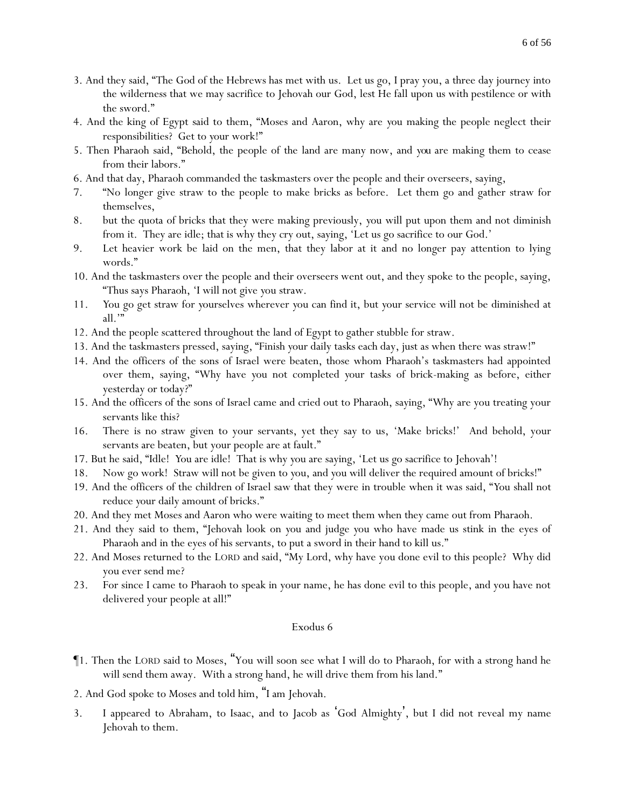- 3. And they said, "The God of the Hebrews has met with us. Let us go, I pray you, a three day journey into the wilderness that we may sacrifice to Jehovah our God, lest He fall upon us with pestilence or with the sword."
- 4. And the king of Egypt said to them, "Moses and Aaron, why are *y*ou making the people neglect their responsibilities? Get to *y*our work!"
- 5. Then Pharaoh said, "Behold, the people of the land are many now, and *you* are making them to cease from their labors."
- 6. And that day, Pharaoh commanded the taskmasters over the people and their overseers, saying,
- 7. "No longer give straw to the people to make bricks as before. Let them go and gather straw for themselves,
- 8. but the quota of bricks that they were making previously, *y*ou will put upon them and not diminish from it. They are idle; that is why they cry out, saying, 'Let us go sacrifice to our God.'
- 9. Let heavier work be laid on the men, that they labor at it and no longer pay attention to lying words."
- 10. And the taskmasters over the people and their overseers went out, and they spoke to the people, saying, "Thus says Pharaoh, 'I will not give *y*ou straw.
- 11. *Y*ou go get straw for *y*ourselves wherever *y*ou can find it, but *y*our service will not be diminished at all.'"
- 12. And the people scattered throughout the land of Egypt to gather stubble for straw.
- 13. And the taskmasters pressed, saying, "Finish *y*our daily tasks each day, just as when there was straw!"
- 14. And the officers of the sons of Israel were beaten, those whom Pharaoh's taskmasters had appointed over them, saying, "Why have *y*ou not completed *y*our tasks of brick-making as before, either yesterday or today?"
- 15. And the officers of the sons of Israel came and cried out to Pharaoh, saying, "Why are you treating your servants like this?
- 16. There is no straw given to your servants, yet they say to us, 'Make bricks!' And behold, your servants are beaten, but your people are at fault."
- 17. But he said, "Idle! *Y*ou are idle! That is why *y*ou are saying, 'Let us go sacrifice to Jehovah'!
- 18. Now go work! Straw will not be given to *y*ou, and *y*ou will deliver the required amount of bricks!"
- 19. And the officers of the children of Israel saw that they were in trouble when it was said, "*Y*ou shall not reduce *y*our daily amount of bricks."
- 20. And they met Moses and Aaron who were waiting to meet them when they came out from Pharaoh.
- 21. And they said to them, "Jehovah look on *y*ou and judge *y*ou who have made us stink in the eyes of Pharaoh and in the eyes of his servants, to put a sword in their hand to kill us."
- 22. And Moses returned to the LORD and said, "My Lord, why have you done evil to this people? Why did you ever send me?
- 23. For since I came to Pharaoh to speak in your name, he has done evil to this people, and you have not delivered your people at all!"

- ¶1. Then the LORD said to Moses, "You will soon see what I will do to Pharaoh, for with a strong hand he will send them away. With a strong hand, he will drive them from his land."
- 2. And God spoke to Moses and told him, "I am Jehovah.
- 3. I appeared to Abraham, to Isaac, and to Jacob as 'God Almighty', but I did not reveal my name Jehovah to them.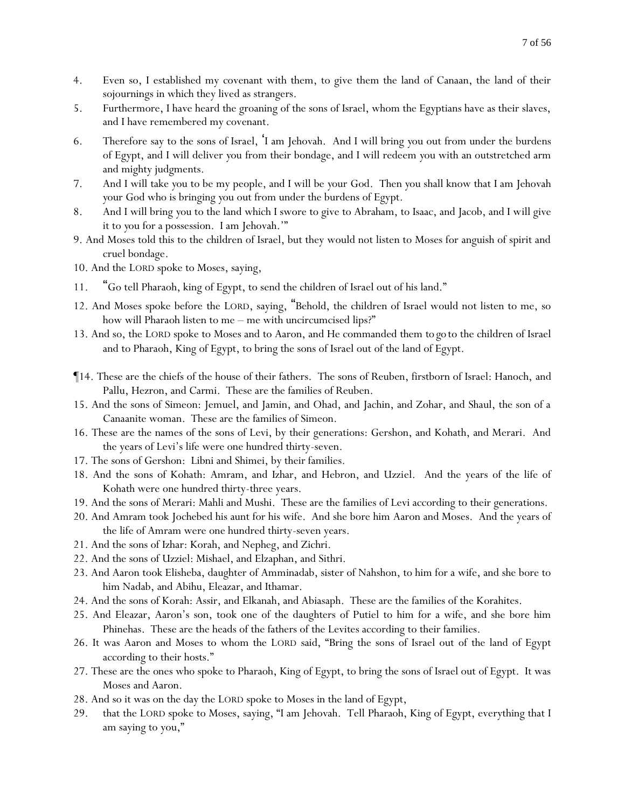- 4. Even so, I established my covenant with them, to give them the land of Canaan, the land of their sojournings in which they lived as strangers.
- 5. Furthermore, I have heard the groaning of the sons of Israel, whom the Egyptians have as their slaves, and I have remembered my covenant.
- 6. Therefore say to the sons of Israel, 'I am Jehovah. And I will bring *y*ou out from under the burdens of Egypt, and I will deliver *y*ou from their bondage, and I will redeem *y*ou with an outstretched arm and mighty judgments.
- 7. And I will take *y*ou to be my people, and I will be *y*our God. Then *y*ou shall know that I am Jehovah *y*our God who is bringing *y*ou out from under the burdens of Egypt.
- 8. And I will bring *y*ou to the land which I swore to give to Abraham, to Isaac, and Jacob, and I will give it to *y*ou for a possession. I am Jehovah.'"
- 9. And Moses told this to the children of Israel, but they would not listen to Moses for anguish of spirit and cruel bondage.
- 10. And the LORD spoke to Moses, saying,
- 11. "Go tell Pharaoh, king of Egypt, to send the children of Israel out of his land."
- 12. And Moses spoke before the LORD, saying, "Behold, the children of Israel would not listen to me, so how will Pharaoh listen to me – me with uncircumcised lips?"
- 13. And so, the LORD spoke to Moses and to Aaron, and He commanded them *to go* to the children of Israel and to Pharaoh, King of Egypt, to bring the sons of Israel out of the land of Egypt.
- ¶14. These are the chiefs of the house of their fathers. The sons of Reuben, firstborn of Israel: Hanoch, and Pallu, Hezron, and Carmi. These are the families of Reuben.
- 15. And the sons of Simeon: Jemuel, and Jamin, and Ohad, and Jachin, and Zohar, and Shaul, the son of a Canaanite woman. These are the families of Simeon.
- 16. These are the names of the sons of Levi, by their generations: Gershon, and Kohath, and Merari. And the years of Levi's life were one hundred thirty-seven.
- 17. The sons of Gershon: Libni and Shimei, by their families.
- 18. And the sons of Kohath: Amram, and Izhar, and Hebron, and Uzziel. And the years of the life of Kohath were one hundred thirty-three years.
- 19. And the sons of Merari: Mahli and Mushi. These are the families of Levi according to their generations.
- 20. And Amram took Jochebed his aunt for his wife. And she bore him Aaron and Moses. And the years of the life of Amram were one hundred thirty-seven years.
- 21. And the sons of Izhar: Korah, and Nepheg, and Zichri.
- 22. And the sons of Uzziel: Mishael, and Elzaphan, and Sithri.
- 23. And Aaron took Elisheba, daughter of Amminadab, sister of Nahshon, to him for a wife, and she bore to him Nadab, and Abihu, Eleazar, and Ithamar.
- 24. And the sons of Korah: Assir, and Elkanah, and Abiasaph. These are the families of the Korahites.
- 25. And Eleazar, Aaron's son, took one of the daughters of Putiel to him for a wife, and she bore him Phinehas. These are the heads of the fathers of the Levites according to their families.
- 26. It was Aaron and Moses to whom the LORD said, "Bring the sons of Israel out of the land of Egypt according to their hosts."
- 27. These are the ones who spoke to Pharaoh, King of Egypt, to bring the sons of Israel out of Egypt. It was Moses and Aaron.
- 28. And so it was on the day the LORD spoke to Moses in the land of Egypt,
- 29. that the LORD spoke to Moses, saying, "I am Jehovah. Tell Pharaoh, King of Egypt, everything that I am saying to you,"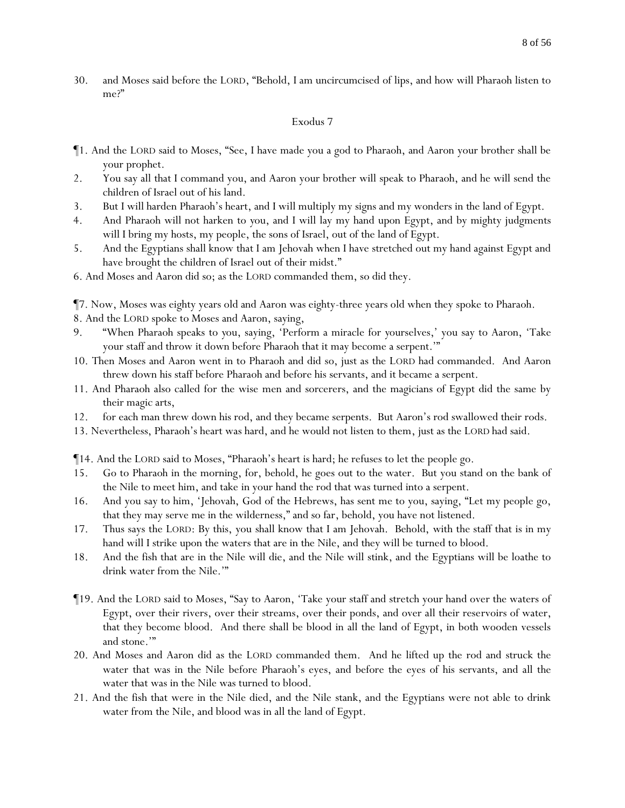30. and Moses said before the LORD, "Behold, I am uncircumcised of lips, and how will Pharaoh listen to me?"

#### Exodus 7

- ¶1. And the LORD said to Moses, "See, I have made you a god to Pharaoh, and Aaron your brother shall be your prophet.
- 2. You say all that I command you, and Aaron your brother will speak to Pharaoh, and he will send the children of Israel out of his land.
- 3. But I will harden Pharaoh's heart, and I will multiply my signs and my wonders in the land of Egypt.
- 4. And Pharaoh will not harken to *y*ou, and I will lay my hand upon Egypt, and by mighty judgments will I bring my hosts, my people, the sons of Israel, out of the land of Egypt.
- 5. And the Egyptians shall know that I am Jehovah when I have stretched out my hand against Egypt and have brought the children of Israel out of their midst."
- 6. And Moses and Aaron did so; as the LORD commanded them, so did they.

¶7. Now, Moses was eighty years old and Aaron was eighty-three years old when they spoke to Pharaoh.

- 8. And the LORD spoke to Moses and Aaron, saying,
- 9. "When Pharaoh speaks to *y*ou, saying, 'Perform a miracle for *y*ourselves,' you say to Aaron, 'Take your staff and throw it down before Pharaoh that it may become a serpent.'"
- 10. Then Moses and Aaron went in to Pharaoh and did so, just as the LORD had commanded. And Aaron threw down his staff before Pharaoh and before his servants, and it became a serpent.
- 11. And Pharaoh also called for the wise men and sorcerers, and the magicians of Egypt did the same by their magic arts,
- 12. for each man threw down his rod, and they became serpents. But Aaron's rod swallowed their rods.
- 13. Nevertheless, Pharaoh's heart was hard, and he would not listen to them, just as the LORD had said.
- ¶14. And the LORD said to Moses, "Pharaoh's heart is hard; he refuses to let the people go.
- 15. Go to Pharaoh in the morning, for, behold, he goes out to the water. But you stand on the bank of the Nile to meet him, and take in your hand the rod that was turned into a serpent.
- 16. And you say to him, 'Jehovah, God of the Hebrews, has sent me to you, saying, "Let my people go, that they may serve me in the wilderness," and so far, behold, you have not listened.
- 17. Thus says the LORD: By this, you shall know that I am Jehovah. Behold, with the staff that is in my hand will I strike upon the waters that are in the Nile, and they will be turned to blood.
- 18. And the fish that are in the Nile will die, and the Nile will stink, and the Egyptians will be loathe to drink water from the Nile.""
- ¶19. And the LORD said to Moses, "Say to Aaron, 'Take your staff and stretch your hand over the waters of Egypt, over their rivers, over their streams, over their ponds, and over all their reservoirs of water, that they become blood. And there shall be blood in all the land of Egypt, in both wooden vessels and stone.'"
- 20. And Moses and Aaron did as the LORD commanded them. And he lifted up the rod and struck the water that was in the Nile before Pharaoh's eyes, and before the eyes of his servants, and all the water that was in the Nile was turned to blood.
- 21. And the fish that were in the Nile died, and the Nile stank, and the Egyptians were not able to drink water from the Nile, and blood was in all the land of Egypt.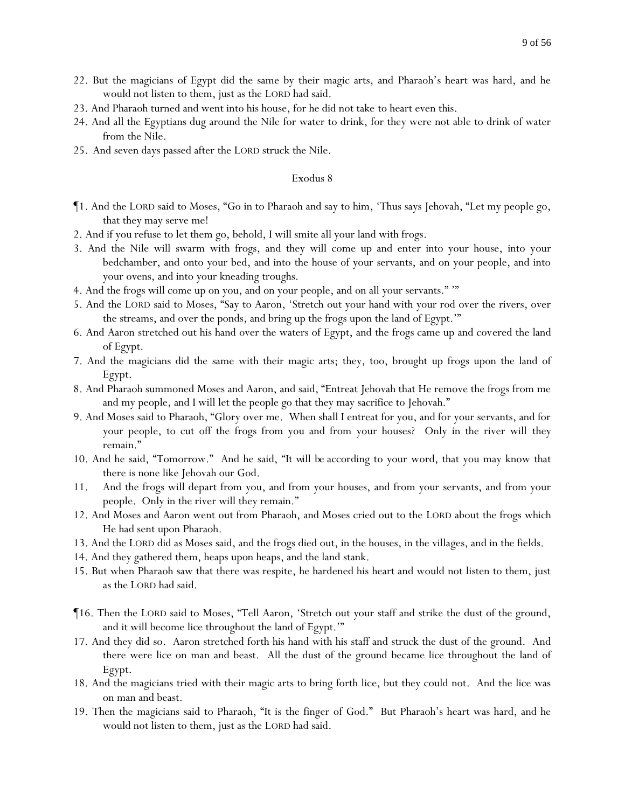- 22. But the magicians of Egypt did the same by their magic arts, and Pharaoh's heart was hard, and he would not listen to them, just as the LORD had said.
- 23. And Pharaoh turned and went into his house, for he did not take to heart even this.
- 24. And all the Egyptians dug around the Nile for water to drink, for they were not able to drink of water from the Nile.
- 25. And seven days passed after the LORD struck the Nile.

- ¶1. And the LORD said to Moses, "Go in to Pharaoh and say to him, 'Thus says Jehovah, "Let my people go, that they may serve me!
- 2. And if you refuse to let them go, behold, I will smite all your land with frogs.
- 3. And the Nile will swarm with frogs, and they will come up and enter into your house, into your bedchamber, and onto your bed, and into the house of your servants, and on your people, and into your ovens, and into your kneading troughs.
- 4. And the frogs will come up on you, and on your people, and on all your servants." '"
- 5. And the LORD said to Moses, "Say to Aaron, 'Stretch out your hand with your rod over the rivers, over the streams, and over the ponds, and bring up the frogs upon the land of Egypt.'"
- 6. And Aaron stretched out his hand over the waters of Egypt, and the frogs came up and covered the land of Egypt.
- 7. And the magicians did the same with their magic arts; they, too, brought up frogs upon the land of Egypt.
- 8. And Pharaoh summoned Moses and Aaron, and said, "Entreat Jehovah that He remove the frogs from me and my people, and I will let the people go that they may sacrifice to Jehovah."
- 9. And Moses said to Pharaoh, "Glory over me. When shall I entreat for you, and for your servants, and for your people, to cut off the frogs from you and from your houses? Only in the river will they remain."
- 10. And he said, "Tomorrow." And he said, "*It will be* according to your word, that you may know that there is none like Jehovah our God.
- 11. And the frogs will depart from you, and from your houses, and from your servants, and from your people. Only in the river will they remain."
- 12. And Moses and Aaron went out from Pharaoh, and Moses cried out to the LORD about the frogs which He had sent upon Pharaoh.
- 13. And the LORD did as Moses said, and the frogs died out, in the houses, in the villages, and in the fields.
- 14. And they gathered them, heaps upon heaps, and the land stank.
- 15. But when Pharaoh saw that there was respite, he hardened his heart and would not listen to them, just as the LORD had said.
- ¶16. Then the LORD said to Moses, "Tell Aaron, 'Stretch out your staff and strike the dust of the ground, and it will become lice throughout the land of Egypt.'"
- 17. And they did so. Aaron stretched forth his hand with his staff and struck the dust of the ground. And there were lice on man and beast. All the dust of the ground became lice throughout the land of Egypt.
- 18. And the magicians tried with their magic arts to bring forth lice, but they could not. And the lice was on man and beast.
- 19. Then the magicians said to Pharaoh, "It is the finger of God." But Pharaoh's heart was hard, and he would not listen to them, just as the LORD had said.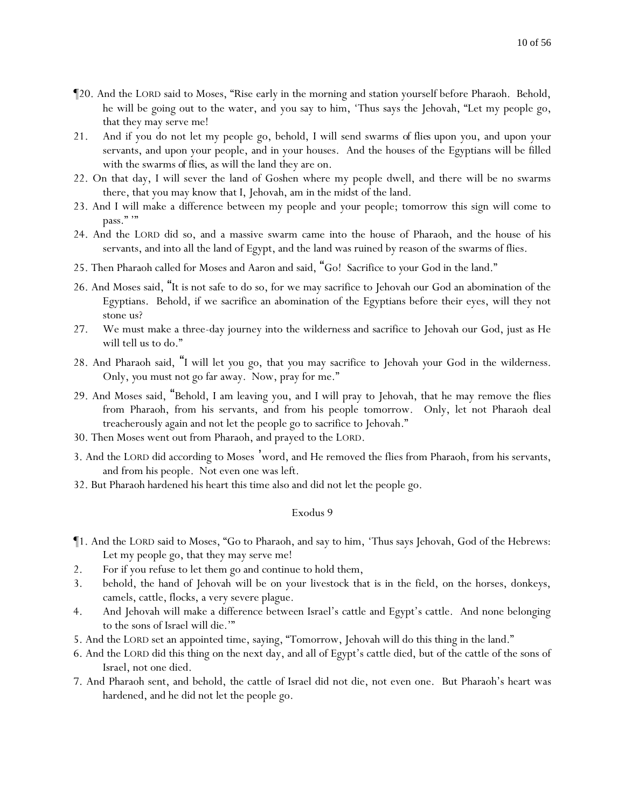- ¶20. And the LORD said to Moses, "Rise early in the morning and station yourself before Pharaoh. Behold, he will be going out to the water, and you say to him, 'Thus says the Jehovah, "Let my people go, that they may serve me!
- 21. And if you do not let my people go, behold, I will send swarms *of flies* upon you, and upon your servants, and upon your people, and in your houses. And the houses of the Egyptians will be filled with the swarms *of flies*, as will the land they are on.
- 22. On that day, I will sever the land of Goshen where my people dwell, and there will be no swarms there, that you may know that I, Jehovah, am in the midst of the land.
- 23. And I will make a difference between my people and your people; tomorrow this sign will come to pass.""
- 24. And the LORD did so, and a massive swarm came into the house of Pharaoh, and the house of his servants, and into all the land of Egypt, and the land was ruined by reason of the swarms of flies.
- 25. Then Pharaoh called for Moses and Aaron and said, "Go! Sacrifice to *y*our God in the land."
- 26. And Moses said, "It is not safe to do so, for we may sacrifice to Jehovah our God an abomination of the Egyptians. Behold, if we sacrifice an abomination of the Egyptians before their eyes, will they not stone us?
- 27. We must make a three-day journey into the wilderness and sacrifice to Jehovah our God, just as He will tell us to do."
- 28. And Pharaoh said, "I will let *y*ou go, that *y*ou may sacrifice to Jehovah *y*our God in the wilderness. Only, *y*ou must not go far away. Now, pray for me."
- 29. And Moses said, "Behold, I am leaving you, and I will pray to Jehovah, that he may remove the flies from Pharaoh, from his servants, and from his people tomorrow. Only, let not Pharaoh deal treacherously again and not let the people go to sacrifice to Jehovah."
- 30. Then Moses went out from Pharaoh, and prayed to the LORD.
- 3. And the LORD did according to Moses 'word, and He removed the flies from Pharaoh, from his servants, and from his people. Not even one was left.
- 32. But Pharaoh hardened his heart this time also and did not let the people go.

- ¶1. And the LORD said to Moses, "Go to Pharaoh, and say to him, 'Thus says Jehovah, God of the Hebrews: Let my people go, that they may serve me!
- 2. For if you refuse to let them go and continue to hold them,
- 3. behold, the hand of Jehovah will be on your livestock that is in the field, on the horses, donkeys, camels, cattle, flocks, a very severe plague.
- 4. And Jehovah will make a difference between Israel's cattle and Egypt's cattle. And none belonging to the sons of Israel will die.'"
- 5. And the LORD set an appointed time, saying, "Tomorrow, Jehovah will do this thing in the land."
- 6. And the LORD did this thing on the next day, and all of Egypt's cattle died, but of the cattle of the sons of Israel, not one died.
- 7. And Pharaoh sent, and behold, the cattle of Israel did not die, not even one. But Pharaoh's heart was hardened, and he did not let the people go.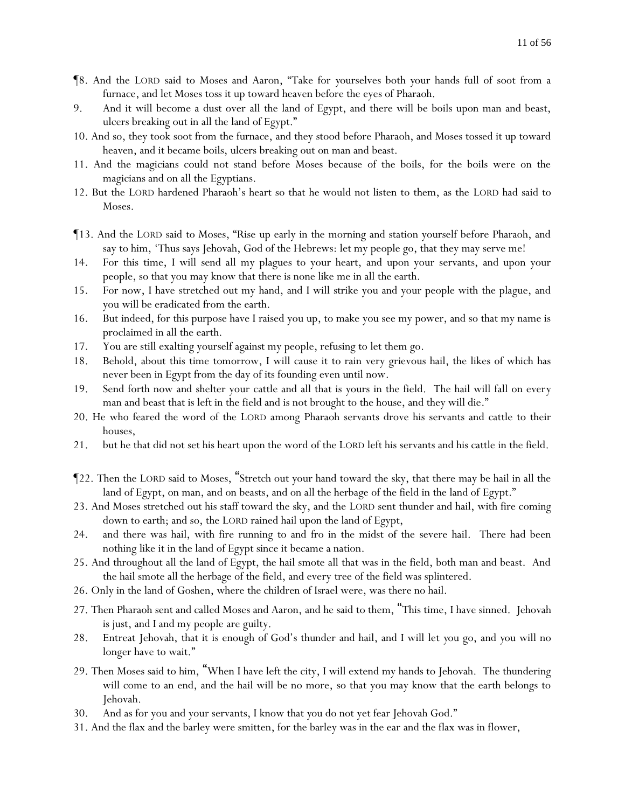- ¶8. And the LORD said to Moses and Aaron, "Take for *y*ourselves both *y*our hands full of soot from a furnace, and let Moses toss it up toward heaven before the eyes of Pharaoh.
- 9. And it will become a dust over all the land of Egypt, and there will be boils upon man and beast, ulcers breaking out in all the land of Egypt."
- 10. And so, they took soot from the furnace, and they stood before Pharaoh, and Moses tossed it up toward heaven, and it became boils, ulcers breaking out on man and beast.
- 11. And the magicians could not stand before Moses because of the boils, for the boils were on the magicians and on all the Egyptians.
- 12. But the LORD hardened Pharaoh's heart so that he would not listen to them, as the LORD had said to Moses.
- ¶13. And the LORD said to Moses, "Rise up early in the morning and station yourself before Pharaoh, and say to him, 'Thus says Jehovah, God of the Hebrews: let my people go, that they may serve me!
- 14. For this time, I will send all my plagues to your heart, and upon your servants, and upon your people, so that you may know that there is none like me in all the earth.
- 15. For now, I have stretched out my hand, and I will strike you and your people with the plague, and you will be eradicated from the earth.
- 16. But indeed, for this purpose have I raised you up, to make you see my power, and so that my name is proclaimed in all the earth.
- 17. You are still exalting yourself against my people, refusing to let them go.
- 18. Behold, about this time tomorrow, I will cause it to rain very grievous hail, the likes of which has never been in Egypt from the day of its founding even until now.
- 19. Send forth now and shelter your cattle and all that is yours in the field. The hail will fall on every man and beast that is left in the field and is not brought to the house, and they will die."
- 20. He who feared the word of the LORD among Pharaoh servants drove his servants and cattle to their houses,
- 21. but he that did not set his heart upon the word of the LORD left his servants and his cattle in the field.
- ¶22. Then the LORD said to Moses, "Stretch out your hand toward the sky, that there may be hail in all the land of Egypt, on man, and on beasts, and on all the herbage of the field in the land of Egypt."
- 23. And Moses stretched out his staff toward the sky, and the LORD sent thunder and hail, with fire coming down to earth; and so, the LORD rained hail upon the land of Egypt,
- 24. and there was hail, with fire running to and fro in the midst of the severe hail. There had been nothing like it in the land of Egypt since it became a nation.
- 25. And throughout all the land of Egypt, the hail smote all that was in the field, both man and beast. And the hail smote all the herbage of the field, and every tree of the field was splintered.
- 26. Only in the land of Goshen, where the children of Israel were, was there no hail.
- 27. Then Pharaoh sent and called Moses and Aaron, and he said to them, "This time, I have sinned. Jehovah is just, and I and my people are guilty.
- 28. Entreat Jehovah, that it is enough of God's thunder and hail, and I will let *y*ou go, and *y*ou will no longer have to wait."
- 29. Then Moses said to him, "When I have left the city, I will extend my hands to Jehovah. The thundering will come to an end, and the hail will be no more, so that you may know that the earth belongs to Jehovah.
- 30. And as for you and your servants, I know that *y*ou do not yet fear Jehovah God."
- 31. And the flax and the barley were smitten, for the barley was in the ear and the flax was in flower,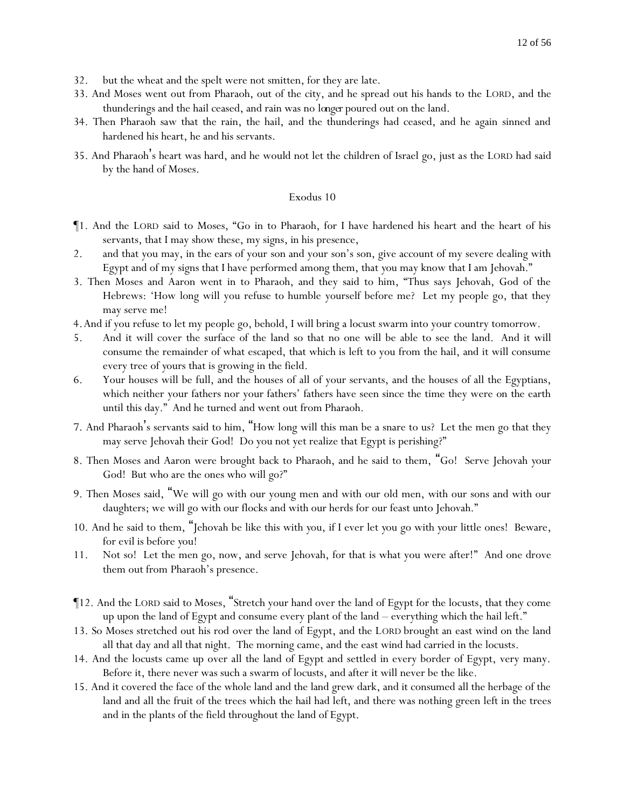- 32. but the wheat and the spelt were not smitten, for they are late.
- 33. And Moses went out from Pharaoh, out of the city, and he spread out his hands to the LORD, and the thunderings and the hail ceased, and rain was no *longer* poured out on the land.
- 34. Then Pharaoh saw that the rain, the hail, and the thunderings had ceased, and he again sinned and hardened his heart, he and his servants.
- 35. And Pharaoh's heart was hard, and he would not let the children of Israel go, just as the LORD had said by the hand of Moses.

- ¶1. And the LORD said to Moses, "Go in to Pharaoh, for I have hardened his heart and the heart of his servants, that I may show these, my signs, in his presence,
- 2. and that you may, in the ears of your son and your son's son, give account of my severe dealing with Egypt and of my signs that I have performed among them, that *y*ou may know that I am Jehovah."
- 3. Then Moses and Aaron went in to Pharaoh, and they said to him, "Thus says Jehovah, God of the Hebrews: 'How long will you refuse to humble yourself before me? Let my people go, that they may serve me!
- 4.And if you refuse to let my people go, behold, I will bring a locust swarm into your country tomorrow.
- 5. And it will cover the surface of the land so that no one will be able to see the land. And it will consume the remainder of what escaped, that which is left to you from the hail, and it will consume every tree of *y*ours that is growing in the field.
- 6. Your houses will be full, and the houses of all of your servants, and the houses of all the Egyptians, which neither your fathers nor your fathers' fathers have seen since the time they were on the earth until this day." And he turned and went out from Pharaoh.
- 7. And Pharaoh's servants said to him, "How long will this man be a snare to us? Let the men go that they may serve Jehovah their God! Do you not yet realize that Egypt is perishing?"
- 8. Then Moses and Aaron were brought back to Pharaoh, and he said to them, "Go! Serve Jehovah *y*our God! But who are the ones who will go?"
- 9. Then Moses said, "We will go with our young men and with our old men, with our sons and with our daughters; we will go with our flocks and with our herds for our feast unto Jehovah."
- 10. And he said to them, "Jehovah be like this with *y*ou, if I ever let *y*ou go with *y*our little ones! Beware, for evil is before *y*ou!
- 11. Not so! Let the men go, now, and serve Jehovah, for that is what you were after!" And one drove them out from Pharaoh's presence.
- ¶12. And the LORD said to Moses, "Stretch your hand over the land of Egypt for the locusts, that they come up upon the land of Egypt and consume every plant of the land – everything which the hail left."
- 13. So Moses stretched out his rod over the land of Egypt, and the LORD brought an east wind on the land all that day and all that night. The morning came, and the east wind had carried in the locusts.
- 14. And the locusts came up over all the land of Egypt and settled in every border of Egypt, very many. Before it, there never was such a swarm of locusts, and after it will never be the like.
- 15. And it covered the face of the whole land and the land grew dark, and it consumed all the herbage of the land and all the fruit of the trees which the hail had left, and there was nothing green left in the trees and in the plants of the field throughout the land of Egypt.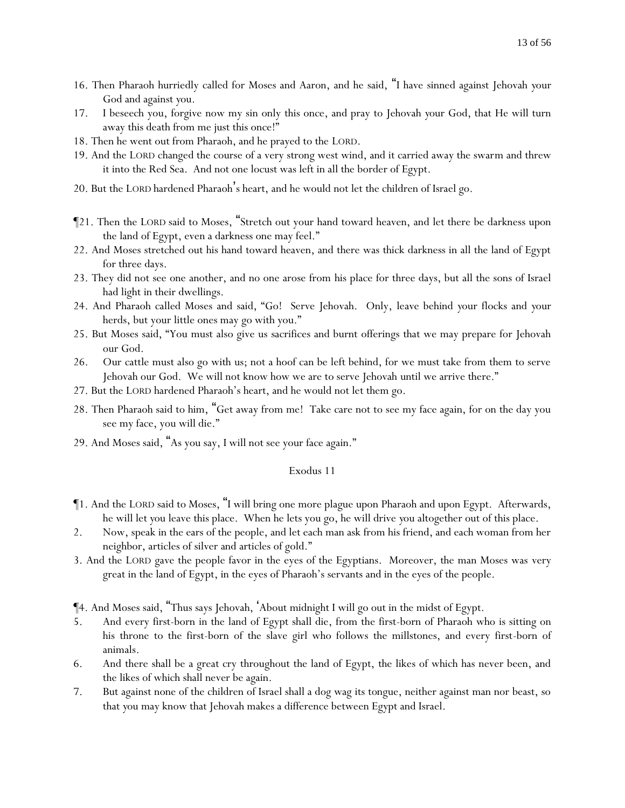- 16. Then Pharaoh hurriedly called for Moses and Aaron, and he said, "I have sinned against Jehovah *y*our God and against *y*ou.
- 17. I beseech you, forgive now my sin only this once, and pray to Jehovah *y*our God, that He will turn away this death from me just this once!"
- 18. Then he went out from Pharaoh, and he prayed to the LORD.
- 19. And the LORD changed the course of a very strong west wind, and it carried away the swarm and threw it into the Red Sea. And not one locust was left in all the border of Egypt.
- 20. But the LORD hardened Pharaoh's heart, and he would not let the children of Israel go.
- ¶21. Then the LORD said to Moses, "Stretch out your hand toward heaven, and let there be darkness upon the land of Egypt, even a darkness one may feel."
- 22. And Moses stretched out his hand toward heaven, and there was thick darkness in all the land of Egypt for three days.
- 23. They did not see one another, and no one arose from his place for three days, but all the sons of Israel had light in their dwellings.
- 24. And Pharaoh called Moses and said, "Go! Serve Jehovah. Only, leave behind *y*our flocks and *y*our herds, but your little ones may go with you."
- 25. But Moses said, "You must also give us sacrifices and burnt offerings that we may prepare for Jehovah our God.
- 26. Our cattle must also go with us; not a hoof can be left behind, for we must take from them to serve Jehovah our God. We will not know how we are to serve Jehovah until we arrive there."
- 27. But the LORD hardened Pharaoh's heart, and he would not let them go.
- 28. Then Pharaoh said to him, "Get away from me! Take care not to see my face again, for on the day you see my face, you will die."
- 29. And Moses said, "As you say, I will not see your face again."

- ¶1. And the LORD said to Moses, "I will bring one more plague upon Pharaoh and upon Egypt. Afterwards, he will let *y*ou leave this place. When he lets you go, he will drive *y*ou altogether out of this place.
- 2. Now, speak in the ears of the people, and let each man ask from his friend, and each woman from her neighbor, articles of silver and articles of gold."
- 3. And the LORD gave the people favor in the eyes of the Egyptians. Moreover, the man Moses was very great in the land of Egypt, in the eyes of Pharaoh's servants and in the eyes of the people.

¶4. And Moses said, "Thus says Jehovah, 'About midnight I will go out in the midst of Egypt.

- 5. And every first-born in the land of Egypt shall die, from the first-born of Pharaoh who is sitting on his throne to the first-born of the slave girl who follows the millstones, and every first-born of animals.
- 6. And there shall be a great cry throughout the land of Egypt, the likes of which has never been, and the likes of which shall never be again.
- 7. But against none of the children of Israel shall a dog wag its tongue, neither against man nor beast, so that *y*ou may know that Jehovah makes a difference between Egypt and Israel.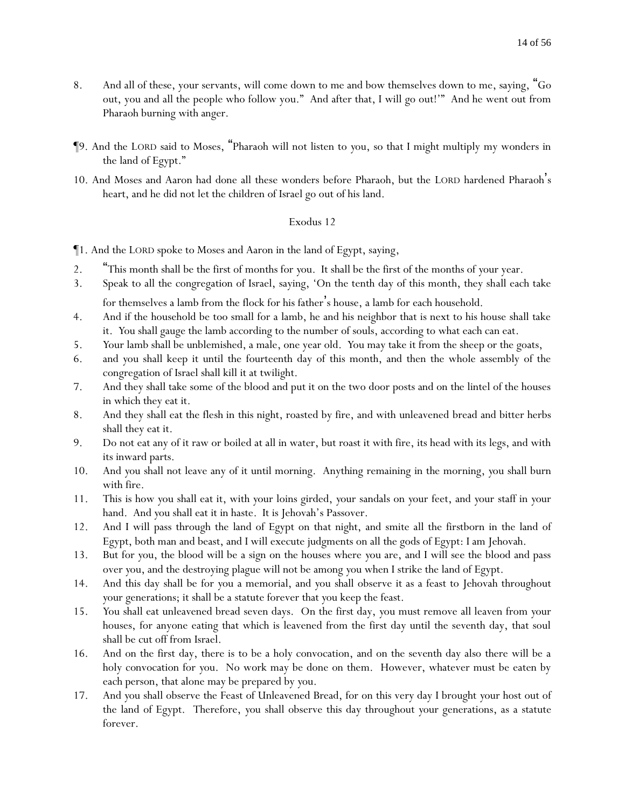- 8. And all of these, your servants, will come down to me and bow themselves down to me, saying, "Go out, you and all the people who follow you." And after that, I will go out!'" And he went out from Pharaoh burning with anger.
- ¶9. And the LORD said to Moses, "Pharaoh will not listen to *y*ou, so that I might multiply my wonders in the land of Egypt."
- 10. And Moses and Aaron had done all these wonders before Pharaoh, but the LORD hardened Pharaoh's heart, and he did not let the children of Israel go out of his land.

- ¶1. And the LORD spoke to Moses and Aaron in the land of Egypt, saying,
- 2. "This month shall be the first of months for *y*ou. It shall be the first of the months of *y*our year.
- 3. Speak to all the congregation of Israel, saying, 'On the tenth day of this month, they shall each take for themselves a lamb from the flock for his father's house, a lamb for each household.
- 4. And if the household be too small for a lamb, he and his neighbor that is next to his house shall take it. *Y*ou shall gauge the lamb according to the number of souls, according to what each can eat.
- 5. *Y*our lamb shall be unblemished, a male, one year old. *Y*ou may take it from the sheep or the goats,
- 6. and *y*ou shall keep it until the fourteenth day of this month, and then the whole assembly of the congregation of Israel shall kill it at twilight.
- 7. And they shall take some of the blood and put it on the two door posts and on the lintel of the houses in which they eat it.
- 8. And they shall eat the flesh in this night, roasted by fire, and with unleavened bread and bitter herbs shall they eat it.
- 9. Do not eat any of it raw or boiled at all in water, but roast it with fire, its head with its legs, and with its inward parts.
- 10. And *y*ou shall not leave any of it until morning. Anything remaining in the morning, *y*ou shall burn with fire.
- 11. This is how *y*ou shall eat it, with *y*our loins girded, *y*our sandals on *y*our feet, and *y*our staff in *y*our hand. And *y*ou shall eat it in haste. It is Jehovah's Passover.
- 12. And I will pass through the land of Egypt on that night, and smite all the firstborn in the land of Egypt, both man and beast, and I will execute judgments on all the gods of Egypt: I am Jehovah.
- 13. But for *y*ou, the blood will be a sign on the houses where *y*ou are, and I will see the blood and pass over *y*ou, and the destroying plague will not be among *y*ou when I strike the land of Egypt.
- 14. And this day shall be for *y*ou a memorial, and *y*ou shall observe it as a feast to Jehovah throughout *y*our generations; it shall be a statute forever that *y*ou keep the feast.
- 15. *Y*ou shall eat unleavened bread seven days. On the first day, *y*ou must remove all leaven from *y*our houses, for anyone eating that which is leavened from the first day until the seventh day, that soul shall be cut off from Israel.
- 16. And on the first day, there is to be a holy convocation, and on the seventh day also there will be a holy convocation for *y*ou. No work may be done on them. However, whatever must be eaten by each person, that alone may be prepared by *y*ou.
- 17. And *y*ou shall observe the Feast of Unleavened Bread, for on this very day I brought *y*our host out of the land of Egypt. Therefore, *y*ou shall observe this day throughout *y*our generations, as a statute forever.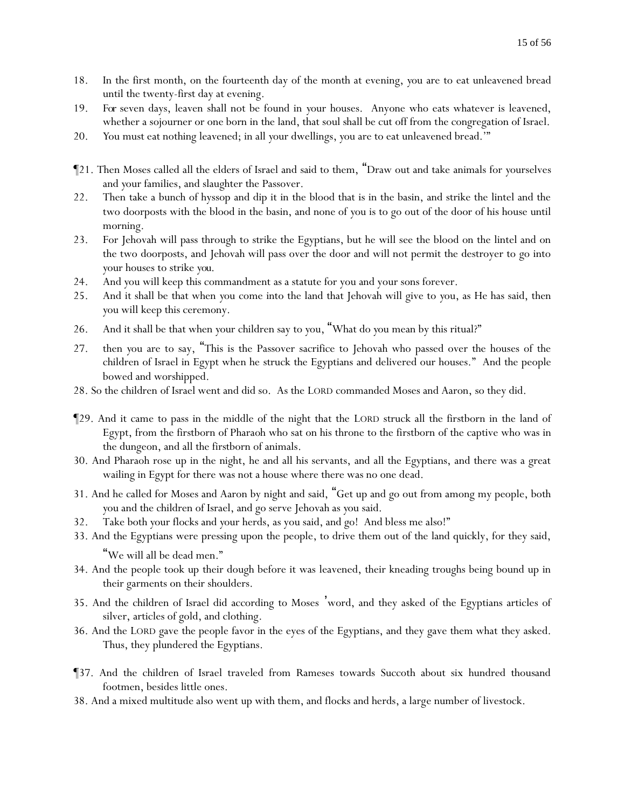- 18. In the first month, on the fourteenth day of the month at evening, *y*ou are to eat unleavened bread until the twenty-first day at evening.
- 19. *For* seven days, leaven shall not be found in *y*our houses. Anyone who eats whatever is leavened, whether a sojourner or one born in the land, that soul shall be cut off from the congregation of Israel.
- 20. *Y*ou must eat nothing leavened; in all *y*our dwellings, *y*ou are to eat unleavened bread.'"
- ¶21. Then Moses called all the elders of Israel and said to them, "Draw out and take animals for *y*ourselves and *y*our families, and slaughter the Passover.
- 22. Then take a bunch of hyssop and dip it in the blood that is in the basin, and strike the lintel and the two doorposts with the blood in the basin, and none of *y*ou is to go out of the door of his house until morning.
- 23. For Jehovah will pass through to strike the Egyptians, but he will see the blood on the lintel and on the two doorposts, and Jehovah will pass over the door and will not permit the destroyer to go into *y*our houses to strike *you*.
- 24. And *y*ou will keep this commandment as a statute for you and your sons forever.
- 25. And it shall be that when *y*ou come into the land that Jehovah will give to *y*ou, as He has said, then *y*ou will keep this ceremony.
- 26. And it shall be that when *y*our children say to *y*ou, "What do *y*ou mean by this ritual?"
- 27. then *y*ou are to say, "This is the Passover sacrifice to Jehovah who passed over the houses of the children of Israel in Egypt when he struck the Egyptians and delivered our houses." And the people bowed and worshipped.
- 28. So the children of Israel went and did so. As the LORD commanded Moses and Aaron, so they did.
- ¶29. And it came to pass in the middle of the night that the LORD struck all the firstborn in the land of Egypt, from the firstborn of Pharaoh who sat on his throne to the firstborn of the captive who was in the dungeon, and all the firstborn of animals.
- 30. And Pharaoh rose up in the night, he and all his servants, and all the Egyptians, and there was a great wailing in Egypt for there was not a house where there was no one dead.
- 31. And he called for Moses and Aaron by night and said, "Get up and go out from among my people, both *y*ou and the children of Israel, and go serve Jehovah as *y*ou said.
- 32. Take both *y*our flocks and *y*our herds, as you said, and go! And bless me also!"
- 33. And the Egyptians were pressing upon the people, to drive them out of the land quickly, for they said, "We will all be dead men."
- 34. And the people took up their dough before it was leavened, their kneading troughs being bound up in their garments on their shoulders.
- 35. And the children of Israel did according to Moses 'word, and they asked of the Egyptians articles of silver, articles of gold, and clothing.
- 36. And the LORD gave the people favor in the eyes of the Egyptians, and they gave them what they asked. Thus, they plundered the Egyptians.
- ¶37. And the children of Israel traveled from Rameses towards Succoth about six hundred thousand footmen, besides little ones.
- 38. And a mixed multitude also went up with them, and flocks and herds, a large number of livestock.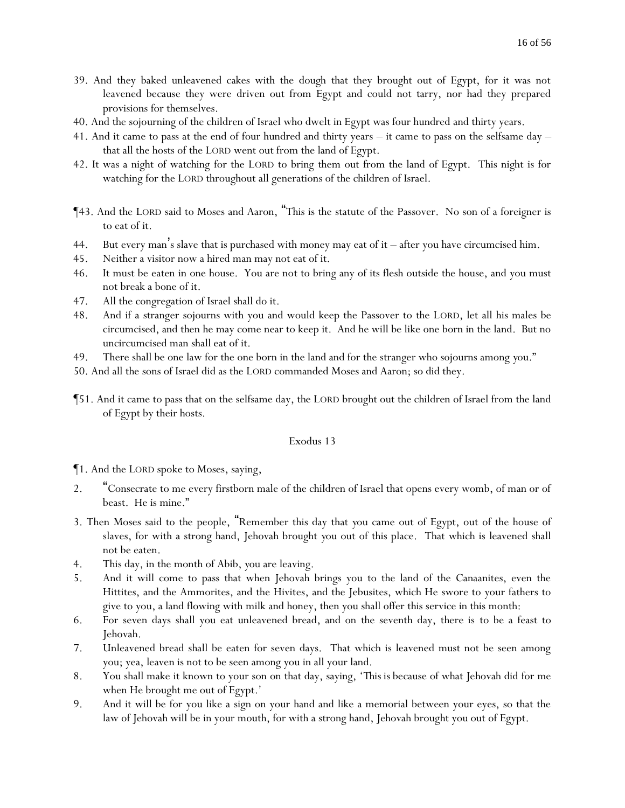- 39. And they baked unleavened cakes with the dough that they brought out of Egypt, for it was not leavened because they were driven out from Egypt and could not tarry, nor had they prepared provisions for themselves.
- 40. And the sojourning of the children of Israel who dwelt in Egypt was four hundred and thirty years.
- 41. And it came to pass at the end of four hundred and thirty years it came to pass on the selfsame day that all the hosts of the LORD went out from the land of Egypt.
- 42. It was a night of watching for the LORD to bring them out from the land of Egypt. This night is for watching for the LORD throughout all generations of the children of Israel.
- ¶43. And the LORD said to Moses and Aaron, "This is the statute of the Passover. No son of a foreigner is to eat of it.
- 44. But every man's slave that is purchased with money may eat of it after you have circumcised him.
- 45. Neither a visitor now a hired man may not eat of it.
- 46. It must be eaten in one house. You are not to bring any of its flesh outside the house, and you must not break a bone of it.
- 47. All the congregation of Israel shall do it.
- 48. And if a stranger sojourns with you and would keep the Passover to the LORD, let all his males be circumcised, and then he may come near to keep it. And he will be like one born in the land. But no uncircumcised man shall eat of it.
- 49. There shall be one law for the one born in the land and for the stranger who sojourns among *y*ou."
- 50. And all the sons of Israel did as the LORD commanded Moses and Aaron; so did they.
- ¶51. And it came to pass that on the selfsame day, the LORD brought out the children of Israel from the land of Egypt by their hosts.

- ¶1. And the LORD spoke to Moses, saying,
- 2. "Consecrate to me every firstborn male of the children of Israel that opens every womb, of man or of beast. He is mine."
- 3. Then Moses said to the people, "Remember this day that *y*ou came out of Egypt, out of the house of slaves, for with a strong hand, Jehovah brought *y*ou out of this place. That which is leavened shall not be eaten.
- 4. This day, in the month of Abib, *y*ou are leaving.
- 5. And it will come to pass that when Jehovah brings you to the land of the Canaanites, even the Hittites, and the Ammorites, and the Hivites, and the Jebusites, which He swore to your fathers to give to you, a land flowing with milk and honey, then you shall offer this service in this month:
- 6. For seven days shall you eat unleavened bread, and on the seventh day, there is to be a feast to Jehovah.
- 7. Unleavened bread shall be eaten for seven days. That which is leavened must not be seen among you; yea, leaven is not to be seen among you in all your land.
- 8. You shall make it known to your son on that day, saying, '*This is* because of what Jehovah did for me when He brought me out of Egypt.'
- 9. And it will be for you like a sign on your hand and like a memorial between your eyes, so that the law of Jehovah will be in your mouth, for with a strong hand, Jehovah brought you out of Egypt.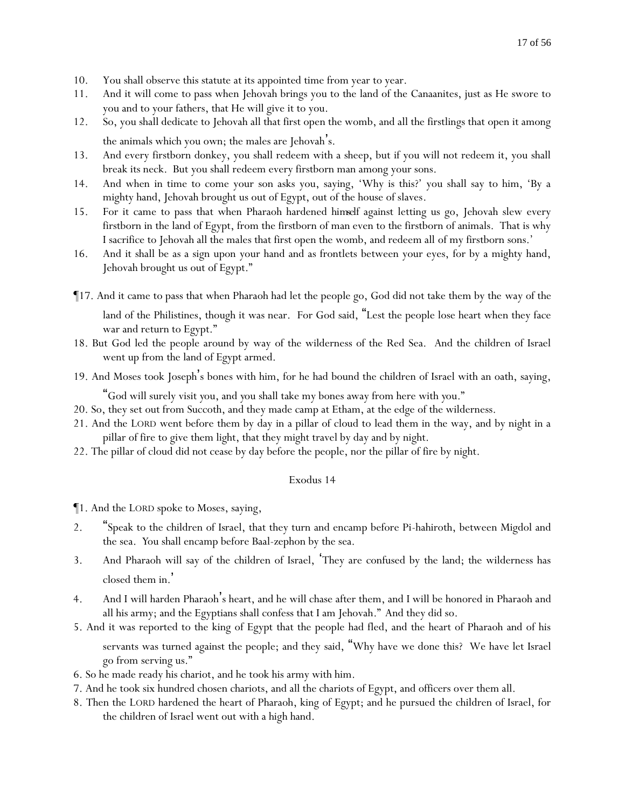- 10. You shall observe this statute at its appointed time from year to year.
- 11. And it will come to pass when Jehovah brings you to the land of the Canaanites, just as He swore to you and to your fathers, that He will give it to you.
- 12. So, you shall dedicate to Jehovah all that first open the womb, and all the firstlings that open it among the animals which you own; the males are Jehovah's.
- 13. And every firstborn donkey, you shall redeem with a sheep, but if you will not redeem it, you shall break its neck. But you shall redeem every firstborn man among your sons.
- 14. And when in time to come your son asks you, saying, 'Why is this?' you shall say to him, 'By a mighty hand, Jehovah brought us out of Egypt, out of the house of slaves.
- 15. For it came to pass that when Pharaoh hardened *himself* against letting us go, Jehovah slew every firstborn in the land of Egypt, from the firstborn of man even to the firstborn of animals. That is why I sacrifice to Jehovah all the males that first open the womb, and redeem all of my firstborn sons.'
- 16. And it shall be as a sign upon your hand and as frontlets between your eyes, for by a mighty hand, Jehovah brought us out of Egypt."
- ¶17. And it came to pass that when Pharaoh had let the people go, God did not take them by the way of the land of the Philistines, though it was near. For God said, "Lest the people lose heart when they face war and return to Egypt."
- 18. But God led the people around by way of the wilderness of the Red Sea. And the children of Israel went up from the land of Egypt armed.
- 19. And Moses took Joseph's bones with him, for he had bound the children of Israel with an oath, saying,

"God will surely visit *y*ou, and *y*ou shall take my bones away from here with *y*ou."

- 20. So, they set out from Succoth, and they made camp at Etham, at the edge of the wilderness.
- 21. And the LORD went before them by day in a pillar of cloud to lead them in the way, and by night in a pillar of fire to give them light, that they might travel by day and by night.
- 22. The pillar of cloud did not cease by day before the people, nor the pillar of fire by night.

# Exodus 14

¶1. And the LORD spoke to Moses, saying,

- 2. "Speak to the children of Israel, that they turn and encamp before Pi-hahiroth, between Migdol and the sea. *Y*ou shall encamp before Baal-zephon by the sea.
- 3. And Pharaoh will say of the children of Israel, 'They are confused by the land; the wilderness has closed them in. '
- 4. And I will harden Pharaoh's heart, and he will chase after them, and I will be honored in Pharaoh and all his army; and the Egyptians shall confess that I am Jehovah." And they did so.
- 5. And it was reported to the king of Egypt that the people had fled, and the heart of Pharaoh and of his servants was turned against the people; and they said, "Why have we done this? We have let Israel go from serving us."
- 6. So he made ready his chariot, and he took his army with him.
- 7. And he took six hundred chosen chariots, and all the chariots of Egypt, and officers over them all.
- 8. Then the LORD hardened the heart of Pharaoh, king of Egypt; and he pursued the children of Israel, for the children of Israel went out with a high hand.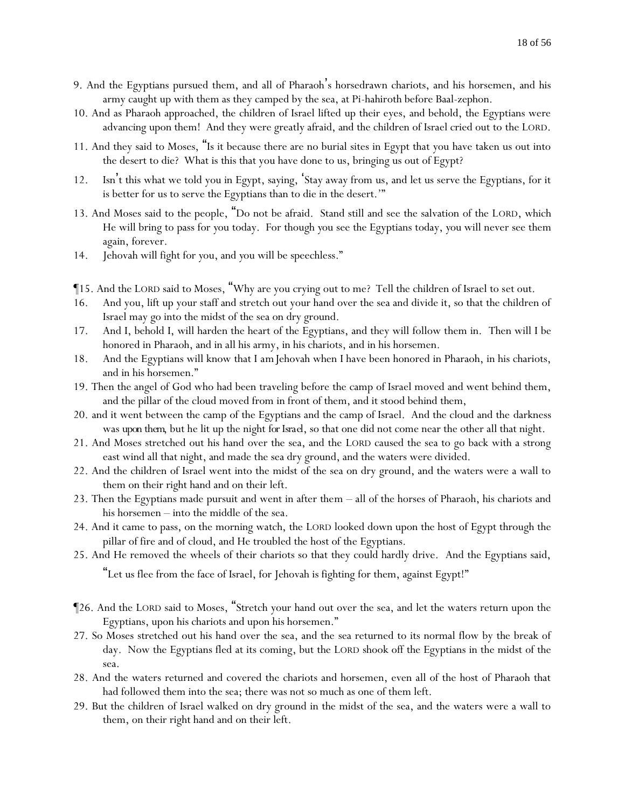- 9. And the Egyptians pursued them, and all of Pharaoh's horsedrawn chariots, and his horsemen, and his army caught up with them as they camped by the sea, at Pi-hahiroth before Baal-zephon.
- 10. And as Pharaoh approached, the children of Israel lifted up their eyes, and behold, the Egyptians were advancing upon them! And they were greatly afraid, and the children of Israel cried out to the LORD.
- 11. And they said to Moses, "Is it because there are no burial sites in Egypt that you have taken us out into the desert to die? What is this that you have done to us, bringing us out of Egypt?
- 12. Isn't this what we told you in Egypt, saying, 'Stay away from us, and let us serve the Egyptians, for it is better for us to serve the Egyptians than to die in the desert.'"
- 13. And Moses said to the people, "Do not be afraid. Stand still and see the salvation of the LORD, which He will bring to pass for *y*ou today. For though *y*ou see the Egyptians today, *y*ou will never see them again, forever.
- 14. Jehovah will fight for *y*ou, and *y*ou will be speechless."
- ¶15. And the LORD said to Moses, "Why are you crying out to me? Tell the children of Israel to set out.
- 16. And you, lift up your staff and stretch out your hand over the sea and divide it, so that the children of Israel may go into the midst of the sea on dry ground.
- 17. And I, behold I, will harden the heart of the Egyptians, and they will follow them in. Then will I be honored in Pharaoh, and in all his army, in his chariots, and in his horsemen.
- 18. And the Egyptians will know that I *am*Jehovah when I have been honored in Pharaoh, in his chariots, and in his horsemen."
- 19. Then the angel of God who had been traveling before the camp of Israel moved and went behind them, and the pillar of the cloud moved from in front of them, and it stood behind them,
- 20. and it went between the camp of the Egyptians and the camp of Israel. And the cloud and the darkness was *upon them*, but he lit up the night *for Israel*, so that one did not come near the other all that night.
- 21. And Moses stretched out his hand over the sea, and the LORD caused the sea to go back with a strong east wind all that night, and made the sea dry ground, and the waters were divided.
- 22. And the children of Israel went into the midst of the sea on dry ground, and the waters were a wall to them on their right hand and on their left.
- 23. Then the Egyptians made pursuit and went in after them all of the horses of Pharaoh, his chariots and his horsemen – into the middle of the sea.
- 24. And it came to pass, on the morning watch, the LORD looked down upon the host of Egypt through the pillar of fire and of cloud, and He troubled the host of the Egyptians.
- 25. And He removed the wheels of their chariots so that they could hardly drive. And the Egyptians said,

"Let us flee from the face of Israel, for Jehovah is fighting for them, against Egypt!"

- ¶26. And the LORD said to Moses, "Stretch your hand out over the sea, and let the waters return upon the Egyptians, upon his chariots and upon his horsemen."
- 27. So Moses stretched out his hand over the sea, and the sea returned to its normal flow by the break of day. Now the Egyptians fled at its coming, but the LORD shook off the Egyptians in the midst of the sea.
- 28. And the waters returned and covered the chariots and horsemen, even all of the host of Pharaoh that had followed them into the sea; there was not so much as one of them left.
- 29. But the children of Israel walked on dry ground in the midst of the sea, and the waters were a wall to them, on their right hand and on their left.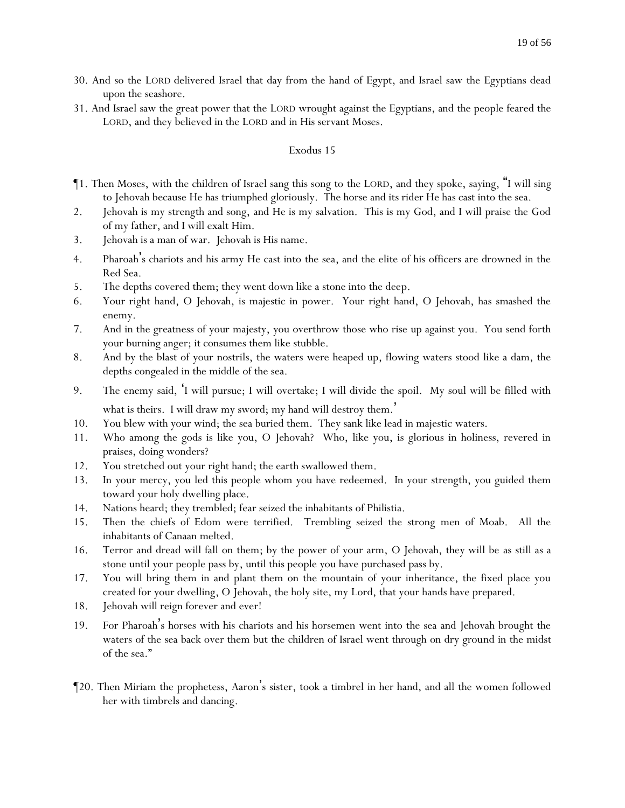- 30. And so the LORD delivered Israel that day from the hand of Egypt, and Israel saw the Egyptians dead upon the seashore.
- 31. And Israel saw the great power that the LORD wrought against the Egyptians, and the people feared the LORD, and they believed in the LORD and in His servant Moses.

- ¶1. Then Moses, with the children of Israel sang this song to the LORD, and they spoke, saying, "I will sing to Jehovah because He has triumphed gloriously. The horse and its rider He has cast into the sea.
- 2. Jehovah is my strength and song, and He is my salvation. This is my God, and I will praise the God of my father, and I will exalt Him.
- 3. Jehovah is a man of war. Jehovah is His name.
- 4. Pharoah's chariots and his army He cast into the sea, and the elite of his officers are drowned in the Red Sea.
- 5. The depths covered them; they went down like a stone into the deep.
- 6. Your right hand, O Jehovah, is majestic in power. Your right hand, O Jehovah, has smashed the enemy.
- 7. And in the greatness of your majesty, you overthrow those who rise up against you. You send forth your burning anger; it consumes them like stubble.
- 8. And by the blast of your nostrils, the waters were heaped up, flowing waters stood like a dam, the depths congealed in the middle of the sea.
- 9. The enemy said, 'I will pursue; I will overtake; I will divide the spoil. My soul will be filled with what is theirs. I will draw my sword; my hand will destroy them. '
- 10. You blew with your wind; the sea buried them. They sank like lead in majestic waters.
- 11. Who among the gods is like you, O Jehovah? Who, like you, is glorious in holiness, revered in praises, doing wonders?
- 12. You stretched out your right hand; the earth swallowed them.
- 13. In your mercy, you led this people whom you have redeemed. In your strength, you guided them toward your holy dwelling place.
- 14. Nations heard; they trembled; fear seized the inhabitants of Philistia.
- 15. Then the chiefs of Edom were terrified. Trembling seized the strong men of Moab. All the inhabitants of Canaan melted.
- 16. Terror and dread will fall on them; by the power of your arm, O Jehovah, they will be as still as a stone until your people pass by, until this people you have purchased pass by.
- 17. You will bring them in and plant them on the mountain of your inheritance, the fixed place you created for your dwelling, O Jehovah, the holy site, my Lord, that your hands have prepared.
- 18. Jehovah will reign forever and ever!
- 19. For Pharoah's horses with his chariots and his horsemen went into the sea and Jehovah brought the waters of the sea back over them but the children of Israel went through on dry ground in the midst of the sea."
- ¶20. Then Miriam the prophetess, Aaron's sister, took a timbrel in her hand, and all the women followed her with timbrels and dancing.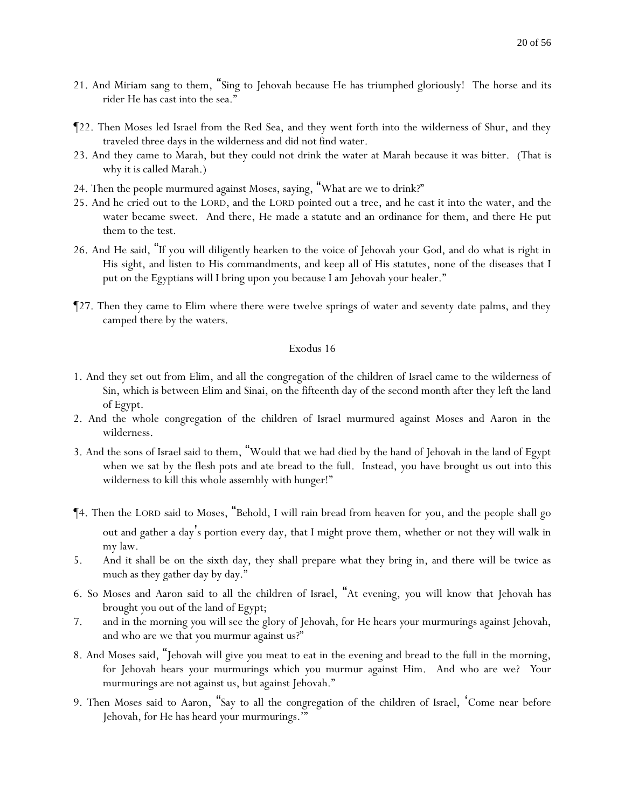- 21. And Miriam sang to them, "Sing to Jehovah because He has triumphed gloriously! The horse and its rider He has cast into the sea."
- ¶22. Then Moses led Israel from the Red Sea, and they went forth into the wilderness of Shur, and they traveled three days in the wilderness and did not find water.
- 23. And they came to Marah, but they could not drink the water at Marah because it was bitter. (That is why it is called Marah.)
- 24. Then the people murmured against Moses, saying, "What are we to drink?"
- 25. And he cried out to the LORD, and the LORD pointed out a tree, and he cast it into the water, and the water became sweet. And there, He made a statute and an ordinance for them, and there He put them to the test.
- 26. And He said, "If you will diligently hearken to the voice of Jehovah your God, and do what is right in His sight, and listen to His commandments, and keep all of His statutes, none of the diseases that I put on the Egyptians will I bring upon you because I am Jehovah your healer."
- ¶27. Then they came to Elim where there were twelve springs of water and seventy date palms, and they camped there by the waters.

- 1. And they set out from Elim, and all the congregation of the children of Israel came to the wilderness of Sin, which is between Elim and Sinai, on the fifteenth day of the second month after they left the land of Egypt.
- 2. And the whole congregation of the children of Israel murmured against Moses and Aaron in the wilderness.
- 3. And the sons of Israel said to them, "Would that we had died by the hand of Jehovah in the land of Egypt when we sat by the flesh pots and ate bread to the full. Instead, *y*ou have brought us out into this wilderness to kill this whole assembly with hunger!"
- ¶4. Then the LORD said to Moses, "Behold, I will rain bread from heaven for *y*ou, and the people shall go out and gather a day's portion every day, that I might prove them, whether or not they will walk in my law.
- 5. And it shall be on the sixth day, they shall prepare what they bring in, and there will be twice as much as they gather day by day."
- 6. So Moses and Aaron said to all the children of Israel, "At evening, *y*ou will know that Jehovah has brought *y*ou out of the land of Egypt;
- 7. and in the morning *y*ou will see the glory of Jehovah, for He hears *y*our murmurings against Jehovah, and who are we that *y*ou murmur against us?"
- 8. And Moses said, "Jehovah will give *y*ou meat to eat in the evening and bread to the full in the morning, for Jehovah hears *y*our murmurings which *y*ou murmur against Him. And who are we? *Y*our murmurings are not against us, but against Jehovah."
- 9. Then Moses said to Aaron, "Say to all the congregation of the children of Israel, 'Come near before Jehovah, for He has heard *y*our murmurings.'"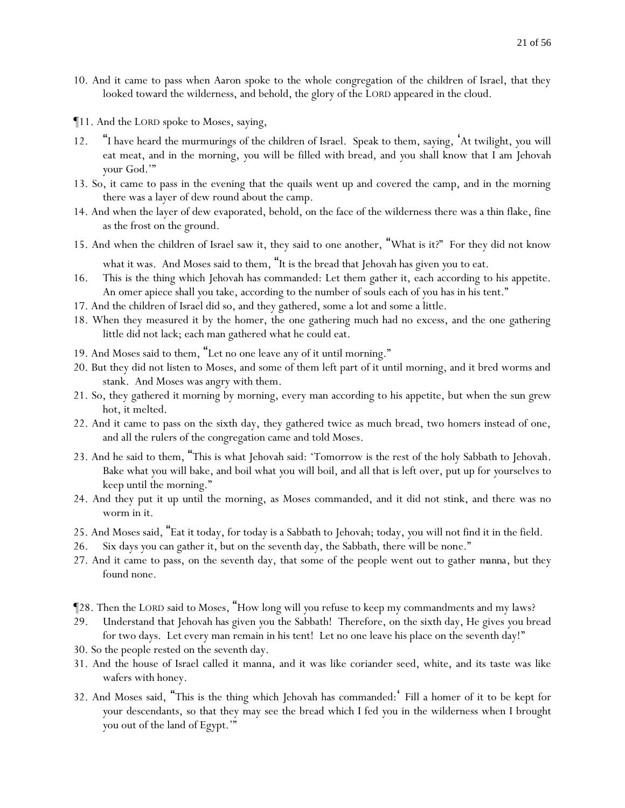- 10. And it came to pass when Aaron spoke to the whole congregation of the children of Israel, that they looked toward the wilderness, and behold, the glory of the LORD appeared in the cloud.
- ¶11. And the LORD spoke to Moses, saying,
- 12. "I have heard the murmurings of the children of Israel. Speak to them, saying, 'At twilight, *y*ou will eat meat, and in the morning, *y*ou will be filled with bread, and *y*ou shall know that I am Jehovah *y*our God.'"
- 13. So, it came to pass in the evening that the quails went up and covered the camp, and in the morning there was a layer of dew round about the camp.
- 14. And when the layer of dew evaporated, behold, on the face of the wilderness there was a thin flake, fine as the frost on the ground.
- 15. And when the children of Israel saw it, they said to one another, "What is it?" For they did not know

what it was. And Moses said to them, "It is the bread that Jehovah has given *y*ou to eat.

- 16. This is the thing which Jehovah has commanded: Let them gather it, each according to his appetite. An omer apiece shall *y*ou take, according to the number of souls each of *y*ou has in his tent."
- 17. And the children of Israel did so, and they gathered, some a lot and some a little.
- 18. When they measured it by the homer, the one gathering much had no excess, and the one gathering little did not lack; each man gathered what he could eat.
- 19. And Moses said to them, "Let no one leave any of it until morning."
- 20. But they did not listen to Moses, and some of them left part of it until morning, and it bred worms and stank. And Moses was angry with them.
- 21. So, they gathered it morning by morning, every man according to his appetite, but when the sun grew hot, it melted.
- 22. And it came to pass on the sixth day, they gathered twice as much bread, two homers instead of one, and all the rulers of the congregation came and told Moses.
- 23. And he said to them, "This is what Jehovah said: 'Tomorrow is the rest of the holy Sabbath to Jehovah. Bake what *y*ou will bake, and boil what *y*ou will boil, and all that is left over, put up for *y*ourselves to keep until the morning."
- 24. And they put it up until the morning, as Moses commanded, and it did not stink, and there was no worm in it.
- 25. And Moses said, "Eat it today, for today is a Sabbath to Jehovah; today, *y*ou will not find it in the field.
- 26. Six days *y*ou can gather it, but on the seventh day, the Sabbath, there will be none."
- 27. And it came to pass, on the seventh day, that some of the people went out to gather *manna*, but they found none.
- ¶28. Then the LORD said to Moses, "How long will *y*ou refuse to keep my commandments and my laws?
- 29. Understand that Jehovah has given *y*ou the Sabbath! Therefore, on the sixth day, He gives *y*ou bread for two days. Let every man remain in his tent! Let no one leave his place on the seventh day!"
- 30. So the people rested on the seventh day.
- 31. And the house of Israel called it manna, and it was like coriander seed, white, and its taste was like wafers with honey.
- 32. And Moses said, "This is the thing which Jehovah has commanded: ' Fill a homer of it to be kept for *y*our descendants, so that they may see the bread which I fed *y*ou in the wilderness when I brought *y*ou out of the land of Egypt.'"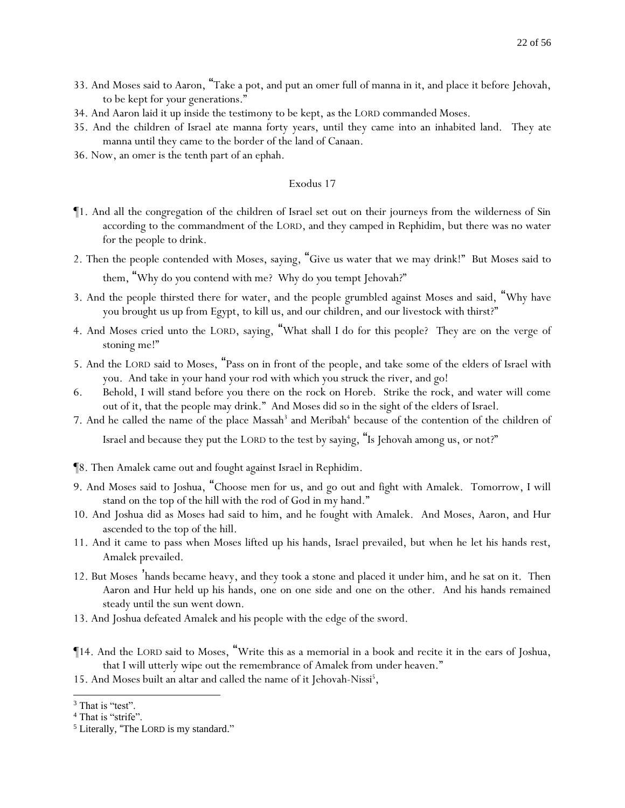- 33. And Moses said to Aaron, "Take a pot, and put an omer full of manna in it, and place it before Jehovah, to be kept for *y*our generations."
- 34. And Aaron laid it up inside the testimony to be kept, as the LORD commanded Moses.
- 35. And the children of Israel ate manna forty years, until they came into an inhabited land. They ate manna until they came to the border of the land of Canaan.
- 36. Now, an omer is the tenth part of an ephah.

- ¶1. And all the congregation of the children of Israel set out on their journeys from the wilderness of Sin according to the commandment of the LORD, and they camped in Rephidim, but there was no water for the people to drink.
- 2. Then the people contended with Moses, saying, "Give us water that we may drink!" But Moses said to them, "Why do *y*ou contend with me? Why do *y*ou tempt Jehovah?"
- 3. And the people thirsted there for water, and the people grumbled against Moses and said, "Why have you brought us up from Egypt, to kill us, and our children, and our livestock with thirst?"
- 4. And Moses cried unto the LORD, saying, "What shall I do for this people? They are on the verge of stoning me!"
- 5. And the LORD said to Moses, "Pass on in front of the people, and take some of the elders of Israel with you. And take in your hand your rod with which you struck the river, and go!
- 6. Behold, I will stand before you there on the rock on Horeb. Strike the rock, and water will come out of it, that the people may drink." And Moses did so in the sight of the elders of Israel.
- 7. And he called the name of the place Massah<sup>3</sup> and Meribah<sup>4</sup> because of the contention of the children of Israel and because they put the LORD to the test by saying, "Is Jehovah among us, or not?"
- ¶8. Then Amalek came out and fought against Israel in Rephidim.
- 9. And Moses said to Joshua, "Choose men for us, and go out and fight with Amalek. Tomorrow, I will stand on the top of the hill with the rod of God in my hand."
- 10. And Joshua did as Moses had said to him, and he fought with Amalek. And Moses, Aaron, and Hur ascended to the top of the hill.
- 11. And it came to pass when Moses lifted up his hands, Israel prevailed, but when he let his hands rest, Amalek prevailed.
- 12. But Moses 'hands became heavy, and they took a stone and placed it under him, and he sat on it. Then Aaron and Hur held up his hands, one on one side and one on the other. And his hands remained steady until the sun went down.
- 13. And Joshua defeated Amalek and his people with the edge of the sword.
- ¶14. And the LORD said to Moses, "Write this as a memorial in a book and recite it in the ears of Joshua, that I will utterly wipe out the remembrance of Amalek from under heaven."
- 15. And Moses built an altar and called the name of it Jehovah-Nissi<sup>5</sup>,

<sup>&</sup>lt;sup>3</sup> That is "test".

<sup>&</sup>lt;sup>4</sup> That is "strife".

<sup>5</sup> Literally, "The LORD is my standard."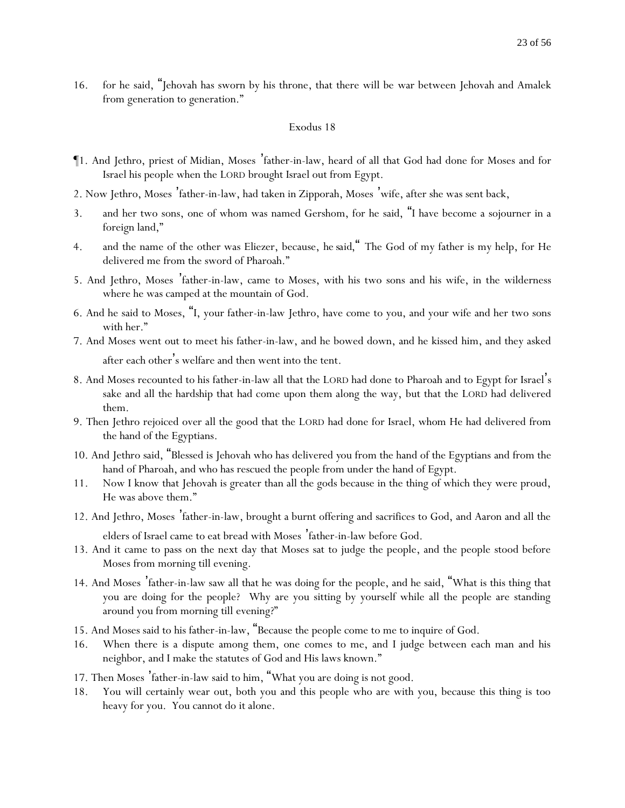16. for he said, "Jehovah has sworn by his throne, that there will be war between Jehovah and Amalek from generation to generation."

#### Exodus 18

- ¶1. And Jethro, priest of Midian, Moses 'father-in-law, heard of all that God had done for Moses and for Israel his people when the LORD brought Israel out from Egypt.
- 2. Now Jethro, Moses 'father-in-law, had taken in Zipporah, Moses 'wife, after she was sent back,
- 3. and her two sons, one of whom was named Gershom, for he said, "I have become a sojourner in a foreign land,"
- 4. and the name of the other was Eliezer, because, *he said*," The God of my father is my help, for He delivered me from the sword of Pharoah."
- 5. And Jethro, Moses 'father-in-law, came to Moses, with his two sons and his wife, in the wilderness where he was camped at the mountain of God.
- 6. And he said to Moses, "I, your father-in-law Jethro, have come to you, and your wife and her two sons with her."
- 7. And Moses went out to meet his father-in-law, and he bowed down, and he kissed him, and they asked after each other's welfare and then went into the tent.
- 8. And Moses recounted to his father-in-law all that the LORD had done to Pharoah and to Egypt for Israel's sake and all the hardship that had come upon them along the way, but that the LORD had delivered them.
- 9. Then Jethro rejoiced over all the good that the LORD had done for Israel, whom He had delivered from the hand of the Egyptians.
- 10. And Jethro said, "Blessed is Jehovah who has delivered *y*ou from the hand of the Egyptians and from the hand of Pharoah, and who has rescued the people from under the hand of Egypt.
- 11. Now I know that Jehovah is greater than all the gods because in the thing of which they were proud, He was above them."
- 12. And Jethro, Moses 'father-in-law, brought a burnt offering and sacrifices to God, and Aaron and all the

elders of Israel came to eat bread with Moses 'father-in-law before God.

- 13. And it came to pass on the next day that Moses sat to judge the people, and the people stood before Moses from morning till evening.
- 14. And Moses 'father-in-law saw all that he was doing for the people, and he said, "What is this thing that you are doing for the people? Why are you sitting by yourself while all the people are standing around you from morning till evening?"
- 15. And Moses said to his father-in-law, "Because the people come to me to inquire of God.
- 16. When there is a dispute among them, one comes to me, and I judge between each man and his neighbor, and I make the statutes of God and His laws known."
- 17. Then Moses 'father-in-law said to him, "What you are doing is not good.
- 18. You will certainly wear out, both you and this people who are with you, because this thing is too heavy for you. You cannot do it alone.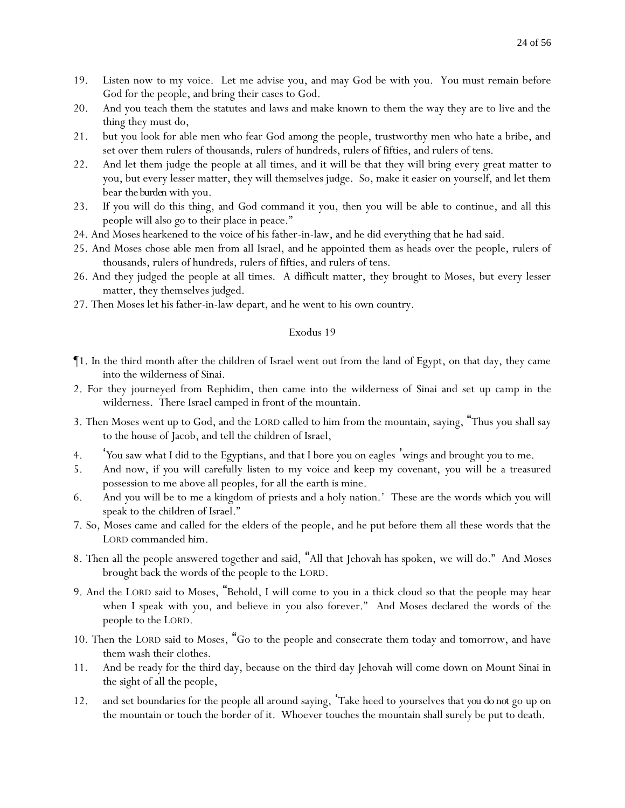- 19. Listen now to my voice. Let me advise you, and may God be with you. You must remain before God for the people, and bring their cases to God.
- 20. And you teach them the statutes and laws and make known to them the way they are to live and the thing they must do,
- 21. but you look for able men who fear God among the people, trustworthy men who hate a bribe, and set over them rulers of thousands, rulers of hundreds, rulers of fifties, and rulers of tens.
- 22. And let them judge the people at all times, and it will be that they will bring every great matter to you, but every lesser matter, they will themselves judge. So, make it easier on yourself, and let them bear *the burden* with you.
- 23. If you will do this thing, and God command it you, then you will be able to continue, and all this people will also go to their place in peace."
- 24. And Moses hearkened to the voice of his father-in-law, and he did everything that he had said.
- 25. And Moses chose able men from all Israel, and he appointed them as heads over the people, rulers of thousands, rulers of hundreds, rulers of fifties, and rulers of tens.
- 26. And they judged the people at all times. A difficult matter, they brought to Moses, but every lesser matter, they themselves judged.
- 27. Then Moses let his father-in-law depart, and he went to his own country.

- ¶1. In the third month after the children of Israel went out from the land of Egypt, on that day, they came into the wilderness of Sinai.
- 2. For they journeyed from Rephidim, then came into the wilderness of Sinai and set up camp in the wilderness. There Israel camped in front of the mountain.
- 3. Then Moses went up to God, and the LORD called to him from the mountain, saying, "Thus you shall say to the house of Jacob, and tell the children of Israel,
- 4. '*Y*ou saw what I did to the Egyptians, and that I bore *y*ou on eagles 'wings and brought *y*ou to me.
- 5. And now, if *y*ou will carefully listen to my voice and keep my covenant, *y*ou will be a treasured possession to me above all peoples, for all the earth is mine.
- 6. And *y*ou will be to me a kingdom of priests and a holy nation.' These are the words which you will speak to the children of Israel."
- 7. So, Moses came and called for the elders of the people, and he put before them all these words that the LORD commanded him.
- 8. Then all the people answered together and said, "All that Jehovah has spoken, we will do." And Moses brought back the words of the people to the LORD.
- 9. And the LORD said to Moses, "Behold, I will come to you in a thick cloud so that the people may hear when I speak with you, and believe in you also forever." And Moses declared the words of the people to the LORD.
- 10. Then the LORD said to Moses, "Go to the people and consecrate them today and tomorrow, and have them wash their clothes.
- 11. And be ready for the third day, because on the third day Jehovah will come down on Mount Sinai in the sight of all the people,
- 12. and set boundaries for the people all around saying, 'Take heed to *y*ourselves *that you do not* go up on the mountain or touch the border of it. Whoever touches the mountain shall surely be put to death.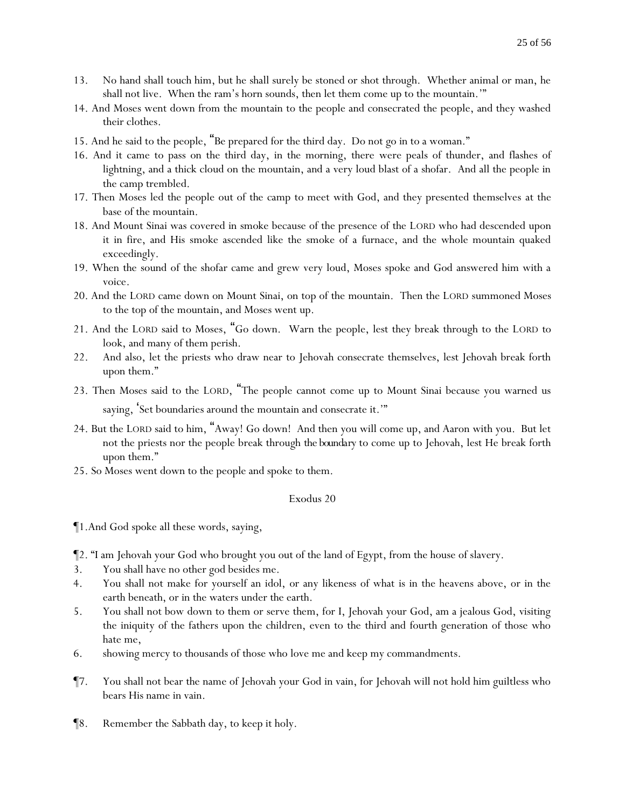- 13. No hand shall touch him, but he shall surely be stoned or shot through. Whether animal or man, he shall not live. When the ram's horn sounds, then let them come up to the mountain.'"
- 14. And Moses went down from the mountain to the people and consecrated the people, and they washed their clothes.
- 15. And he said to the people, "Be prepared for the third day. Do not go in to a woman."
- 16. And it came to pass on the third day, in the morning, there were peals of thunder, and flashes of lightning, and a thick cloud on the mountain, and a very loud blast of a shofar. And all the people in the camp trembled.
- 17. Then Moses led the people out of the camp to meet with God, and they presented themselves at the base of the mountain.
- 18. And Mount Sinai was covered in smoke because of the presence of the LORD who had descended upon it in fire, and His smoke ascended like the smoke of a furnace, and the whole mountain quaked exceedingly.
- 19. When the sound of the shofar came and grew very loud, Moses spoke and God answered him with a voice.
- 20. And the LORD came down on Mount Sinai, on top of the mountain. Then the LORD summoned Moses to the top of the mountain, and Moses went up.
- 21. And the LORD said to Moses, "Go down. Warn the people, lest they break through to the LORD to look, and many of them perish.
- 22. And also, let the priests who draw near to Jehovah consecrate themselves, lest Jehovah break forth upon them."
- 23. Then Moses said to the LORD, "The people cannot come up to Mount Sinai because you warned us saying, Set boundaries around the mountain and consecrate it."
- 24. But the LORD said to him, "Away! Go down! And then you will come up, and Aaron with you. But let not the priests nor the people break through *the boundary* to come up to Jehovah, lest He break forth upon them."
- 25. So Moses went down to the people and spoke to them.

¶1.And God spoke all these words, saying,

¶2. "I am Jehovah your God who brought you out of the land of Egypt, from the house of slavery.

- 3. You shall have no other god besides me.
- 4. You shall not make for yourself an idol, or any likeness of what is in the heavens above, or in the earth beneath, or in the waters under the earth.
- 5. You shall not bow down to them or serve them, for I, Jehovah your God, am a jealous God, visiting the iniquity of the fathers upon the children, even to the third and fourth generation of those who hate me,
- 6. showing mercy to thousands of those who love me and keep my commandments.
- ¶7. You shall not bear the name of Jehovah your God in vain, for Jehovah will not hold him guiltless who bears His name in vain.
- ¶8. Remember the Sabbath day, to keep it holy.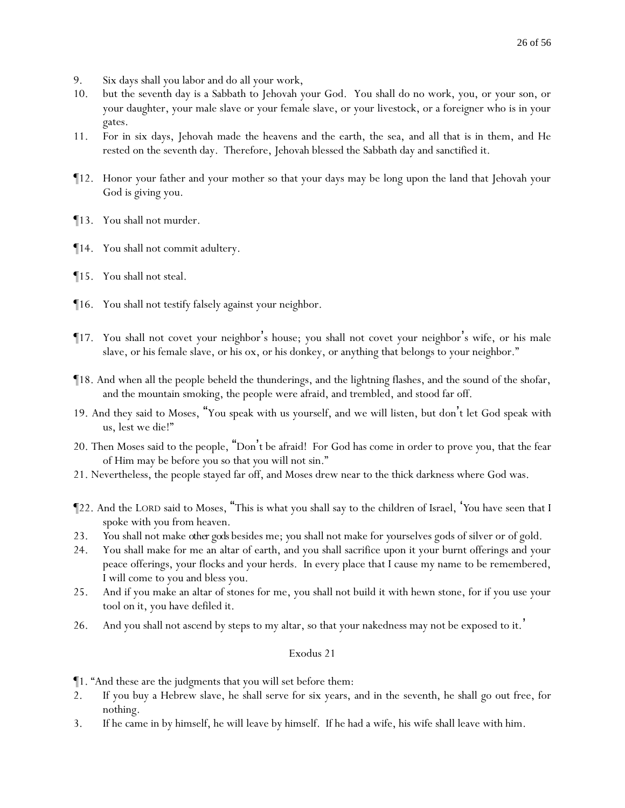- 9. Six days shall you labor and do all your work,
- 10. but the seventh day is a Sabbath to Jehovah your God. You shall do no work, you, or your son, or your daughter, your male slave or your female slave, or your livestock, or a foreigner who is in your gates.
- 11. For in six days, Jehovah made the heavens and the earth, the sea, and all that is in them, and He rested on the seventh day. Therefore, Jehovah blessed the Sabbath day and sanctified it.
- ¶12. Honor your father and your mother so that your days may be long upon the land that Jehovah your God is giving you.
- ¶13. You shall not murder.
- ¶14. You shall not commit adultery.
- ¶15. You shall not steal.
- ¶16. You shall not testify falsely against your neighbor.
- ¶17. You shall not covet your neighbor's house; you shall not covet your neighbor's wife, or his male slave, or his female slave, or his ox, or his donkey, or anything that belongs to your neighbor."
- ¶18. And when all the people beheld the thunderings, and the lightning flashes, and the sound of the shofar, and the mountain smoking, the people were afraid, and trembled, and stood far off.
- 19. And they said to Moses, "You speak with us yourself, and we will listen, but don't let God speak with us, lest we die!"
- 20. Then Moses said to the people, "Don't be afraid! For God has come in order to prove *y*ou, that the fear of Him may be before *y*ou so that *y*ou will not sin."
- 21. Nevertheless, the people stayed far off, and Moses drew near to the thick darkness where God was.
- ¶22. And the LORD said to Moses, "This is what you shall say to the children of Israel, '*Y*ou have seen that I spoke with *y*ou from heaven.
- 23. *Y*ou shall not make *other gods* besides me; *y*ou shall not make for *y*ourselves gods of silver or of gold.
- 24. You shall make for me an altar of earth, and you shall sacrifice upon it your burnt offerings and your peace offerings, your flocks and your herds. In every place that I cause my name to be remembered, I will come to you and bless you.
- 25. And if you make an altar of stones for me, you shall not build it with hewn stone, for if you use your tool on it, you have defiled it.
- 26. And you shall not ascend by steps to my altar, so that your nakedness may not be exposed to it.'

¶1. "And these are the judgments that you will set before them:

- 2. If you buy a Hebrew slave, he shall serve for six years, and in the seventh, he shall go out free, for nothing.
- 3. If he came in by himself, he will leave by himself. If he had a wife, his wife shall leave with him.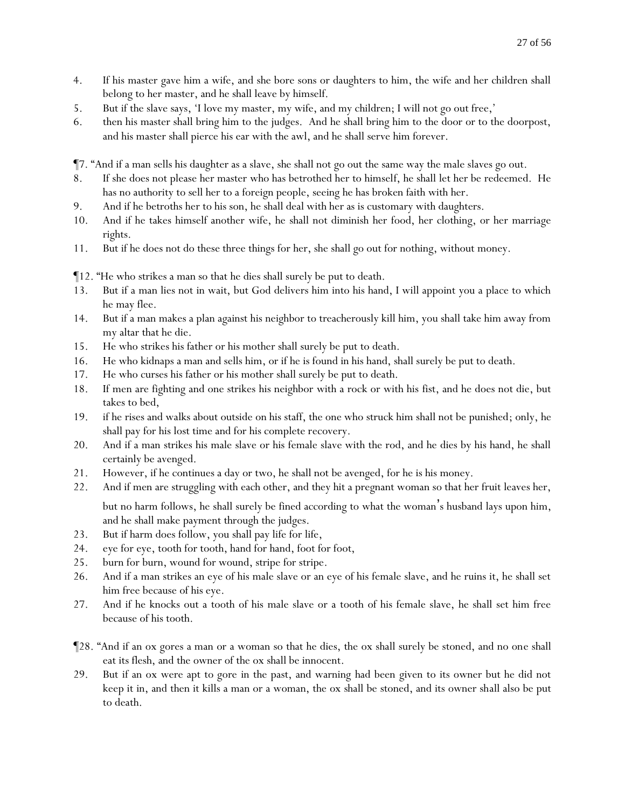- 4. If his master gave him a wife, and she bore sons or daughters to him, the wife and her children shall belong to her master, and he shall leave by himself.
- 5. But if the slave says, 'I love my master, my wife, and my children; I will not go out free,'
- 6. then his master shall bring him to the judges. And he shall bring him to the door or to the doorpost, and his master shall pierce his ear with the awl, and he shall serve him forever.

¶7. "And if a man sells his daughter as a slave, she shall not go out the same way the male slaves go out.

- 8. If she does not please her master who has betrothed her to himself, he shall let her be redeemed. He has no authority to sell her to a foreign people, seeing he has broken faith with her.
- 9. And if he betroths her to his son, he shall deal with her as is customary with daughters.
- 10. And if he takes himself another wife, he shall not diminish her food, her clothing, or her marriage rights.
- 11. But if he does not do these three things for her, she shall go out for nothing, without money.

¶12. "He who strikes a man so that he dies shall surely be put to death.

- 13. But if a man lies not in wait, but God delivers him into his hand, I will appoint you a place to which he may flee.
- 14. But if a man makes a plan against his neighbor to treacherously kill him, you shall take him away from my altar that he die.
- 15. He who strikes his father or his mother shall surely be put to death.
- 16. He who kidnaps a man and sells him, or if he is found in his hand, shall surely be put to death.
- 17. He who curses his father or his mother shall surely be put to death.
- 18. If men are fighting and one strikes his neighbor with a rock or with his fist, and he does not die, but takes to bed,
- 19. if he rises and walks about outside on his staff, the one who struck him shall not be punished; only, he shall pay for his lost time and for his complete recovery.
- 20. And if a man strikes his male slave or his female slave with the rod, and he dies by his hand, he shall certainly be avenged.
- 21. However, if he continues a day or two, he shall not be avenged, for he is his money.
- 22. And if men are struggling with each other, and they hit a pregnant woman so that her fruit leaves her, but no harm follows, he shall surely be fined according to what the woman's husband lays upon him, and he shall make payment through the judges.
- 23. But if harm does follow, you shall pay life for life,
- 24. eye for eye, tooth for tooth, hand for hand, foot for foot,
- 25. burn for burn, wound for wound, stripe for stripe.
- 26. And if a man strikes an eye of his male slave or an eye of his female slave, and he ruins it, he shall set him free because of his eye.
- 27. And if he knocks out a tooth of his male slave or a tooth of his female slave, he shall set him free because of his tooth.
- ¶28. "And if an ox gores a man or a woman so that he dies, the ox shall surely be stoned, and no one shall eat its flesh, and the owner of the ox shall be innocent.
- 29. But if an ox were apt to gore in the past, and warning had been given to its owner but he did not keep it in, and then it kills a man or a woman, the ox shall be stoned, and its owner shall also be put to death.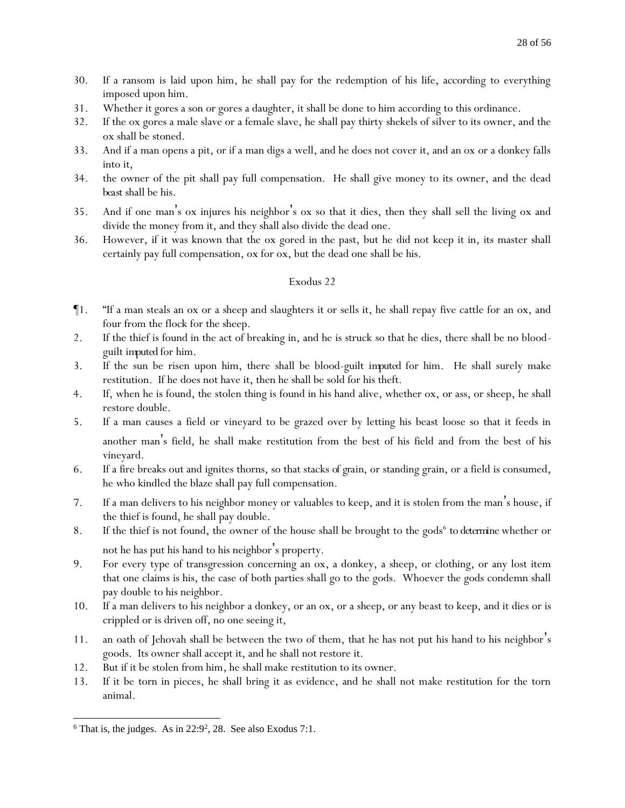- 30. If a ransom is laid upon him, he shall pay for the redemption of his life, according to everything imposed upon him.
- 31. Whether it gores a son or gores a daughter, it shall be done to him according to this ordinance.
- 32. If the ox gores a male slave or a female slave, he shall pay thirty shekels of silver to its owner, and the ox shall be stoned.
- 33. And if a man opens a pit, or if a man digs a well, and he does not cover it, and an ox or a donkey falls into it,
- 34. the owner of the pit shall pay full compensation. He shall give money to its owner, and the dead *beast* shall be his.
- 35. And if one man's ox injures his neighbor's ox so that it dies, then they shall sell the living ox and divide the money from it, and they shall also divide the dead one.
- 36. However, if it was known that the ox gored in the past, but he did not keep it in, its master shall certainly pay full compensation, ox for ox, but the dead one shall be his.

- ¶1. "If a man steals an ox or a sheep and slaughters it or sells it, he shall repay five cattle for an ox, and four from the flock for the sheep.
- 2. If the thief is found in the act of breaking in, and he is struck so that he dies, there shall be no bloodguilt *imputed* for him.
- 3. If the sun be risen upon him, there shall be blood-guilt *imputed* for him. He shall surely make restitution. If he does not have it, then he shall be sold for his theft.
- 4. If, when he is found, the stolen thing is found in his hand alive, whether ox, or ass, or sheep, he shall restore double.
- 5. If a man causes a field or vineyard to be grazed over by letting his beast loose so that it feeds in another man's field, he shall make restitution from the best of his field and from the best of his vineyard.
- 6. If a fire breaks out and ignites thorns, so that stacks *of grain*, or standing grain, or a field is consumed, he who kindled the blaze shall pay full compensation.
- 7. If a man delivers to his neighbor money or valuables to keep, and it is stolen from the man's house, if the thief is found, he shall pay double.
- 8. If the thief is not found, the owner of the house shall be brought to the gods<sup>6</sup> to determine whether or not he has put his hand to his neighbor's property.
- 9. For every type of transgression concerning an ox, a donkey, a sheep, or clothing, or any lost item that one claims is his, the case of both parties shall go to the gods. Whoever the gods condemn shall pay double to his neighbor.
- 10. If a man delivers to his neighbor a donkey, or an ox, or a sheep, or any beast to keep, and it dies or is crippled or is driven off, no one seeing it,
- 11. an oath of Jehovah shall be between the two of them, that he has not put his hand to his neighbor's goods. Its owner shall accept it, and he shall not restore it.
- 12. But if it be stolen from him, he shall make restitution to its owner.
- 13. If it be torn in pieces, he shall bring it as evidence, and he shall not make restitution for the torn animal.

 $6$  That is, the judges. As in 22:9<sup>2</sup>, 28. See also Exodus 7:1.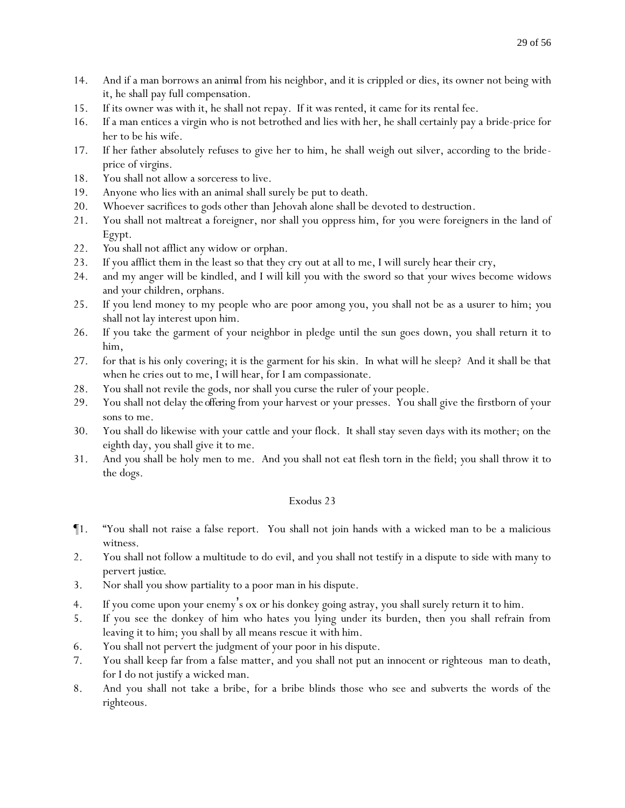- 14. And if a man borrows *an animal* from his neighbor, and it is crippled or dies, its owner not being with it, he shall pay full compensation.
- 15. If its owner was with it, he shall not repay. If it was rented, it came for its rental fee.
- 16. If a man entices a virgin who is not betrothed and lies with her, he shall certainly pay a bride-price for her to be his wife.
- 17. If her father absolutely refuses to give her to him, he shall weigh out silver, according to the brideprice of virgins.
- 18. You shall not allow a sorceress to live.
- 19. Anyone who lies with an animal shall surely be put to death.
- 20. Whoever sacrifices to gods other than Jehovah alone shall be devoted to destruction.
- 21. You shall not maltreat a foreigner, nor shall you oppress him, for *y*ou were foreigners in the land of Egypt.
- 22. *Y*ou shall not afflict any widow or orphan.
- 23. If you afflict them in the least so that they cry out at all to me, I will surely hear their cry,
- 24. and my anger will be kindled, and I will kill *y*ou with the sword so that *y*our wives become widows and *y*our children, orphans.
- 25. If you lend money to my people who are poor among you, you shall not be as a usurer to him; *y*ou shall not lay interest upon him.
- 26. If you take the garment of your neighbor in pledge until the sun goes down, you shall return it to him,
- 27. for that is his only covering; it is the garment for his skin. In what will he sleep? And it shall be that when he cries out to me, I will hear, for I am compassionate.
- 28. You shall not revile the gods, nor shall you curse the ruler of your people.
- 29. You shall not delay *the offering* from your harvest or your presses. You shall give the firstborn of your sons to me.
- 30. You shall do likewise with your cattle and your flock. It shall stay seven days with its mother; on the eighth day, you shall give it to me.
- 31. And *y*ou shall be holy men to me. And *y*ou shall not eat flesh torn in the field; *y*ou shall throw it to the dogs.

- ¶1. "You shall not raise a false report. You shall not join hands with a wicked man to be a malicious witness.
- 2. You shall not follow a multitude to do evil, and you shall not testify in a dispute to side with many to pervert *justice*.
- 3. Nor shall you show partiality to a poor man in his dispute.
- 4. If you come upon your enemy's ox or his donkey going astray, you shall surely return it to him.
- 5. If you see the donkey of him who hates you lying under its burden, then you shall refrain from leaving it to him; you shall by all means rescue it with him.
- 6. You shall not pervert the judgment of your poor in his dispute.
- 7. You shall keep far from a false matter, and you shall not put an innocent or righteous man to death, for I do not justify a wicked man.
- 8. And you shall not take a bribe, for a bribe blinds those who see and subverts the words of the righteous.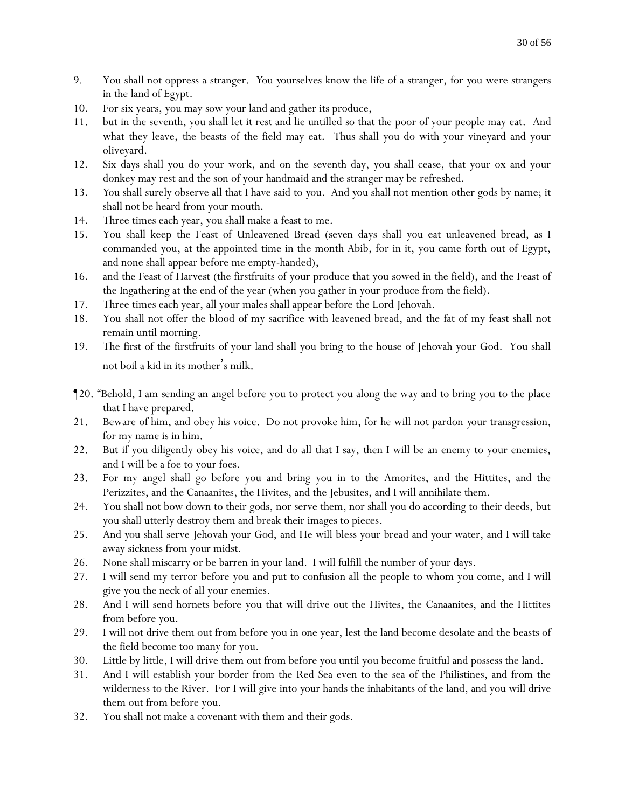- 9. You shall not oppress a stranger. *Y*ou *y*ourselves know the life of a stranger, for *y*ou were strangers in the land of Egypt.
- 10. For six years, you may sow your land and gather its produce,
- 11. but in the seventh*,* you shall let it rest and lie untilled so that the poor of your people may eat. And what they leave, the beasts of the field may eat. Thus shall you do with your vineyard and your oliveyard.
- 12. Six days shall you do your work, and on the seventh day, you shall cease, that your ox and your donkey may rest and the son of your handmaid and the stranger may be refreshed.
- 13. *Y*ou shall surely observe all that I have said to *y*ou. And *y*ou shall not mention other gods by name; it shall not be heard from your mouth.
- 14. Three times each year, you shall make a feast to me.
- 15. You shall keep the Feast of Unleavened Bread (seven days shall you eat unleavened bread, as I commanded you, at the appointed time in the month Abib, for in it, you came forth out of Egypt, and none shall appear before me empty-handed),
- 16. and the Feast of Harvest (the firstfruits of your produce that you sowed in the field), and the Feast of the Ingathering at the end of the year (when you gather in your produce from the field).
- 17. Three times each year, all your males shall appear before the Lord Jehovah.
- 18. You shall not offer the blood of my sacrifice with leavened bread, and the fat of my feast shall not remain until morning.
- 19. The first of the firstfruits of your land shall you bring to the house of Jehovah your God. You shall not boil a kid in its mother's milk.
- ¶20. "Behold, I am sending an angel before you to protect you along the way and to bring you to the place that I have prepared.
- 21. Beware of him, and obey his voice. Do not provoke him, for he will not pardon *y*our transgression, for my name is in him.
- 22. But if you diligently obey his voice, and do all that I say, then I will be an enemy to your enemies, and I will be a foe to your foes.
- 23. For my angel shall go before you and bring you in to the Amorites, and the Hittites, and the Perizzites, and the Canaanites, the Hivites, and the Jebusites, and I will annihilate them.
- 24. You shall not bow down to their gods, nor serve them, nor shall you do according to their deeds, but you shall utterly destroy them and break their images to pieces.
- 25. And *y*ou shall serve Jehovah *y*our God, and He will bless your bread and your water, and I will take away sickness from your midst.
- 26. None shall miscarry or be barren in your land. I will fulfill the number of your days.
- 27. I will send my terror before you and put to confusion all the people to whom you come, and I will give you the neck of all your enemies.
- 28. And I will send hornets before you that will drive out the Hivites, the Canaanites, and the Hittites from before you.
- 29. I will not drive them out from before you in one year, lest the land become desolate and the beasts of the field become too many for you.
- 30. Little by little, I will drive them out from before you until you become fruitful and possess the land.
- 31. And I will establish your border from the Red Sea even to the sea of the Philistines, and from the wilderness to the River. For I will give into *y*our hands the inhabitants of the land, and you will drive them out from before you.
- 32. You shall not make a covenant with them and their gods.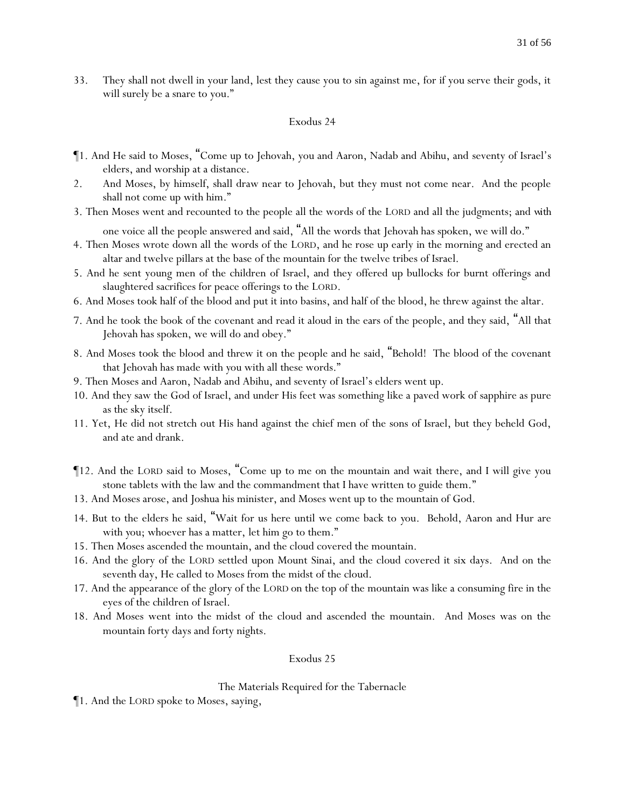33. They shall not dwell in your land, lest they cause you to sin against me, for if you serve their gods, it will surely be a snare to you."

### Exodus 24

- ¶1. And He said to Moses, "Come up to Jehovah, you and Aaron, Nadab and Abihu, and seventy of Israel's elders, and worship at a distance.
- 2. And Moses, by himself, shall draw near to Jehovah, but they must not come near. And the people shall not come up with him."
- 3. Then Moses went and recounted to the people all the words of the LORD and all the judgments; and *with* one voice all the people answered and said, "All the words that Jehovah has spoken, we will do."
- 4. Then Moses wrote down all the words of the LORD, and he rose up early in the morning and erected an altar and twelve pillars at the base of the mountain for the twelve tribes of Israel.
- 5. And he sent young men of the children of Israel, and they offered up bullocks for burnt offerings and slaughtered sacrifices for peace offerings to the LORD.
- 6. And Moses took half of the blood and put it into basins, and half of the blood, he threw against the altar.
- 7. And he took the book of the covenant and read it aloud in the ears of the people, and they said, "All that Jehovah has spoken, we will do and obey."
- 8. And Moses took the blood and threw it on the people and he said, "Behold! The blood of the covenant that Jehovah has made with *y*ou with all these words."
- 9. Then Moses and Aaron, Nadab and Abihu, and seventy of Israel's elders went up.
- 10. And they saw the God of Israel, and under His feet was something like a paved work of sapphire as pure as the sky itself.
- 11. Yet, He did not stretch out His hand against the chief men of the sons of Israel, but they beheld God, and ate and drank.
- ¶12. And the LORD said to Moses, "Come up to me on the mountain and wait there, and I will give you stone tablets with the law and the commandment that I have written to guide them."
- 13. And Moses arose, and Joshua his minister, and Moses went up to the mountain of God.
- 14. But to the elders he said, "Wait for us here until we come back to *y*ou. Behold, Aaron and Hur are with *y*ou; whoever has a matter, let him go to them."
- 15. Then Moses ascended the mountain, and the cloud covered the mountain.
- 16. And the glory of the LORD settled upon Mount Sinai, and the cloud covered it six days. And on the seventh day, He called to Moses from the midst of the cloud.
- 17. And the appearance of the glory of the LORD on the top of the mountain was like a consuming fire in the eyes of the children of Israel.
- 18. And Moses went into the midst of the cloud and ascended the mountain. And Moses was on the mountain forty days and forty nights.

# Exodus 25

# The Materials Required for the Tabernacle

¶1. And the LORD spoke to Moses, saying,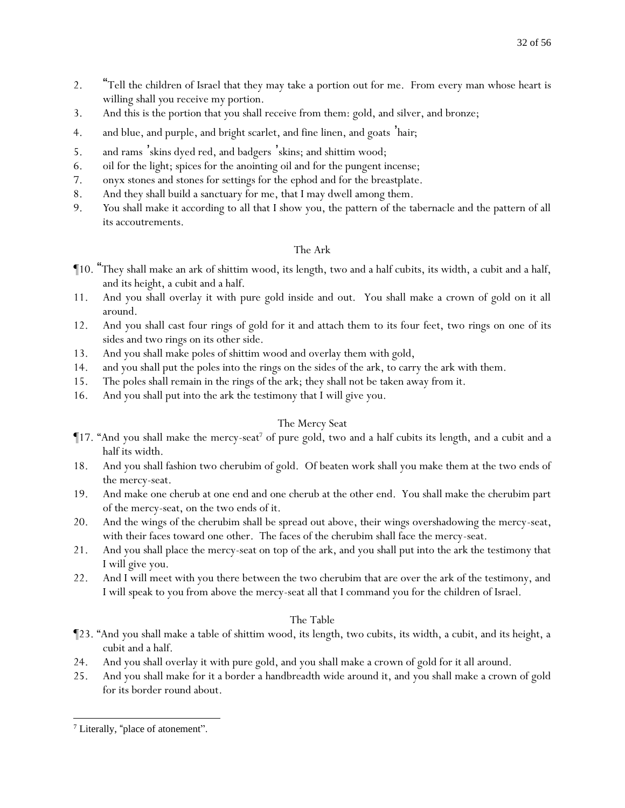- 2. "Tell the children of Israel that they may take a portion out for me. From every man whose heart is willing shall *y*ou receive my portion.
- 3. And this is the portion that *y*ou shall receive from them: gold, and silver, and bronze;
- 4. and blue, and purple, and bright scarlet, and fine linen, and goats '*hair;*
- 5. and rams 'skins dyed red, and badgers 'skins; and shittim wood;
- 6. oil for the light; spices for the anointing oil and for the pungent incense;
- 7. onyx stones and stones for settings for the ephod and for the breastplate.
- 8. And they shall build a sanctuary for me, that I may dwell among them.
- 9. *Y*ou shall make it according to all that I show you, the pattern of the tabernacle and the pattern of all its accoutrements.

# The Ark

- ¶10. "They shall make an ark of shittim wood, its length, two and a half cubits, its width, a cubit and a half, and its height, a cubit and a half.
- 11. And you shall overlay it with pure gold inside and out. You shall make a crown of gold on it all around.
- 12. And you shall cast four rings of gold for it and attach them to its four feet, two rings on one of its sides and two rings on its other side.
- 13. And you shall make poles of shittim wood and overlay them with gold,
- 14. and you shall put the poles into the rings on the sides of the ark, to carry the ark with them.
- 15. The poles shall remain in the rings of the ark; they shall not be taken away from it.
- 16. And you shall put into the ark the testimony that I will give you.

# The Mercy Seat

- $\P$ 17. "And you shall make the mercy-seat<sup>7</sup> of pure gold, two and a half cubits its length, and a cubit and a half its width.
- 18. And you shall fashion two cherubim of gold. Of beaten work shall you make them at the two ends of the mercy-seat.
- 19. And make one cherub at one end and one cherub at the other end. You shall make the cherubim part of the mercy-seat, on the two ends of it.
- 20. And the wings of the cherubim shall be spread out above, their wings overshadowing the mercy-seat, with their faces toward one other. The faces of the cherubim shall face the mercy-seat.
- 21. And you shall place the mercy-seat on top of the ark, and you shall put into the ark the testimony that I will give you.
- 22. And I will meet with you there between the two cherubim that are over the ark of the testimony, and I will speak to you from above the mercy-seat all that I command you for the children of Israel.

# The Table

- ¶23. "And you shall make a table of shittim wood, its length, two cubits, its width, a cubit, and its height, a cubit and a half.
- 24. And you shall overlay it with pure gold, and you shall make a crown of gold for it all around.
- 25. And you shall make for it a border a handbreadth wide around it, and you shall make a crown of gold for its border round about.

<sup>7</sup> Literally, "place of atonement".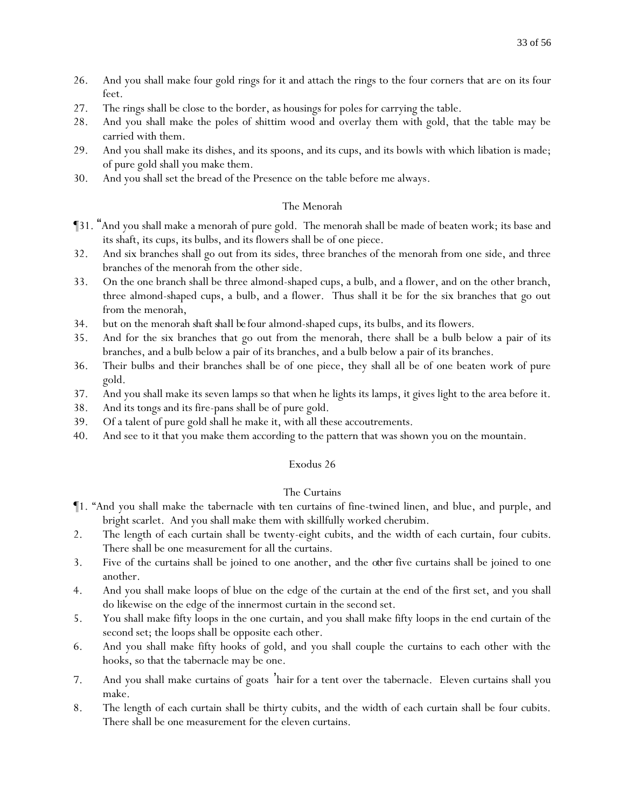- 26. And you shall make four gold rings for it and attach the rings to the four corners that are on its four feet.
- 27. The rings shall be close to the border, as housings for poles for carrying the table.
- 28. And you shall make the poles of shittim wood and overlay them with gold, that the table may be carried with them.
- 29. And you shall make its dishes, and its spoons, and its cups, and its bowls with which libation is made; of pure gold shall you make them.
- 30. And you shall set the bread of the Presence on the table before me always.

# The Menorah

- ¶31. "And you shall make a menorah of pure gold. The menorah shall be made of beaten work; its base and its shaft, its cups, its bulbs, and its flowers shall be of one piece.
- 32. And six branches shall go out from its sides, three branches of the menorah from one side, and three branches of the menorah from the other side.
- 33. On the one branch shall be three almond-shaped cups, a bulb, and a flower, and on the other branch, three almond-shaped cups, a bulb, and a flower. Thus shall it be for the six branches that go out from the menorah,
- 34. but on the menorah *shaft shall be* four almond-shaped cups, its bulbs, and its flowers.
- 35. And for the six branches that go out from the menorah, there shall be a bulb below a pair of its branches, and a bulb below a pair of its branches, and a bulb below a pair of its branches.
- 36. Their bulbs and their branches shall be of one piece, they shall all be of one beaten work of pure gold.
- 37. And you shall make its seven lamps so that when he lights its lamps, it gives light to the area before it.
- 38. And its tongs and its fire-pans shall be of pure gold.
- 39. Of a talent of pure gold shall he make it, with all these accoutrements.
- 40. And see to it that you make them according to the pattern that was shown you on the mountain.

# Exodus 26

# The Curtains

- ¶1. "And you shall make the tabernacle *with* ten curtains of fine-twined linen, and blue, and purple, and bright scarlet. And you shall make them with skillfully worked cherubim.
- 2. The length of each curtain shall be twenty-eight cubits, and the width of each curtain, four cubits. There shall be one measurement for all the curtains.
- 3. Five of the curtains shall be joined to one another, and the *other* five curtains shall be joined to one another.
- 4. And you shall make loops of blue on the edge of the curtain at the end of the first set, and you shall do likewise on the edge of the innermost curtain in the second set.
- 5. You shall make fifty loops in the one curtain, and you shall make fifty loops in the end curtain of the second set; the loops shall be opposite each other.
- 6. And you shall make fifty hooks of gold, and you shall couple the curtains to each other with the hooks, so that the tabernacle may be one.
- 7. And you shall make curtains of goats '*hair* for a tent over the tabernacle. Eleven curtains shall you make.
- 8. The length of each curtain shall be thirty cubits, and the width of each curtain shall be four cubits. There shall be one measurement for the eleven curtains.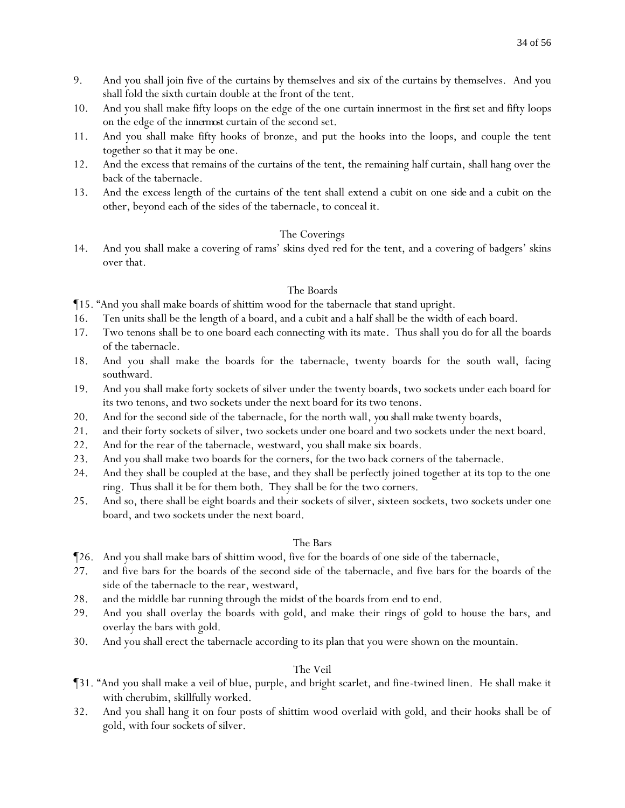- 9. And you shall join five of the curtains by themselves and six of the curtains by themselves. And you shall fold the sixth curtain double at the front of the tent.
- 10. And you shall make fifty loops on the edge of the one curtain innermost in the *first* set and fifty loops on the edge of the *innermost*curtain of the second set.
- 11. And you shall make fifty hooks of bronze, and put the hooks into the loops, and couple the tent together so that it may be one.
- 12. And the excess that remains of the curtains of the tent, the remaining half curtain, shall hang over the back of the tabernacle.
- 13. And the excess length of the curtains of the tent shall extend a cubit on one *side* and a cubit on the other, beyond each of the sides of the tabernacle, to conceal it.

# The Coverings

14. And you shall make a covering of rams' skins dyed red for the tent, and a covering of badgers' skins over that.

# The Boards

¶15. "And you shall make boards of shittim wood for the tabernacle that stand upright.

- 16. Ten units shall be the length of a board, and a cubit and a half shall be the width of each board.
- 17. Two tenons shall be to one board each connecting with its mate. Thus shall you do for all the boards of the tabernacle.
- 18. And you shall make the boards for the tabernacle, twenty boards for the south wall, facing southward.
- 19. And you shall make forty sockets of silver under the twenty boards, two sockets under each board for its two tenons, and two sockets under the next board for its two tenons.
- 20. And for the second side of the tabernacle, for the north wall, *you shall make* twenty boards,
- 21. and their forty sockets of silver, two sockets under one board and two sockets under the next board.
- 22. And for the rear of the tabernacle, westward, you shall make six boards.
- 23. And you shall make two boards for the corners, for the two back corners of the tabernacle.
- 24. And they shall be coupled at the base, and they shall be perfectly joined together at its top to the one ring. Thus shall it be for them both. They shall be for the two corners.
- 25. And so, there shall be eight boards and their sockets of silver, sixteen sockets, two sockets under one board, and two sockets under the next board.

# The Bars

- ¶26. And you shall make bars of shittim wood, five for the boards of one side of the tabernacle,
- 27. and five bars for the boards of the second side of the tabernacle, and five bars for the boards of the side of the tabernacle to the rear, westward,
- 28. and the middle bar running through the midst of the boards from end to end.
- 29. And you shall overlay the boards with gold, and make their rings of gold to house the bars, and overlay the bars with gold.
- 30. And you shall erect the tabernacle according to its plan that you were shown on the mountain.

# The Veil

- ¶31. "And you shall make a veil of blue, purple, and bright scarlet, and fine-twined linen. He shall make it with cherubim, skillfully worked.
- 32. And you shall hang it on four posts of shittim wood overlaid with gold, and their hooks shall be of gold, with four sockets of silver.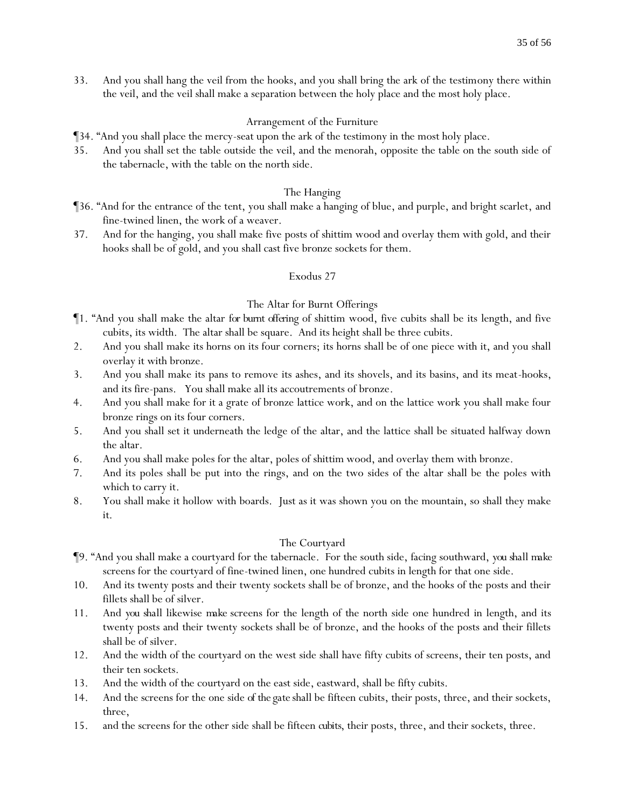33. And you shall hang the veil from the hooks, and you shall bring the ark of the testimony there within the veil, and the veil shall make a separation between the holy place and the most holy place.

### Arrangement of the Furniture

- ¶34. "And you shall place the mercy-seat upon the ark of the testimony in the most holy place.
- 35. And you shall set the table outside the veil, and the menorah, opposite the table on the south side of the tabernacle, with the table on the north side.

### The Hanging

- ¶36. "And for the entrance of the tent, you shall make a hanging of blue, and purple, and bright scarlet, and fine-twined linen, the work of a weaver.
- 37. And for the hanging, you shall make five posts of shittim wood and overlay them with gold, and their hooks shall be of gold, and you shall cast five bronze sockets for them.

### Exodus 27

### The Altar for Burnt Offerings

- ¶1. "And you shall make the altar *for burnt offering* of shittim wood, five cubits shall be its length, and five cubits, its width. The altar shall be square. And its height shall be three cubits.
- 2. And you shall make its horns on its four corners; its horns shall be of one piece with it, and you shall overlay it with bronze.
- 3. And you shall make its pans to remove its ashes, and its shovels, and its basins, and its meat-hooks, and its fire-pans. You shall make all its accoutrements of bronze.
- 4. And you shall make for it a grate of bronze lattice work, and on the lattice work you shall make four bronze rings on its four corners.
- 5. And you shall set it underneath the ledge of the altar, and the lattice shall be situated halfway down the altar.
- 6. And you shall make poles for the altar, poles of shittim wood, and overlay them with bronze.
- 7. And its poles shall be put into the rings, and on the two sides of the altar shall be the poles with which to carry it.
- 8. You shall make it hollow with boards. Just as it was shown you on the mountain, so shall they make *it*.

### The Courtyard

- ¶9. "And you shall make a courtyard for the tabernacle. For the south side, facing southward, *you shall make* screens for the courtyard of fine-twined linen, one hundred cubits in length for that one side.
- 10. And its twenty posts and their twenty sockets shall be of bronze, and the hooks of the posts and their fillets shall be of silver.
- 11. And *you shall* likewise *make* screens for the length of the north side one hundred in length, and its twenty posts and their twenty sockets shall be of bronze, and the hooks of the posts and their fillets shall be of silver.
- 12. And the width of the courtyard on the west side shall have fifty cubits of screens, their ten posts, and their ten sockets.
- 13. And the width of the courtyard on the east side, eastward, shall be fifty cubits.
- 14. And the screens for the one side *of the gate* shall be fifteen cubits, their posts, three, and their sockets, three,
- 15. and the screens for the other side shall be fifteen *cubits*, their posts, three, and their sockets, three.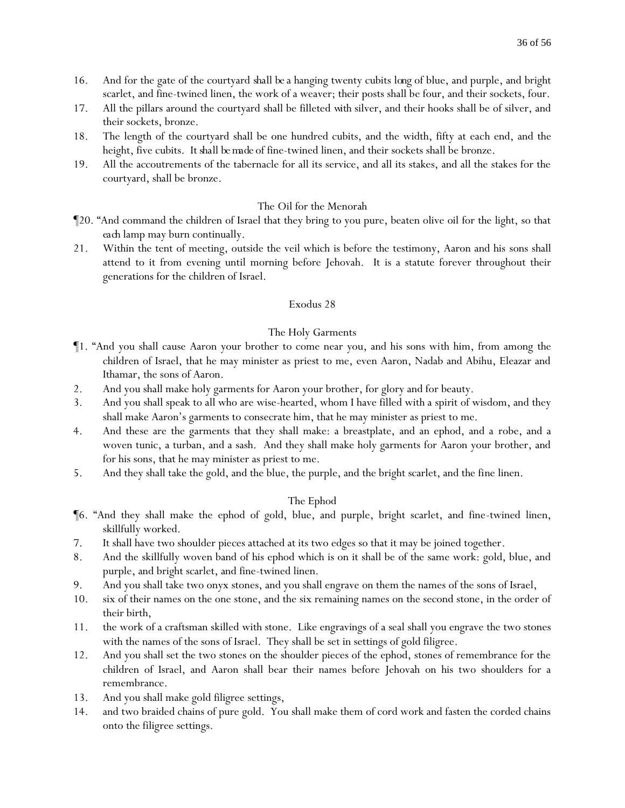- 16. And for the gate of the courtyard *shall be* a hanging twenty cubits *long* of blue, and purple, and bright scarlet, and fine-twined linen, the work of a weaver; their posts shall be four, and their sockets, four.
- 17. All the pillars around the courtyard shall be filleted *with* silver, and their hooks shall be of silver, and their sockets, bronze.
- 18. The length of the courtyard shall be one hundred cubits, and the width, fifty at each end, and the height, five cubits. *It shall be made* of fine-twined linen, and their sockets shall be bronze.
- 19. All the accoutrements of the tabernacle for all its service, and all its stakes, and all the stakes for the courtyard, shall be bronze.

# The Oil for the Menorah

- ¶20. "And command the children of Israel that they bring to you pure, beaten olive oil for the light, so that *each* lamp may burn continually.
- 21. Within the tent of meeting, outside the veil which is before the testimony, Aaron and his sons shall attend to it from evening until morning before Jehovah. It is a statute forever throughout their generations for the children of Israel.

### Exodus 28

# The Holy Garments

- ¶1. "And you shall cause Aaron your brother to come near you, and his sons with him, from among the children of Israel, that he may minister as priest to me, even Aaron, Nadab and Abihu, Eleazar and Ithamar, the sons of Aaron.
- 2. And you shall make holy garments for Aaron your brother, for glory and for beauty.
- 3. And you shall speak to all who are wise-hearted, whom I have filled with a spirit of wisdom, and they shall make Aaron's garments to consecrate him, that he may minister as priest to me.
- 4. And these are the garments that they shall make: a breastplate, and an ephod, and a robe, and a woven tunic, a turban, and a sash. And they shall make holy garments for Aaron your brother, and for his sons, that he may minister as priest to me.
- 5. And they shall take the gold, and the blue, the purple, and the bright scarlet, and the fine linen.

# The Ephod

- ¶6. "And they shall make the ephod of gold, blue, and purple, bright scarlet, and fine-twined linen, skillfully worked.
- 7. It shall have two shoulder pieces attached at its two edges so that it may be joined together.
- 8. And the skillfully woven band of his ephod which is on it shall be of the same work: gold, blue, and purple, and bright scarlet, and fine-twined linen.
- 9. And you shall take two onyx stones, and you shall engrave on them the names of the sons of Israel,
- 10. six of their names on the one stone, and the six remaining names on the second stone, in the order of their birth,
- 11. the work of a craftsman skilled with stone. Like engravings of a seal shall you engrave the two stones with the names of the sons of Israel. They shall be set in settings of gold filigree.
- 12. And you shall set the two stones on the shoulder pieces of the ephod, stones of remembrance for the children of Israel, and Aaron shall bear their names before Jehovah on his two shoulders for a remembrance.
- 13. And you shall make gold filigree settings,
- 14. and two braided chains of pure gold. You shall make them of cord work and fasten the corded chains onto the filigree settings.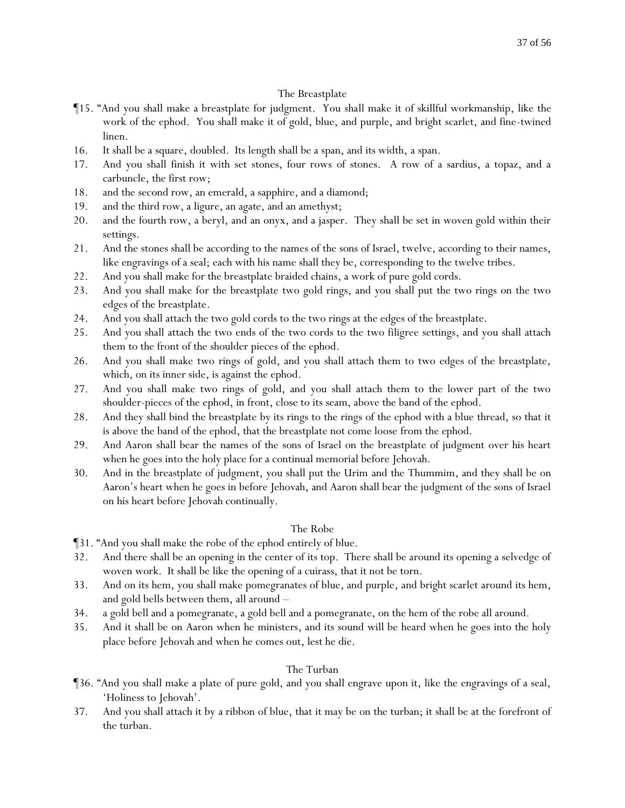# The Breastplate

- ¶15. "And you shall make a breastplate for judgment. You shall make it of skillful workmanship, like the work of the ephod. You shall make it of gold, blue, and purple, and bright scarlet, and fine-twined linen.
- 16. It shall be a square, doubled. Its length shall be a span, and its width, a span.
- 17. And you shall finish it with set stones, four rows of stones. A row of a sardius, a topaz, and a carbuncle, the first row;
- 18. and the second row, an emerald, a sapphire, and a diamond;
- 19. and the third row, a ligure, an agate, and an amethyst;
- 20. and the fourth row, a beryl, and an onyx, and a jasper. They shall be set in woven gold within their settings.
- 21. And the stones shall be according to the names of the sons of Israel, twelve, according to their names, like engravings of a seal; each with his name shall they be, corresponding to the twelve tribes.
- 22. And you shall make for the breastplate braided chains, a work of pure gold cords.
- 23. And you shall make for the breastplate two gold rings, and you shall put the two rings on the two edges of the breastplate.
- 24. And you shall attach the two gold cords to the two rings at the edges of the breastplate.
- 25. And you shall attach the two ends of the two cords to the two filigree settings, and you shall attach them to the front of the shoulder pieces of the ephod.
- 26. And you shall make two rings of gold, and you shall attach them to two edges of the breastplate, which, on its inner side, is against the ephod.
- 27. And you shall make two rings of gold, and you shall attach them to the lower part of the two shoulder-pieces of the ephod, in front, close to its seam, above the band of the ephod.
- 28. And they shall bind the breastplate by its rings to the rings of the ephod with a blue thread, so that it is above the band of the ephod, that the breastplate not come loose from the ephod.
- 29. And Aaron shall bear the names of the sons of Israel on the breastplate of judgment over his heart when he goes into the holy place for a continual memorial before Jehovah.
- 30. And in the breastplate of judgment, you shall put the Urim and the Thummim, and they shall be on Aaron's heart when he goes in before Jehovah, and Aaron shall bear the judgment of the sons of Israel on his heart before Jehovah continually.

# The Robe

¶31. "And you shall make the robe of the ephod entirely of blue.

- 32. And there shall be an opening in the center of its top. There shall be around its opening a selvedge of woven work. It shall be like the opening of a cuirass, that it not be torn.
- 33. And on its hem, you shall make pomegranates of blue, and purple, and bright scarlet around its hem, and gold bells between them, all around –
- 34. a gold bell and a pomegranate, a gold bell and a pomegranate, on the hem of the robe all around.
- 35. And it shall be on Aaron when he ministers, and its sound will be heard when he goes into the holy place before Jehovah and when he comes out, lest he die.

# The Turban

- ¶36. "And you shall make a plate of pure gold, and you shall engrave upon it, like the engravings of a seal, 'Holiness to Jehovah'.
- 37. And you shall attach it by a ribbon of blue, that it may be on the turban; it shall be at the forefront of the turban.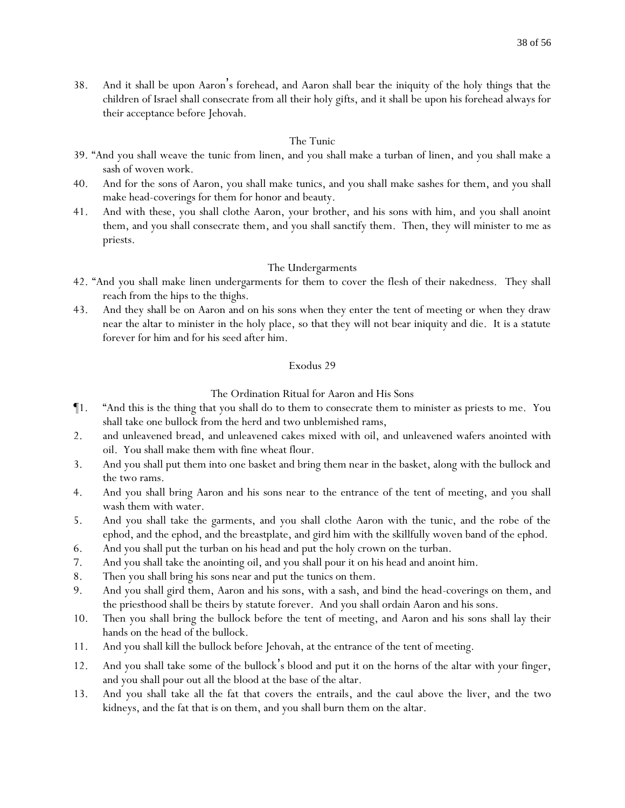38. And it shall be upon Aaron's forehead, and Aaron shall bear the iniquity of the holy things that the children of Israel shall consecrate from all their holy gifts, and it shall be upon his forehead always for their acceptance before Jehovah.

### The Tunic

- 39. "And you shall weave the tunic from linen, and you shall make a turban of linen, and you shall make a sash of woven work.
- 40. And for the sons of Aaron, you shall make tunics, and you shall make sashes for them, and you shall make head-coverings for them for honor and beauty.
- 41. And with these, you shall clothe Aaron, your brother, and his sons with him, and you shall anoint them, and you shall consecrate them, and you shall sanctify them. Then, they will minister to me as priests.

### The Undergarments

- 42. "And you shall make linen undergarments for them to cover the flesh of their nakedness. They shall reach from the hips to the thighs.
- 43. And they shall be on Aaron and on his sons when they enter the tent of meeting or when they draw near the altar to minister in the holy place, so that they will not bear iniquity and die. It is a statute forever for him and for his seed after him.

### Exodus 29

### The Ordination Ritual for Aaron and His Sons

- ¶1. "And this is the thing that you shall do to them to consecrate them to minister as priests to me. You shall take one bullock from the herd and two unblemished rams,
- 2. and unleavened bread, and unleavened cakes mixed with oil, and unleavened wafers anointed with oil. You shall make them with fine wheat flour.
- 3. And you shall put them into one basket and bring them near in the basket, along with the bullock and the two rams.
- 4. And you shall bring Aaron and his sons near to the entrance of the tent of meeting, and you shall wash them with water.
- 5. And you shall take the garments, and you shall clothe Aaron with the tunic, and the robe of the ephod, and the ephod, and the breastplate, and gird him with the skillfully woven band of the ephod.
- 6. And you shall put the turban on his head and put the holy crown on the turban.
- 7. And you shall take the anointing oil, and you shall pour it on his head and anoint him.
- 8. Then you shall bring his sons near and put the tunics on them.
- 9. And you shall gird them, Aaron and his sons, with a sash, and bind the head-coverings on them, and the priesthood shall be theirs by statute forever. And you shall ordain Aaron and his sons.
- 10. Then you shall bring the bullock before the tent of meeting, and Aaron and his sons shall lay their hands on the head of the bullock.
- 11. And you shall kill the bullock before Jehovah, at the entrance of the tent of meeting.
- 12. And you shall take some of the bullock's blood and put it on the horns of the altar with your finger, and you shall pour out all the blood at the base of the altar.
- 13. And you shall take all the fat that covers the entrails*,* and the caul above the liver, and the two kidneys, and the fat that is on them, and you shall burn them on the altar.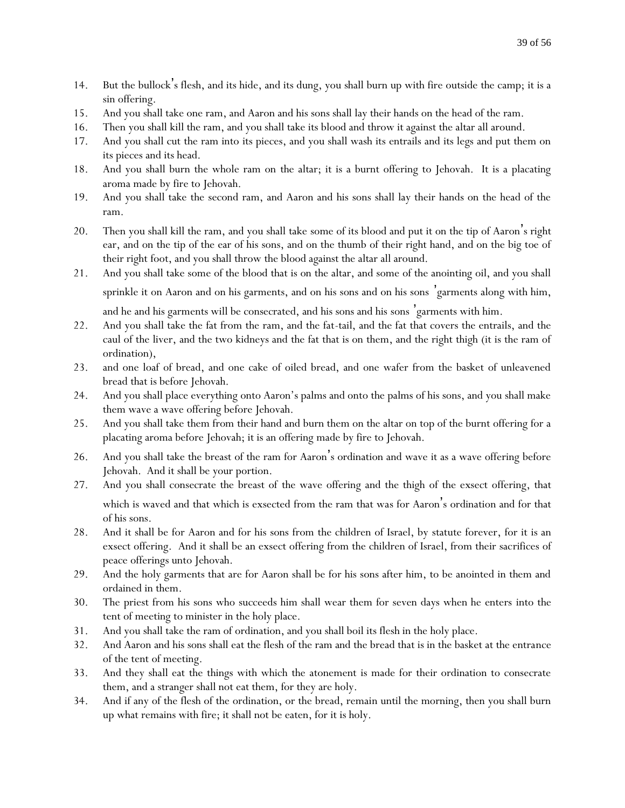- 14. But the bullock's flesh, and its hide, and its dung, you shall burn up with fire outside the camp; it is a sin offering.
- 15. And you shall take one ram, and Aaron and his sons shall lay their hands on the head of the ram.
- 16. Then you shall kill the ram, and you shall take its blood and throw it against the altar all around.
- 17. And you shall cut the ram into its pieces, and you shall wash its entrails and its legs and put them on its pieces and its head.
- 18. And you shall burn the whole ram on the altar; it is a burnt offering to Jehovah. It is a placating aroma made by fire to Jehovah.
- 19. And you shall take the second ram, and Aaron and his sons shall lay their hands on the head of the ram.
- 20. Then you shall kill the ram, and you shall take some of its blood and put it on the tip of Aaron's right ear, and on the tip of the ear of his sons, and on the thumb of their right hand, and on the big toe of their right foot, and you shall throw the blood against the altar all around.
- 21. And you shall take some of the blood that is on the altar, and some of the anointing oil, and you shall sprinkle it on Aaron and on his garments, and on his sons and on his sons 'garments along with him,

and he and his garments will be consecrated, and his sons and his sons 'garments with him.

- 22. And you shall take the fat from the ram, and the fat-tail, and the fat that covers the entrails, and the caul of the liver, and the two kidneys and the fat that is on them, and the right thigh (it is the ram of ordination),
- 23. and one loaf of bread, and one cake of oiled bread, and one wafer from the basket of unleavened bread that is before Jehovah.
- 24. And you shall place everything onto Aaron's palms and onto the palms of his sons, and you shall make them wave a wave offering before Jehovah.
- 25. And you shall take them from their hand and burn them on the altar on top of the burnt offering for a placating aroma before Jehovah; it is an offering made by fire to Jehovah.
- 26. And you shall take the breast of the ram for Aaron's ordination and wave it as a wave offering before Jehovah. And it shall be your portion.
- 27. And you shall consecrate the breast of the wave offering and the thigh of the exsect offering, that which is waved and that which is exsected from the ram that was for Aaron's ordination and for that of his sons.
- 28. And it shall be for Aaron and for his sons from the children of Israel, by statute forever, for it is an exsect offering. And it shall be an exsect offering from the children of Israel, from their sacrifices of peace offerings unto Jehovah.
- 29. And the holy garments that are for Aaron shall be for his sons after him, to be anointed in them and ordained in them.
- 30. The priest from his sons who succeeds him shall wear them for seven days when he enters into the tent of meeting to minister in the holy place.
- 31. And you shall take the ram of ordination, and you shall boil its flesh in the holy place.
- 32. And Aaron and his sons shall eat the flesh of the ram and the bread that is in the basket at the entrance of the tent of meeting.
- 33. And they shall eat the things with which the atonement is made for their ordination to consecrate them, and a stranger shall not eat them, for they are holy.
- 34. And if any of the flesh of the ordination, or the bread, remain until the morning, then you shall burn up what remains with fire; it shall not be eaten, for it is holy.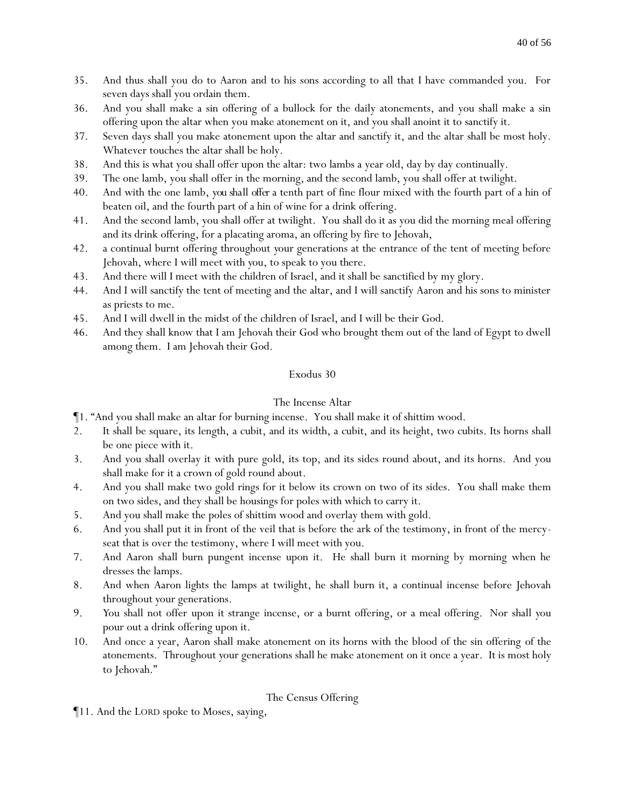- 35. And thus shall you do to Aaron and to his sons according to all that I have commanded you. For seven days shall you ordain them.
- 36. And you shall make a sin offering of a bullock for the daily atonements, and you shall make a sin offering upon the altar when you make atonement on it, and you shall anoint it to sanctify it.
- 37. Seven days shall you make atonement upon the altar and sanctify it, and the altar shall be most holy. Whatever touches the altar shall be holy.
- 38. And this is what you shall offer upon the altar: two lambs a year old, day by day continually.
- 39. The one lamb, you shall offer in the morning, and the second lamb, you shall offer at twilight.
- 40. And with the one lamb, *you shall offer* a tenth part of fine flour mixed with the fourth part of a hin of beaten oil, and the fourth part of a hin of wine for a drink offering.
- 41. And the second lamb, you shall offer at twilight. You shall do it as you did the morning meal offering and its drink offering, for a placating aroma, an offering by fire to Jehovah,
- 42. a continual burnt offering throughout *y*our generations at the entrance of the tent of meeting before Jehovah, where I will meet with *y*ou, to speak to you there.
- 43. And there will I meet with the children of Israel, and it shall be sanctified by my glory.
- 44. And I will sanctify the tent of meeting and the altar, and I will sanctify Aaron and his sons to minister as priests to me.
- 45. And I will dwell in the midst of the children of Israel, and I will be their God.
- 46. And they shall know that I am Jehovah their God who brought them out of the land of Egypt to dwell among them. I am Jehovah their God.

# The Incense Altar

- ¶1. "And you shall make an altar for burning incense. You shall make it of shittim wood.
- 2. It shall be square, its length, a cubit, and its width, a cubit, and its height, two cubits. Its horns shall be one piece with it.
- 3. And you shall overlay it with pure gold, its top, and its sides round about, and its horns. And you shall make for it a crown of gold round about.
- 4. And you shall make two gold rings for it below its crown on two of its sides. You shall make them on two sides, and they shall be housings for poles with which to carry it.
- 5. And you shall make the poles of shittim wood and overlay them with gold.
- 6. And you shall put it in front of the veil that is before the ark of the testimony, in front of the mercyseat that is over the testimony, where I will meet with you.
- 7. And Aaron shall burn pungent incense upon it. He shall burn it morning by morning when he dresses the lamps.
- 8. And when Aaron lights the lamps at twilight, he shall burn it, a continual incense before Jehovah throughout *y*our generations.
- 9. *Y*ou shall not offer upon it strange incense, or a burnt offering, or a meal offering. Nor shall *y*ou pour out a drink offering upon it.
- 10. And once a year, Aaron shall make atonement on its horns with the blood of the sin offering of the atonements. Throughout *y*our generations shall he make atonement on it once a year. It is most holy to Jehovah."

### The Census Offering

¶11. And the LORD spoke to Moses, saying,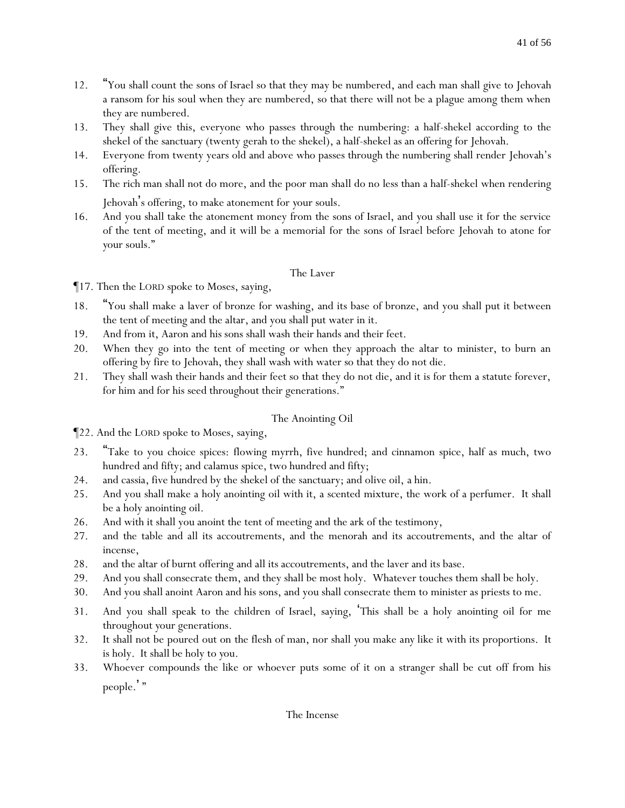- 12. "You shall count the sons of Israel so that they may be numbered, and each man shall give to Jehovah a ransom for his soul when they are numbered, so that there will not be a plague among them when they are numbered.
- 13. They shall give this, everyone who passes through the numbering: a half-shekel according to the shekel of the sanctuary (twenty gerah to the shekel), a half-shekel as an offering for Jehovah.
- 14. Everyone from twenty years old and above who passes through the numbering shall render Jehovah's offering.
- 15. The rich man shall not do more, and the poor man shall do no less than a half-shekel when rendering Jehovah's offering, to make atonement for *y*our souls.
- 16. And you shall take the atonement money from the sons of Israel, and you shall use it for the service of the tent of meeting, and it will be a memorial for the sons of Israel before Jehovah to atone for *y*our souls."

# The Laver

¶17. Then the LORD spoke to Moses, saying,

- 18. "You shall make a laver of bronze for washing, and its base of bronze, and you shall put it between the tent of meeting and the altar, and you shall put water in it.
- 19. And from it, Aaron and his sons shall wash their hands and their feet.
- 20. When they go into the tent of meeting or when they approach the altar to minister, to burn an offering by fire to Jehovah, they shall wash with water so that they do not die.
- 21. They shall wash their hands and their feet so that they do not die, and it is for them a statute forever, for him and for his seed throughout their generations."

# The Anointing Oil

¶22. And the LORD spoke to Moses, saying,

- 23. "Take to you choice spices: flowing myrrh, five hundred; and cinnamon spice, half as much, two hundred and fifty; and calamus spice, two hundred and fifty;
- 24. and cassia, five hundred by the shekel of the sanctuary; and olive oil, a hin.
- 25. And you shall make a holy anointing oil with it, a scented mixture, the work of a perfumer. It shall be a holy anointing oil.
- 26. And with it shall you anoint the tent of meeting and the ark of the testimony,
- 27. and the table and all its accoutrements, and the menorah and its accoutrements, and the altar of incense,
- 28. and the altar of burnt offering and all its accoutrements, and the laver and its base.
- 29. And you shall consecrate them, and they shall be most holy. Whatever touches them shall be holy.
- 30. And you shall anoint Aaron and his sons, and you shall consecrate them to minister as priests to me.
- 31. And you shall speak to the children of Israel, saying, 'This shall be a holy anointing oil for me throughout *y*our generations.
- 32. It shall not be poured out on the flesh of man, nor shall *y*ou make *any* like it with its proportions. It is holy. It shall be holy to *y*ou.
- 33. Whoever compounds the like or whoever puts some of it on a stranger shall be cut off from his people.'"

# The Incense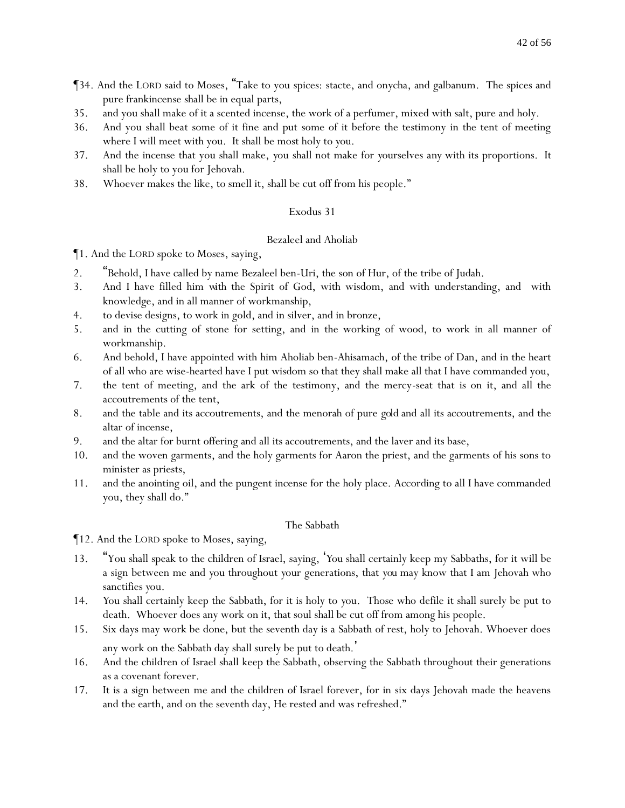- ¶34. And the LORD said to Moses, "Take to you spices: stacte, and onycha, and galbanum. The spices and pure frankincense shall be in equal parts,
- 35. and you shall make of it a scented incense, the work of a perfumer, mixed with salt, pure and holy.
- 36. And you shall beat some of it fine and put some of it before the testimony in the tent of meeting where I will meet with you. It shall be most holy to *y*ou.
- 37. And the incense that you shall make, *y*ou shall not make for *y*ourselves *any* with its proportions. It shall be holy to you for Jehovah.
- 38. Whoever makes the like, to smell it, shall be cut off from his people."

# Bezaleel and Aholiab

¶1. And the LORD spoke to Moses, saying,

- 2. "Behold, I have called by name Bezaleel ben-Uri, the son of Hur, of the tribe of Judah.
- 3. And I have filled him *with* the Spirit of God, with wisdom, and with understanding, and with knowledge, and in all manner of workmanship,
- 4. to devise designs, to work in gold, and in silver, and in bronze,
- 5. and in the cutting of stone for setting, and in the working of wood, to work in all manner of workmanship.
- 6. And behold, I have appointed with him Aholiab ben-Ahisamach, of the tribe of Dan, and in the heart of all who are wise-hearted have I put wisdom so that they shall make all that I have commanded you,
- 7. the tent of meeting, and the ark of the testimony, and the mercy-seat that is on it, and all the accoutrements of the tent,
- 8. and the table and its accoutrements, and the menorah of pure *gold* and all its accoutrements, and the altar of incense,
- 9. and the altar for burnt offering and all its accoutrements, and the laver and its base,
- 10. and the woven garments, and the holy garments for Aaron the priest, and the garments of his sons to minister as priests,
- 11. and the anointing oil, and the pungent incense for the holy place. According to all I have commanded you, they shall do."

# The Sabbath

¶12. And the LORD spoke to Moses, saying,

- 13. "You shall speak to the children of Israel, saying, '*Y*ou shall certainly keep my Sabbaths, for it will be a sign between me and *y*ou throughout *y*our generations, that *you* may know that I am Jehovah who sanctifies *y*ou.
- 14. *Y*ou shall certainly keep the Sabbath, for it is holy to *y*ou. Those who defile it shall surely be put to death. Whoever does any work on it, that soul shall be cut off from among his people.
- 15. Six days may work be done, but the seventh day is a Sabbath of rest, holy to Jehovah. Whoever does any work on the Sabbath day shall surely be put to death.'
- 16. And the children of Israel shall keep the Sabbath, observing the Sabbath throughout their generations as a covenant forever.
- 17. It is a sign between me and the children of Israel forever, for in six days Jehovah made the heavens and the earth, and on the seventh day, He rested and was refreshed."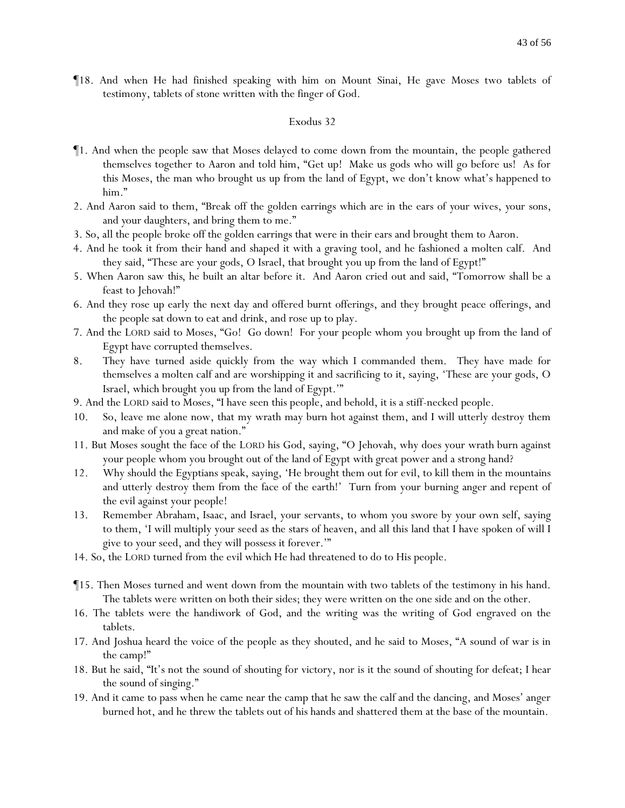¶18. And when He had finished speaking with him on Mount Sinai, He gave Moses two tablets of testimony, tablets of stone written with the finger of God.

- ¶1. And when the people saw that Moses delayed to come down from the mountain, the people gathered themselves together to Aaron and told him, "Get up! Make us gods who will go before us! As for this Moses, the man who brought us up from the land of Egypt, we don't know what's happened to him."
- 2. And Aaron said to them, "Break off the golden earrings which are in the ears of *y*our wives, *y*our sons, and *y*our daughters, and bring them to me."
- 3. So, all the people broke off the golden earrings that were in their ears and brought them to Aaron.
- 4. And he took it from their hand and shaped it with a graving tool, and he fashioned a molten calf. And they said, "These are your gods, O Israel, that brought you up from the land of Egypt!"
- 5. When Aaron saw *this*, he built an altar before it. And Aaron cried out and said, "Tomorrow shall be a feast to Jehovah!"
- 6. And they rose up early the next day and offered burnt offerings, and they brought peace offerings, and the people sat down to eat and drink, and rose up to play.
- 7. And the LORD said to Moses, "Go! Go down! For your people whom you brought up from the land of Egypt have corrupted themselves.
- 8. They have turned aside quickly from the way which I commanded them. They have made for themselves a molten calf and are worshipping it and sacrificing to it, saying, 'These are your gods, O Israel, which brought you up from the land of Egypt.'"
- 9. And the LORD said to Moses, "I have seen this people, and behold, it is a stiff-necked people.
- 10. So, leave me alone now, that my wrath may burn hot against them, and I will utterly destroy them and make of you a great nation."
- 11. But Moses sought the face of the LORD his God, saying, "O Jehovah, why does your wrath burn against your people whom you brought out of the land of Egypt with great power and a strong hand?
- 12. Why should the Egyptians speak, saying, 'He brought them out for evil, to kill them in the mountains and utterly destroy them from the face of the earth!' Turn from your burning anger and repent of the evil against your people!
- 13. Remember Abraham, Isaac, and Israel, your servants, to whom you swore by your own self, saying to them, 'I will multiply your seed as the stars of heaven, and all this land that I have spoken of will I give to your seed, and they will possess it forever.'"
- 14. So, the LORD turned from the evil which He had threatened to do to His people.
- ¶15. Then Moses turned and went down from the mountain with two tablets of the testimony in his hand. The tablets were written on both their sides; they were written on the one side and on the other.
- 16. The tablets were the handiwork of God, and the writing was the writing of God engraved on the tablets.
- 17. And Joshua heard the voice of the people as they shouted, and he said to Moses, "A sound of war is in the camp!"
- 18. But he said, "It's not the sound of shouting for victory, nor is it the sound of shouting for defeat; I hear the sound of singing."
- 19. And it came to pass when he came near the camp that he saw the calf and the dancing, and Moses' anger burned hot, and he threw the tablets out of his hands and shattered them at the base of the mountain.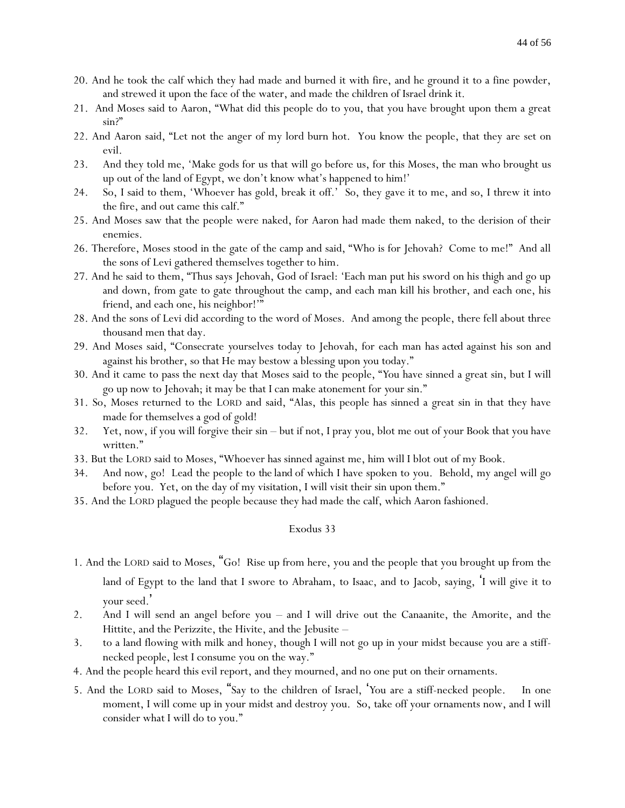- 20. And he took the calf which they had made and burned it with fire, and he ground it to a fine powder, and strewed it upon the face of the water, and made the children of Israel drink it.
- 21. And Moses said to Aaron, "What did this people do to you, that you have brought upon them a great sin?"
- 22. And Aaron said, "Let not the anger of my lord burn hot. You know the people, that they are set on evil.
- 23. And they told me, 'Make gods for us that will go before us, for this Moses, the man who brought us up out of the land of Egypt, we don't know what's happened to him!'
- 24. So, I said to them, 'Whoever has gold, break it off.' So, they gave it to me, and so, I threw it into the fire, and out came this calf."
- 25. And Moses saw that the people were naked, for Aaron had made them naked, to the derision of their enemies.
- 26. Therefore, Moses stood in the gate of the camp and said, "Who is for Jehovah? Come to me!" And all the sons of Levi gathered themselves together to him.
- 27. And he said to them, "Thus says Jehovah, God of Israel: 'Each man put his sword on his thigh and go up and down, from gate to gate throughout the camp, and each man kill his brother, and each one, his friend, and each one, his neighbor!'"
- 28. And the sons of Levi did according to the word of Moses. And among the people, there fell about three thousand men that day.
- 29. And Moses said, "Consecrate *y*ourselves today to Jehovah, for each man *has acted* against his son and against his brother, so that He may bestow a blessing upon *y*ou today."
- 30. And it came to pass the next day that Moses said to the people, "*Y*ou have sinned a great sin, but I will go up now to Jehovah; it may be that I can make atonement for *y*our sin."
- 31. So, Moses returned to the LORD and said, "Alas, this people has sinned a great sin in that they have made for themselves a god of gold!
- 32. Yet, now, if you will forgive their sin but if not, I pray you, blot me out of your Book that you have written."
- 33. But the LORD said to Moses, "Whoever has sinned against me, him will I blot out of my Book.
- 34. And now, go! Lead the people to *the land* of which I have spoken to you. Behold, my angel will go before you. Yet, on the day of my visitation, I will visit their sin upon them."
- 35. And the LORD plagued the people because they had made the calf, which Aaron fashioned.

1. And the LORD said to Moses, "Go! Rise up from here, you and the people that you brought up from the

land of Egypt to the land that I swore to Abraham, to Isaac, and to Jacob, saying, 'I will give it to your seed. '

- 2. And I will send an angel before you and I will drive out the Canaanite, the Amorite, and the Hittite, and the Perizzite, the Hivite, and the Jebusite –
- 3. to a land flowing with milk and honey, though I will not go up in your midst because you are a stiffnecked people, lest I consume you on the way."
- 4. And the people heard this evil report, and they mourned, and no one put on their ornaments.
- 5. And the LORD said to Moses, "Say to the children of Israel, '*Y*ou are a stiff-necked people. In one moment, I will come up in your midst and destroy you. So, take off your ornaments now, and I will consider what I will do to you."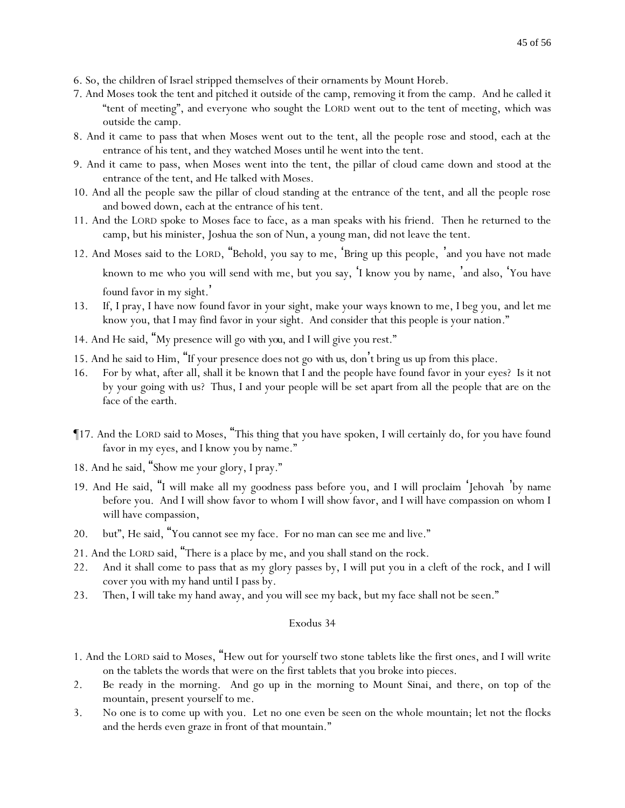- 6. So, the children of Israel stripped themselves of their ornaments by Mount Horeb.
- 7. And Moses took the tent and pitched it outside of the camp, removing it from the camp. And he called it "tent of meeting", and everyone who sought the LORD went out to the tent of meeting, which was outside the camp.
- 8. And it came to pass that when Moses went out to the tent, all the people rose and stood, each at the entrance of his tent, and they watched Moses until he went into the tent.
- 9. And it came to pass, when Moses went into the tent, the pillar of cloud came down and stood at the entrance of the tent, and He talked with Moses.
- 10. And all the people saw the pillar of cloud standing at the entrance of the tent, and all the people rose and bowed down, each at the entrance of his tent.
- 11. And the LORD spoke to Moses face to face, as a man speaks with his friend. Then he returned to the camp, but his minister, Joshua the son of Nun, a young man, did not leave the tent.
- 12. And Moses said to the LORD, "Behold, you say to me, 'Bring up this people, 'and you have not made known to me who you will send with me, but you say, 'I know you by name, 'and also, 'You have found favor in my sight. '
- 13. If, I pray, I have now found favor in your sight, make your ways known to me, I beg you, and let me know you, that I may find favor in your sight. And consider that this people is your nation."
- 14. And He said, "My presence will go *with you*, and I will give you rest."
- 15. And he said to Him, "If your presence does not go *with us*, don't bring us up from this place.
- 16. For by what, after all, shall it be known that I and the people have found favor in your eyes? Is it not by your going with us? Thus, I and your people will be set apart from all the people that are on the face of the earth.
- ¶17. And the LORD said to Moses, "This thing that you have spoken, I will certainly do, for you have found favor in my eyes, and I know you by name."
- 18. And he said, "Show me your glory, I pray."
- 19. And He said, "I will make all my goodness pass before you, and I will proclaim 'Jehovah 'by name before you. And I will show favor to whom I will show favor, and I will have compassion on whom I will have compassion,
- 20. but", He said, "You cannot see my face. For no man can see me and live."
- 21. And the LORD said, "There is a place by me, and you shall stand on the rock.
- 22. And it shall come to pass that as my glory passes by, I will put you in a cleft of the rock, and I will cover you with my hand until I pass by.
- 23. Then, I will take my hand away, and you will see my back, but my face shall not be seen."

- 1. And the LORD said to Moses, "Hew out for yourself two stone tablets like the first ones, and I will write on the tablets the words that were on the first tablets that you broke into pieces.
- 2. Be ready in the morning. And go up in the morning to Mount Sinai, and there, on top of the mountain, present yourself to me.
- 3. No one is to come up with you. Let no one even be seen on the whole mountain; let not the flocks and the herds even graze in front of that mountain."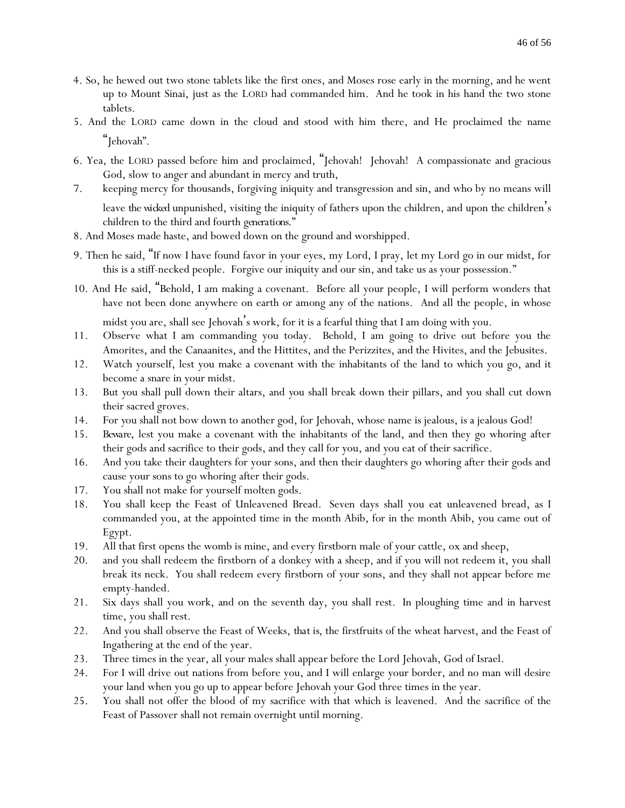- 4. So, he hewed out two stone tablets like the first ones, and Moses rose early in the morning, and he went up to Mount Sinai, just as the LORD had commanded him. And he took in his hand the two stone tablets.
- 5. And the LORD came down in the cloud and stood with him there, and He proclaimed the name "Jehovah".
- 6. Yea, the LORD passed before him and proclaimed, "Jehovah! Jehovah! A compassionate and gracious God, slow to anger and abundant in mercy and truth,
- 7. keeping mercy for thousands, forgiving iniquity and transgression and sin, and who by no means will leave *the wicked* unpunished, visiting the iniquity of fathers upon the children, and upon the children's children to the third and fourth *generations*."
- 8. And Moses made haste, and bowed down on the ground and worshipped.
- 9. Then he said, "If now I have found favor in your eyes, my Lord, I pray, let my Lord go in our midst, for this is a stiff-necked people. Forgive our iniquity and our sin, and take us as your possession."
- 10. And He said, "Behold, I am making a covenant. Before all your people, I will perform wonders that have not been done anywhere on earth or among any of the nations. And all the people, in whose midst you are, shall see Jehovah's work, for it is a fearful thing that I am doing with you.
- 11. Observe what I am commanding you today. Behold, I am going to drive out before you the Amorites, and the Canaanites, and the Hittites, and the Perizzites, and the Hivites, and the Jebusites.
- 12. Watch yourself, lest you make a covenant with the inhabitants of the land to which you go, and it become a snare in your midst.
- 13. But *y*ou shall pull down their altars, and *y*ou shall break down their pillars, and *y*ou shall cut down their sacred groves.
- 14. For *y*ou shall not bow down to another god, for Jehovah, whose name is jealous, is a jealous God!
- 15. *Beware*, lest you make a covenant with the inhabitants of the land, and then they go whoring after their gods and sacrifice to their gods, and they call for you, and you eat of their sacrifice.
- 16. And you take their daughters for your sons, and then their daughters go whoring after their gods and cause your sons to go whoring after their gods.
- 17. You shall not make for yourself molten gods.
- 18. You shall keep the Feast of Unleavened Bread. Seven days shall you eat unleavened bread, as I commanded you, at the appointed time in the month Abib, for in the month Abib, you came out of Egypt.
- 19. All that first opens the womb is mine, and every firstborn male of your cattle, ox and sheep,
- 20. and you shall redeem the firstborn of a donkey with a sheep, and if you will not redeem it, you shall break its neck. You shall redeem every firstborn of your sons, and they shall not appear before me empty-handed.
- 21. Six days shall you work, and on the seventh day, you shall rest. In ploughing time and in harvest time, you shall rest.
- 22. And you shall observe the Feast of Weeks, *that is*, the firstfruits of the wheat harvest, and the Feast of Ingathering at the end of the year.
- 23. Three times in the year, all your males shall appear before the Lord Jehovah, God of Israel.
- 24. For I will drive out nations from before you, and I will enlarge your border, and no man will desire your land when you go up to appear before Jehovah your God three times in the year.
- 25. You shall not offer the blood of my sacrifice with that which is leavened. And the sacrifice of the Feast of Passover shall not remain overnight until morning.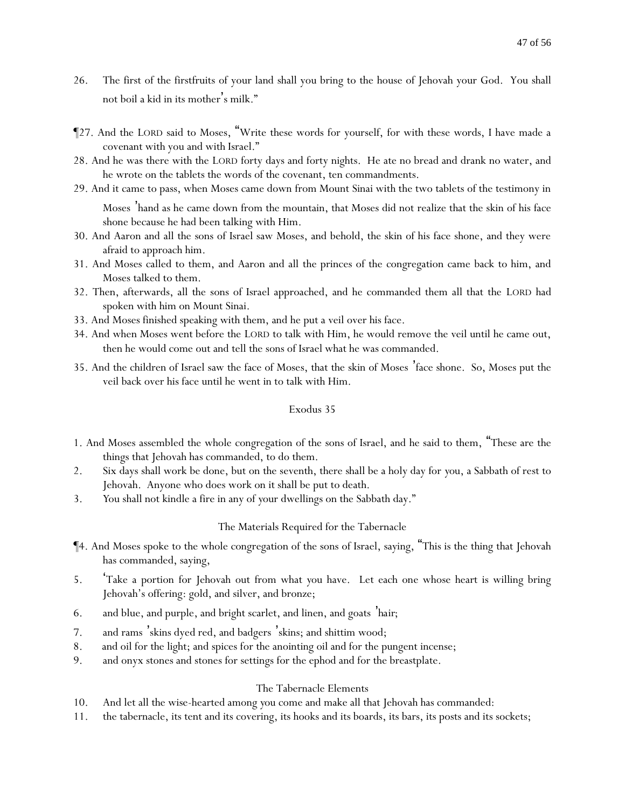- 26. The first of the firstfruits of your land shall you bring to the house of Jehovah your God. You shall not boil a kid in its mother's milk."
- ¶27. And the LORD said to Moses, "Write these words for yourself, for with these words, I have made a covenant with you and with Israel."
- 28. And he was there with the LORD forty days and forty nights. He ate no bread and drank no water, and he wrote on the tablets the words of the covenant, ten commandments.
- 29. And it came to pass, when Moses came down from Mount Sinai with the two tablets of the testimony in

Moses 'hand as he came down from the mountain, that Moses did not realize that the skin of his face shone because he had been talking with Him.

- 30. And Aaron and all the sons of Israel saw Moses, and behold, the skin of his face shone, and they were afraid to approach him.
- 31. And Moses called to them, and Aaron and all the princes of the congregation came back to him, and Moses talked to them.
- 32. Then, afterwards, all the sons of Israel approached, and he commanded them all that the LORD had spoken with him on Mount Sinai.
- 33. And Moses finished speaking with them, and he put a veil over his face.
- 34. And when Moses went before the LORD to talk with Him, he would remove the veil until he came out, then he would come out and tell the sons of Israel what he was commanded.
- 35. And the children of Israel saw the face of Moses, that the skin of Moses 'face shone. So, Moses put the veil back over his face until he went in to talk with Him.

### Exodus 35

- 1. And Moses assembled the whole congregation of the sons of Israel, and he said to them, "These are the things that Jehovah has commanded, to do them.
- 2. Six days shall work be done, but on the seventh, there shall be a holy day for *y*ou, a Sabbath of rest to Jehovah. Anyone who does work on it shall be put to death.
- 3. *Y*ou shall not kindle a fire in any of *y*our dwellings on the Sabbath day."

# The Materials Required for the Tabernacle

- ¶4. And Moses spoke to the whole congregation of the sons of Israel, saying, "This is the thing that Jehovah has commanded, saying,
- 5. 'Take a portion for Jehovah out from what *y*ou have. Let each one whose heart is willing bring Jehovah's offering: gold, and silver, and bronze;
- 6. and blue, and purple, and bright scarlet, and linen, and goats '*hair;*
- 7. and rams 'skins dyed red, and badgers 'skins; and shittim wood;
- 8. and oil for the light; and spices for the anointing oil and for the pungent incense;
- 9. and onyx stones and stones for settings for the ephod and for the breastplate.

# The Tabernacle Elements

- 10. And let all the wise-hearted among *y*ou come and make all that Jehovah has commanded:
- 11. the tabernacle, its tent and its covering, its hooks and its boards, its bars, its posts and its sockets;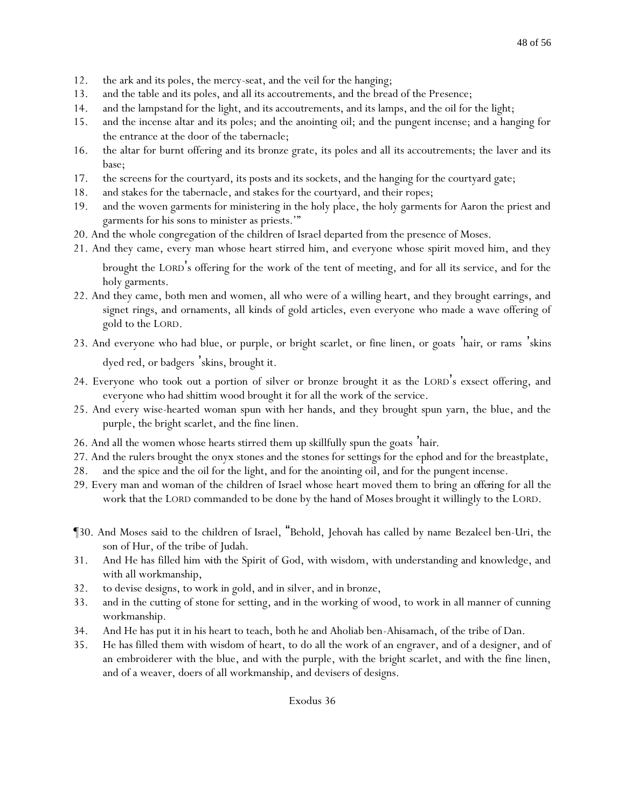- 12. the ark and its poles, the mercy-seat, and the veil for the hanging;
- 13. and the table and its poles, and all its accoutrements, and the bread of the Presence;
- 14. and the lampstand for the light, and its accoutrements, and its lamps, and the oil for the light;
- 15. and the incense altar and its poles; and the anointing oil; and the pungent incense; and a hanging for the entrance at the door of the tabernacle;
- 16. the altar for burnt offering and its bronze grate, its poles and all its accoutrements; the laver and its base;
- 17. the screens for the courtyard, its posts and its sockets, and the hanging for the courtyard gate;
- 18. and stakes for the tabernacle, and stakes for the courtyard, and their ropes;
- 19. and the woven garments for ministering in the holy place, the holy garments for Aaron the priest and garments for his sons to minister as priests.'"
- 20. And the whole congregation of the children of Israel departed from the presence of Moses.
- 21. And they came, every man whose heart stirred him, and everyone whose spirit moved him, and they

brought the LORD's offering for the work of the tent of meeting, and for all its service, and for the holy garments.

- 22. And they came, both men and women, all who were of a willing heart, and they brought earrings, and signet rings, and ornaments, all kinds of gold articles, even everyone who made a wave offering of gold to the LORD.
- 23. And everyone who had blue, or purple, or bright scarlet, or fine linen, or goats '*hair*, or rams 'skins dyed red, or badgers 'skins, brought it.
- 24. Everyone who took out a portion of silver or bronze brought it as the LORD's exsect offering, and everyone who had shittim wood brought it for all the work of the service.
- 25. And every wise-hearted woman spun with her hands, and they brought spun yarn, the blue, and the purple, the bright scarlet, and the fine linen.
- 26. And all the women whose hearts stirred them up skillfully spun the goats '*hair*.
- 27. And the rulers brought the onyx stones and the stones for settings for the ephod and for the breastplate,
- 28. and the spice and the oil for the light, and for the anointing oil, and for the pungent incense.
- 29. Every man and woman of the children of Israel whose heart moved them to bring *an offering* for all the work that the LORD commanded to be done by the hand of Moses brought it willingly to the LORD.
- ¶30. And Moses said to the children of Israel, "Behold, Jehovah has called by name Bezaleel ben-Uri, the son of Hur, of the tribe of Judah.
- 31. And He has filled him *with* the Spirit of God, with wisdom, with understanding and knowledge, and with all workmanship,
- 32. to devise designs, to work in gold, and in silver, and in bronze,
- 33. and in the cutting of stone for setting, and in the working of wood, to work in all manner of cunning workmanship.
- 34. And He has put it in his heart to teach, both he and Aholiab ben-Ahisamach, of the tribe of Dan.
- 35. He has filled them with wisdom of heart, to do all the work of an engraver, and of a designer, and of an embroiderer with the blue, and with the purple, with the bright scarlet, and with the fine linen, and of a weaver, doers of all workmanship, and devisers of designs.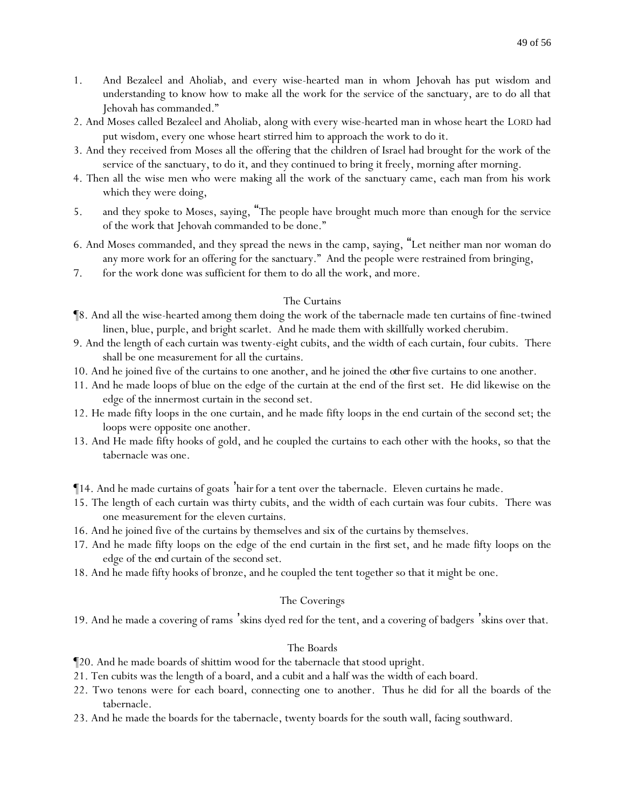- 1. And Bezaleel and Aholiab, and every wise-hearted man in whom Jehovah has put wisdom and understanding to know how to make all the work for the service of the sanctuary, are to do all that Jehovah has commanded."
- 2. And Moses called Bezaleel and Aholiab, along with every wise-hearted man in whose heart the LORD had put wisdom, every one whose heart stirred him to approach the work to do it.
- 3. And they received from Moses all the offering that the children of Israel had brought for the work of the service of the sanctuary, to do it, and they continued to bring it freely, morning after morning.
- 4. Then all the wise men who were making all the work of the sanctuary came, each man from his work which they were doing,
- 5. and they spoke to Moses, saying, "The people have brought much more than enough for the service of the work that Jehovah commanded to be done."
- 6. And Moses commanded, and they spread the news in the camp, saying, "Let neither man nor woman do any more work for an offering for the sanctuary." And the people were restrained from bringing,
- 7. for the work done was sufficient for them to do all the work, and more.

### The Curtains

- ¶8. And all the wise-hearted among them doing the work of the tabernacle made ten curtains of fine-twined linen, blue, purple, and bright scarlet. And he made them with skillfully worked cherubim.
- 9. And the length of each curtain was twenty-eight cubits, and the width of each curtain, four cubits. There shall be one measurement for all the curtains.
- 10. And he joined five of the curtains to one another, and he joined the *other*five curtains to one another.
- 11. And he made loops of blue on the edge of the curtain at the end of the first set. He did likewise on the edge of the innermost curtain in the second set.
- 12. He made fifty loops in the one curtain, and he made fifty loops in the end curtain of the second set; the loops were opposite one another.
- 13. And He made fifty hooks of gold, and he coupled the curtains to each other with the hooks, so that the tabernacle was one.
- ¶14. And he made curtains of goats '*hair*for a tent over the tabernacle. Eleven curtains he made.
- 15. The length of each curtain was thirty cubits, and the width of each curtain was four cubits. There was one measurement for the eleven curtains.
- 16. And he joined five of the curtains by themselves and six of the curtains by themselves.
- 17. And he made fifty loops on the edge of the end curtain in the *first* set, and he made fifty loops on the edge of the *end* curtain of the second set.
- 18. And he made fifty hooks of bronze, and he coupled the tent together so that it might be one.

### The Coverings

19. And he made a covering of rams 'skins dyed red for the tent, and a covering of badgers 'skins over that.

### The Boards

- ¶20. And he made boards of shittim wood for the tabernacle *that* stood upright.
- 21. Ten cubits was the length of a board, and a cubit and a half was the width of each board.
- 22. Two tenons were for each board, connecting one to another. Thus he did for all the boards of the tabernacle.
- 23. And he made the boards for the tabernacle, twenty boards for the south wall, facing southward.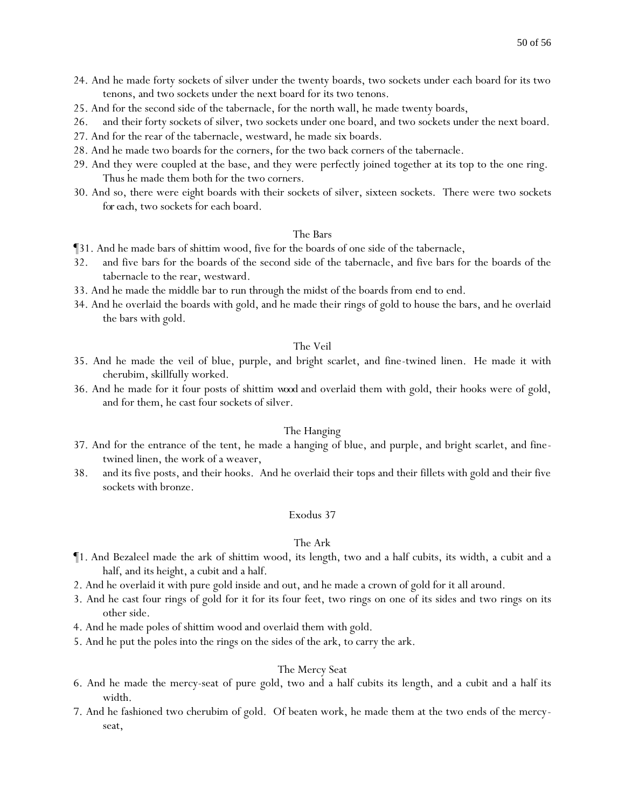- 24. And he made forty sockets of silver under the twenty boards, two sockets under each board for its two tenons, and two sockets under the next board for its two tenons.
- 25. And for the second side of the tabernacle, for the north wall, he made twenty boards,
- 26. and their forty sockets of silver, two sockets under one board, and two sockets under the next board.
- 27. And for the rear of the tabernacle, westward, he made six boards.
- 28. And he made two boards for the corners, for the two back corners of the tabernacle.
- 29. And they were coupled at the base, and they were perfectly joined together at its top to the one ring. Thus he made them both for the two corners.
- 30. And so, there were eight boards with their sockets of silver, sixteen sockets. There were two sockets *for each*, two sockets for each board.

#### The Bars

- ¶31. And he made bars of shittim wood, five for the boards of one side of the tabernacle,
- 32. and five bars for the boards of the second side of the tabernacle, and five bars for the boards of the tabernacle to the rear, westward.
- 33. And he made the middle bar to run through the midst of the boards from end to end.
- 34. And he overlaid the boards with gold, and he made their rings of gold to house the bars, and he overlaid the bars with gold.

#### The Veil

- 35. And he made the veil of blue, purple, and bright scarlet, and fine-twined linen. He made it with cherubim, skillfully worked.
- 36. And he made for it four posts of shittim *wood* and overlaid them with gold, their hooks were of gold, and for them, he cast four sockets of silver.

#### The Hanging

- 37. And for the entrance of the tent, he made a hanging of blue, and purple, and bright scarlet, and finetwined linen, the work of a weaver,
- 38. and its five posts, and their hooks. And he overlaid their tops and their fillets with gold and their five sockets with bronze.

#### Exodus 37

#### The Ark

- ¶1. And Bezaleel made the ark of shittim wood, its length, two and a half cubits, its width, a cubit and a half, and its height, a cubit and a half.
- 2. And he overlaid it with pure gold inside and out, and he made a crown of gold for it all around.
- 3. And he cast four rings of gold for it for its four feet, two rings on one of its sides and two rings on its other side.
- 4. And he made poles of shittim wood and overlaid them with gold.
- 5. And he put the poles into the rings on the sides of the ark, to carry the ark.

#### The Mercy Seat

- 6. And he made the mercy-seat of pure gold, two and a half cubits its length, and a cubit and a half its width.
- 7. And he fashioned two cherubim of gold. Of beaten work, he made them at the two ends of the mercyseat,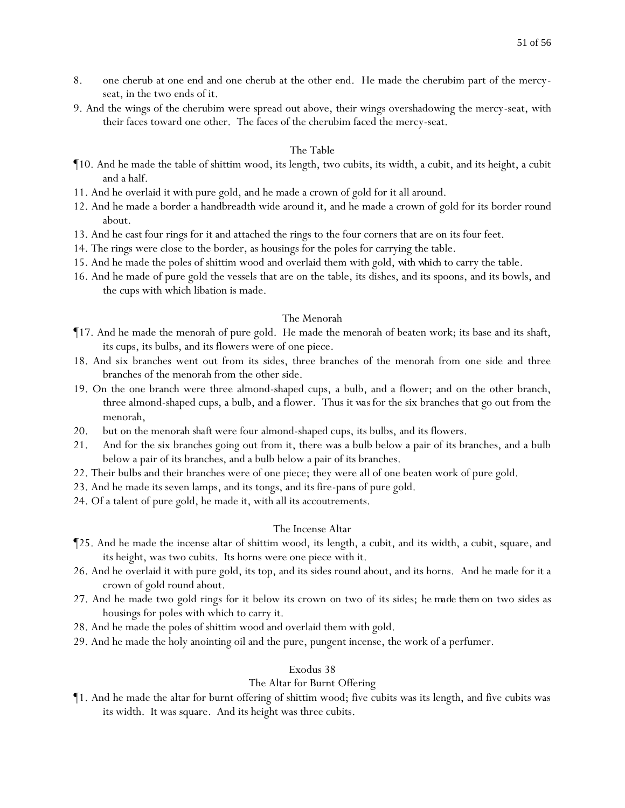- 8. one cherub at one end and one cherub at the other end. He made the cherubim part of the mercyseat, in the two ends of it.
- 9. And the wings of the cherubim were spread out above, their wings overshadowing the mercy-seat, with their faces toward one other. The faces of the cherubim faced the mercy-seat.

#### The Table

- ¶10. And he made the table of shittim wood, its length, two cubits, its width, a cubit, and its height, a cubit and a half.
- 11. And he overlaid it with pure gold, and he made a crown of gold for it all around.
- 12. And he made a border a handbreadth wide around it, and he made a crown of gold for its border round about.
- 13. And he cast four rings for it and attached the rings to the four corners that are on its four feet.
- 14. The rings were close to the border, as housings for the poles for carrying the table.
- 15. And he made the poles of shittim wood and overlaid them with gold, *with which* to carry the table.
- 16. And he made of pure gold the vessels that are on the table, its dishes, and its spoons, and its bowls, and the cups with which libation is made.

#### The Menorah

- ¶17. And he made the menorah of pure gold. He made the menorah of beaten work; its base and its shaft, its cups, its bulbs, and its flowers were of one piece.
- 18. And six branches went out from its sides, three branches of the menorah from one side and three branches of the menorah from the other side.
- 19. On the one branch were three almond-shaped cups, a bulb, and a flower; and on the other branch, three almond-shaped cups, a bulb, and a flower. Thus *it was* for the six branches that go out from the menorah,
- 20. but on the menorah *shaft* were four almond-shaped cups, its bulbs, and its flowers.
- 21. And for the six branches going out from it, there was a bulb below a pair of its branches, and a bulb below a pair of its branches, and a bulb below a pair of its branches.
- 22. Their bulbs and their branches were of one piece; they were all of one beaten work of pure gold.
- 23. And he made its seven lamps, and its tongs, and its fire-pans of pure gold.
- 24. Of a talent of pure gold, he made it, with all its accoutrements.

#### The Incense Altar

- ¶25. And he made the incense altar of shittim wood, its length, a cubit, and its width, a cubit, square, and its height, was two cubits. Its horns were one piece with it.
- 26. And he overlaid it with pure gold, its top, and its sides round about, and its horns. And he made for it a crown of gold round about.
- 27. And he made two gold rings for it below its crown on two of its sides; *he made them* on two sides as housings for poles with which to carry it.
- 28. And he made the poles of shittim wood and overlaid them with gold.
- 29. And he made the holy anointing oil and the pure, pungent incense, the work of a perfumer.

#### Exodus 38

#### The Altar for Burnt Offering

¶1. And he made the altar for burnt offering of shittim wood; five cubits was its length, and five cubits was its width. It was square. And its height was three cubits.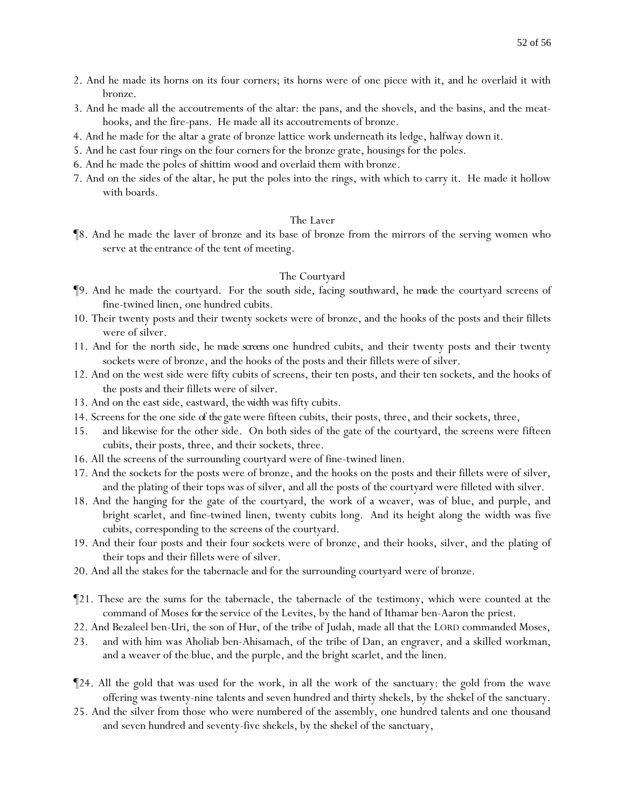- 2. And he made its horns on its four corners; its horns were of one piece with it, and he overlaid it with bronze.
- 3. And he made all the accoutrements of the altar: the pans, and the shovels, and the basins, and the meathooks, and the fire-pans. He made all its accoutrements of bronze.
- 4. And he made for the altar a grate of bronze lattice work underneath its ledge, halfway down it.
- 5. And he cast four rings on the four corners for the bronze grate, housings for the poles.
- 6. And he made the poles of shittim wood and overlaid them with bronze.
- 7. And on the sides of the altar, he put the poles into the rings, with which to carry it. He made it hollow with boards.

#### The Laver

¶8. And he made the laver of bronze and its base of bronze from the mirrors of the serving women who serve *at the* entrance of the tent of meeting.

#### The Courtyard

- ¶9. And he made the courtyard. For the south side, facing southward, *he made* the courtyard screens of fine-twined linen, one hundred cubits.
- 10. Their twenty posts and their twenty sockets were of bronze, and the hooks of the posts and their fillets were of silver.
- 11. And for the north side, *he made screens* one hundred cubits, and their twenty posts and their twenty sockets were of bronze, and the hooks of the posts and their fillets were of silver.
- 12. And on the west side were fifty cubits of screens, their ten posts, and their ten sockets, and the hooks of the posts and their fillets were of silver.
- 13. And on the east side, eastward, *the width* was fifty cubits.
- 14. Screens for the one side *of the gate* were fifteen cubits, their posts, three, and their sockets, three,
- 15. and likewise for the other side*.* On both sides of the gate of the courtyard, the screens were fifteen cubits, their posts, three, and their sockets, three.
- 16. All the screens of the surrounding courtyard were of fine-twined linen.
- 17. And the sockets for the posts were of bronze, and the hooks on the posts and their fillets were of silver, and the plating of their tops was of silver, and all the posts of the courtyard were filleted with silver.
- 18. And the hanging for the gate of the courtyard, the work of a weaver, was of blue, and purple, and bright scarlet, and fine-twined linen, twenty cubits long. And its height along the width was five cubits, corresponding to the screens of the courtyard.
- 19. And their four posts and their four sockets were of bronze, and their hooks, silver, and the plating of their tops and their fillets were of silver.
- 20. And all the stakes for the tabernacle and for the surrounding courtyard were of bronze.
- ¶21. These are the sums for the tabernacle, the tabernacle of the testimony, which were counted at the command of Moses *for the* service of the Levites, by the hand of Ithamar ben-Aaron the priest.
- 22. And Bezaleel ben-Uri, the son of Hur, of the tribe of Judah, made all that the LORD commanded Moses,
- 23. and with him was Aholiab ben-Ahisamach, of the tribe of Dan, an engraver, and a skilled workman, and a weaver of the blue, and the purple, and the bright scarlet, and the linen.
- ¶24. All the gold that was used for the work, in all the work of the sanctuary: the gold from the wave offering was twenty-nine talents and seven hundred and thirty shekels, by the shekel of the sanctuary.
- 25. And the silver from those who were numbered of the assembly, one hundred talents and one thousand and seven hundred and seventy-five shekels, by the shekel of the sanctuary,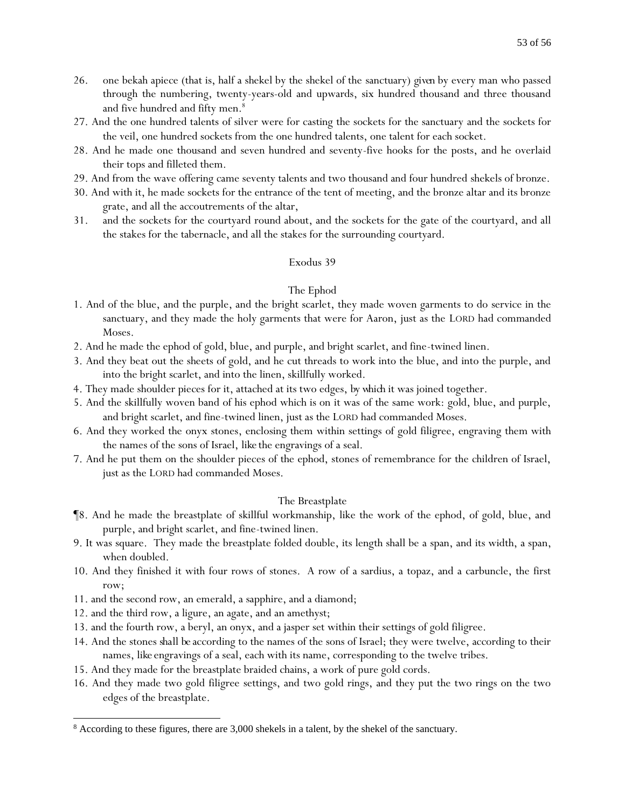- 26. one bekah apiece (that is, half a shekel by the shekel of the sanctuary) *given* by every man who passed through the numbering, twenty-years-old and upwards, six hundred thousand and three thousand and five hundred and fifty men.<sup>8</sup>
- 27. And the one hundred talents of silver were for casting the sockets for the sanctuary and the sockets for the veil, one hundred sockets from the one hundred talents, one talent for each socket.
- 28. And he made one thousand and seven hundred and seventy-five hooks for the posts, and he overlaid their tops and filleted them.
- 29. And from the wave offering came seventy talents and two thousand and four hundred shekels of bronze.
- 30. And with it, he made sockets for the entrance of the tent of meeting, and the bronze altar and its bronze grate, and all the accoutrements of the altar,
- 31. and the sockets for the courtyard round about, and the sockets for the gate of the courtyard, and all the stakes for the tabernacle, and all the stakes for the surrounding courtyard.

#### The Ephod

- 1. And of the blue, and the purple, and the bright scarlet, they made woven garments to do service in the sanctuary, and they made the holy garments that were for Aaron, just as the LORD had commanded Moses.
- 2. And he made the ephod of gold, blue, and purple, and bright scarlet, and fine-twined linen.
- 3. And they beat out the sheets of gold, and he cut threads to work into the blue, and into the purple, and into the bright scarlet, and into the linen, skillfully worked.
- 4. They made shoulder pieces for it, attached at its two edges, *by which* it was joined together.
- 5. And the skillfully woven band of his ephod which is on it was of the same work: gold, blue, and purple, and bright scarlet, and fine-twined linen, just as the LORD had commanded Moses.
- 6. And they worked the onyx stones, enclosing them within settings of gold filigree, engraving them with the names of the sons of Israel, *like* the engravings of a seal.
- 7. And he put them on the shoulder pieces of the ephod, stones of remembrance for the children of Israel, just as the LORD had commanded Moses.

#### The Breastplate

- ¶8. And he made the breastplate of skillful workmanship, like the work of the ephod, of gold, blue, and purple, and bright scarlet, and fine-twined linen.
- 9. It was square. They made the breastplate folded double, its length shall be a span, and its width, a span, when doubled.
- 10. And they finished it with four rows of stones. A row of a sardius, a topaz, and a carbuncle, the first row;
- 11. and the second row, an emerald, a sapphire, and a diamond;
- 12. and the third row, a ligure, an agate, and an amethyst;
- 13. and the fourth row, a beryl, an onyx, and a jasper set within their settings of gold filigree.
- 14. And the stones *shall be* according to the names of the sons of Israel; they were twelve, according to their names, *like* engravings of a seal, each with its name, corresponding to the twelve tribes.
- 15. And they made for the breastplate braided chains, a work of pure gold cords.
- 16. And they made two gold filigree settings, and two gold rings, and they put the two rings on the two edges of the breastplate.

<sup>8</sup> According to these figures, there are 3,000 shekels in a talent, by the shekel of the sanctuary.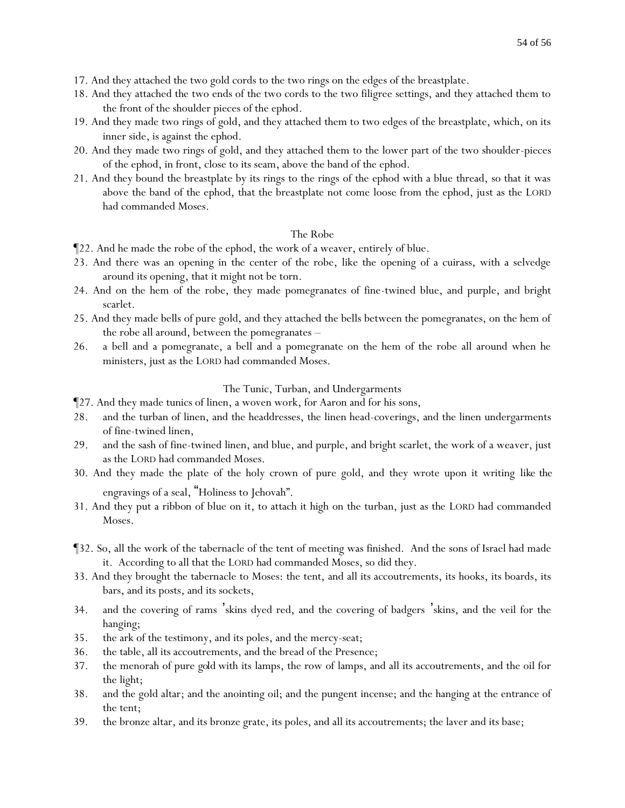- 17. And they attached the two gold cords to the two rings on the edges of the breastplate.
- 18. And they attached the two ends of the two cords to the two filigree settings, and they attached them to the front of the shoulder pieces of the ephod.
- 19. And they made two rings of gold, and they attached them to two edges of the breastplate, which, on its inner side, is against the ephod.
- 20. And they made two rings of gold, and they attached them to the lower part of the two shoulder-pieces of the ephod, in front, close to its seam, above the band of the ephod.
- 21. And they bound the breastplate by its rings to the rings of the ephod with a blue thread, so that it was above the band of the ephod, that the breastplate not come loose from the ephod, just as the LORD had commanded Moses.

#### The Robe

- ¶22. And he made the robe of the ephod, the work of a weaver, entirely of blue.
- 23. And there was an opening in the center of the robe, like the opening of a cuirass, with a selvedge around its opening, that it might not be torn.
- 24. And on the hem of the robe, they made pomegranates of fine-twined blue, and purple, and bright scarlet.
- 25. And they made bells of pure gold, and they attached the bells between the pomegranates, on the hem of the robe all around, between the pomegranates –
- 26. a bell and a pomegranate, a bell and a pomegranate on the hem of the robe all around when he ministers, just as the LORD had commanded Moses.

#### The Tunic, Turban, and Undergarments

- ¶27. And they made tunics of linen, a woven work, for Aaron and for his sons,
- 28. and the turban of linen, and the headdresses, the linen head-coverings, and the linen undergarments of fine-twined linen,
- 29. and the sash of fine-twined linen, and blue, and purple, and bright scarlet, the work of a weaver, just as the LORD had commanded Moses.
- 30. And they made the plate of the holy crown of pure gold, and they wrote upon it writing *like the* engravings of a seal, "Holiness to Jehovah".
- 31. And they put a ribbon of blue on it, to attach it high on the turban, just as the LORD had commanded Moses.
- ¶32. So, all the work of the tabernacle of the tent of meeting was finished. And the sons of Israel had made it. According to all that the LORD had commanded Moses, so did they.
- 33. And they brought the tabernacle to Moses: the tent, and all its accoutrements, its hooks, its boards, its bars, and its posts, and its sockets,
- 34. and the covering of rams 'skins dyed red, and the covering of badgers 'skins, and the veil for the hanging;
- 35. the ark of the testimony, and its poles, and the mercy-seat;
- 36. the table, all its accoutrements, and the bread of the Presence;
- 37. the menorah of pure *gold* with its lamps, the row of lamps, and all its accoutrements, and the oil for the light;
- 38. and the gold altar; and the anointing oil; and the pungent incense; and the hanging at the entrance of the tent;
- 39. the bronze altar, and its bronze grate, its poles, and all its accoutrements; the laver and its base;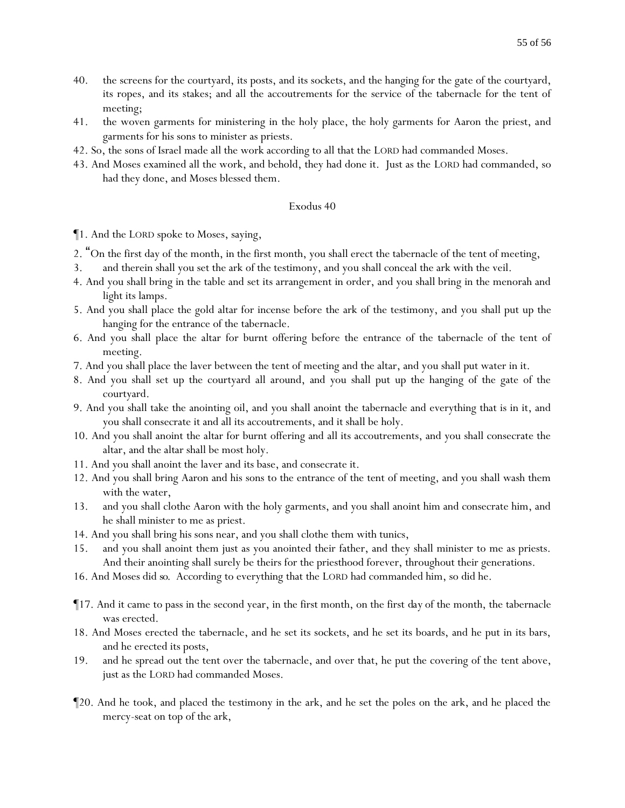- 40. the screens for the courtyard, its posts, and its sockets, and the hanging for the gate of the courtyard, its ropes, and its stakes; and all the accoutrements for the service of the tabernacle for the tent of meeting;
- 41. the woven garments for ministering in the holy place, the holy garments for Aaron the priest, and garments for his sons to minister as priests.
- 42. So, the sons of Israel made all the work according to all that the LORD had commanded Moses.
- 43. And Moses examined all the work, and behold, they had done it. Just as the LORD had commanded, so had they done, and Moses blessed them.

- ¶1. And the LORD spoke to Moses, saying,
- 2. "On the first day of the month, in the first month, you shall erect the tabernacle of the tent of meeting,
- 3. and therein shall you set the ark of the testimony, and you shall conceal the ark with the veil.
- 4. And you shall bring in the table and set its arrangement in order, and you shall bring in the menorah and light its lamps.
- 5. And you shall place the gold altar for incense before the ark of the testimony, and you shall put up the hanging for the entrance of the tabernacle.
- 6. And you shall place the altar for burnt offering before the entrance of the tabernacle of the tent of meeting.
- 7. And you shall place the laver between the tent of meeting and the altar, and you shall put water in it.
- 8. And you shall set up the courtyard all around, and you shall put up the hanging of the gate of the courtyard.
- 9. And you shall take the anointing oil, and you shall anoint the tabernacle and everything that is in it, and you shall consecrate it and all its accoutrements, and it shall be holy.
- 10. And you shall anoint the altar for burnt offering and all its accoutrements, and you shall consecrate the altar, and the altar shall be most holy.
- 11. And you shall anoint the laver and its base, and consecrate it.
- 12. And you shall bring Aaron and his sons to the entrance of the tent of meeting, and you shall wash them with the water,
- 13. and you shall clothe Aaron with the holy garments, and you shall anoint him and consecrate him, and he shall minister to me as priest.
- 14. And you shall bring his sons near, and you shall clothe them with tunics,
- 15. and you shall anoint them just as you anointed their father, and they shall minister to me as priests. And their anointing shall surely be theirs for the priesthood forever, throughout their generations.
- 16. And Moses did *so*. According to everything that the LORD had commanded him, so did he.
- ¶17. And it came to pass in the second year, in the first month, on the first *day* of the month, the tabernacle was erected.
- 18. And Moses erected the tabernacle, and he set its sockets, and he set its boards, and he put in its bars, and he erected its posts,
- 19. and he spread out the tent over the tabernacle, and over that, he put the covering of the tent above, just as the LORD had commanded Moses.
- ¶20. And he took, and placed the testimony in the ark, and he set the poles on the ark, and he placed the mercy-seat on top of the ark,